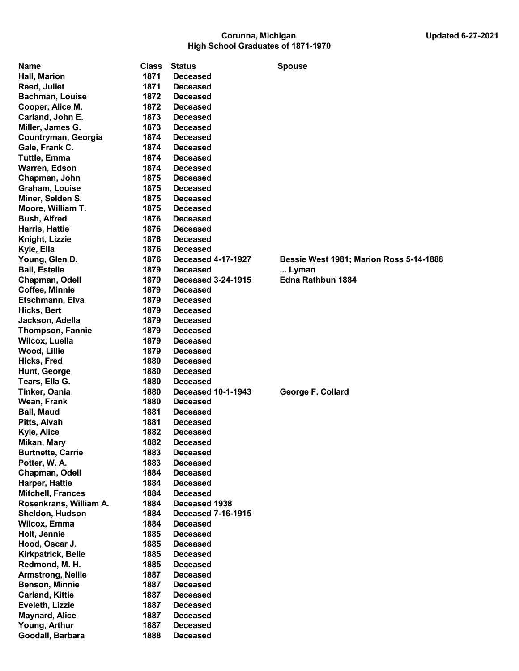## Corunna, Michigan Updated 6-27-2021 High School Graduates of 1871-1970

| Name                      | <b>Class</b> | <b>Status</b>             | <b>Spouse</b>                                  |
|---------------------------|--------------|---------------------------|------------------------------------------------|
| Hall, Marion              | 1871         | <b>Deceased</b>           |                                                |
| <b>Reed, Juliet</b>       | 1871         | <b>Deceased</b>           |                                                |
| <b>Bachman, Louise</b>    | 1872         | <b>Deceased</b>           |                                                |
| Cooper, Alice M.          | 1872         | <b>Deceased</b>           |                                                |
| Carland, John E.          | 1873         | <b>Deceased</b>           |                                                |
| Miller, James G.          | 1873         | <b>Deceased</b>           |                                                |
| Countryman, Georgia       | 1874         | <b>Deceased</b>           |                                                |
| Gale, Frank C.            | 1874         | <b>Deceased</b>           |                                                |
| <b>Tuttle, Emma</b>       | 1874         | <b>Deceased</b>           |                                                |
| Warren, Edson             | 1874         | <b>Deceased</b>           |                                                |
| Chapman, John             | 1875         | <b>Deceased</b>           |                                                |
| Graham, Louise            | 1875         | <b>Deceased</b>           |                                                |
| Miner, Selden S.          | 1875         | <b>Deceased</b>           |                                                |
| Moore, William T.         | 1875         | <b>Deceased</b>           |                                                |
| <b>Bush, Alfred</b>       | 1876         | <b>Deceased</b>           |                                                |
| <b>Harris, Hattie</b>     | 1876         | <b>Deceased</b>           |                                                |
| Knight, Lizzie            | 1876         | <b>Deceased</b>           |                                                |
| Kyle, Ella                | 1876         | <b>Deceased</b>           |                                                |
| Young, Glen D.            | 1876         | <b>Deceased 4-17-1927</b> | <b>Bessie West 1981; Marion Ross 5-14-1888</b> |
| <b>Ball, Estelle</b>      | 1879         | <b>Deceased</b>           | Lyman                                          |
| Chapman, Odell            | 1879         | <b>Deceased 3-24-1915</b> | Edna Rathbun 1884                              |
| Coffee, Minnie            | 1879         | <b>Deceased</b>           |                                                |
| Etschmann, Elva           | 1879         | <b>Deceased</b>           |                                                |
| Hicks, Bert               | 1879         | <b>Deceased</b>           |                                                |
| Jackson, Adella           | 1879         | <b>Deceased</b>           |                                                |
| <b>Thompson, Fannie</b>   | 1879         | <b>Deceased</b>           |                                                |
| Wilcox, Luella            | 1879         | <b>Deceased</b>           |                                                |
| Wood, Lillie              | 1879         | <b>Deceased</b>           |                                                |
| Hicks, Fred               | 1880         | <b>Deceased</b>           |                                                |
| Hunt, George              | 1880         | <b>Deceased</b>           |                                                |
| Tears, Ella G.            | 1880         | <b>Deceased</b>           |                                                |
| <b>Tinker, Oania</b>      | 1880         | <b>Deceased 10-1-1943</b> | George F. Collard                              |
| Wean, Frank               | 1880         | <b>Deceased</b>           |                                                |
| <b>Ball, Maud</b>         | 1881         | <b>Deceased</b>           |                                                |
| Pitts, Alvah              | 1881         | <b>Deceased</b>           |                                                |
| Kyle, Alice               | 1882         | <b>Deceased</b>           |                                                |
| Mikan, Mary               | 1882         | <b>Deceased</b>           |                                                |
| <b>Burtnette, Carrie</b>  | 1883         | <b>Deceased</b>           |                                                |
| Potter, W. A.             | 1883         | <b>Deceased</b>           |                                                |
| Chapman, Odell            | 1884         | <b>Deceased</b>           |                                                |
| Harper, Hattie            | 1884         | <b>Deceased</b>           |                                                |
| <b>Mitchell, Frances</b>  | 1884         | <b>Deceased</b>           |                                                |
| Rosenkrans, William A.    | 1884         | Deceased 1938             |                                                |
| <b>Sheldon, Hudson</b>    | 1884         | <b>Deceased 7-16-1915</b> |                                                |
| <b>Wilcox, Emma</b>       | 1884         | <b>Deceased</b>           |                                                |
| Holt, Jennie              | 1885         | <b>Deceased</b>           |                                                |
| Hood, Oscar J.            | 1885         | <b>Deceased</b>           |                                                |
| <b>Kirkpatrick, Belle</b> | 1885         | <b>Deceased</b>           |                                                |
| Redmond, M. H.            | 1885         | <b>Deceased</b>           |                                                |
| <b>Armstrong, Nellie</b>  | 1887         | <b>Deceased</b>           |                                                |
| <b>Benson, Minnie</b>     | 1887         | <b>Deceased</b>           |                                                |
| <b>Carland, Kittie</b>    | 1887         | <b>Deceased</b>           |                                                |
| Eveleth, Lizzie           | 1887         | <b>Deceased</b>           |                                                |
| <b>Maynard, Alice</b>     | 1887         | <b>Deceased</b>           |                                                |
| Young, Arthur             | 1887         | <b>Deceased</b>           |                                                |
| Goodall, Barbara          | 1888         | <b>Deceased</b>           |                                                |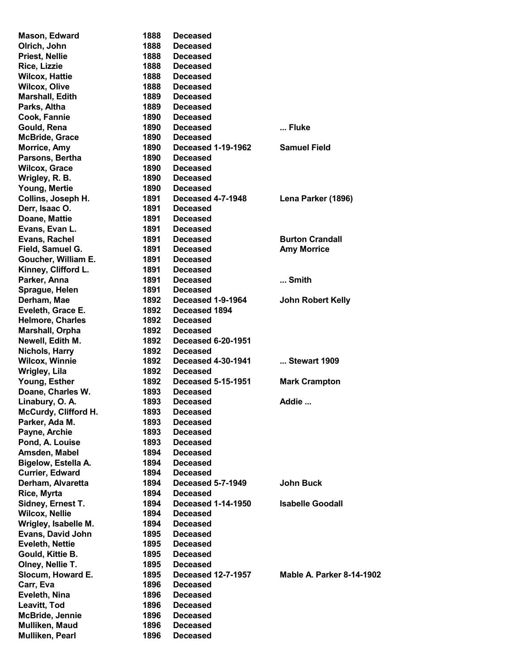| Mason, Edward            | 1888 | <b>Deceased</b>           |                                  |
|--------------------------|------|---------------------------|----------------------------------|
| Olrich, John             | 1888 | <b>Deceased</b>           |                                  |
| <b>Priest, Nellie</b>    | 1888 | <b>Deceased</b>           |                                  |
|                          | 1888 |                           |                                  |
| Rice, Lizzie             |      | <b>Deceased</b>           |                                  |
| <b>Wilcox, Hattie</b>    | 1888 | <b>Deceased</b>           |                                  |
| <b>Wilcox, Olive</b>     | 1888 | <b>Deceased</b>           |                                  |
| <b>Marshall, Edith</b>   | 1889 | <b>Deceased</b>           |                                  |
| Parks, Altha             | 1889 | <b>Deceased</b>           |                                  |
| Cook, Fannie             | 1890 | <b>Deceased</b>           |                                  |
| Gould, Rena              | 1890 | <b>Deceased</b>           | Fluke                            |
| <b>McBride, Grace</b>    | 1890 | <b>Deceased</b>           |                                  |
| <b>Morrice, Amy</b>      | 1890 | <b>Deceased 1-19-1962</b> | <b>Samuel Field</b>              |
| Parsons, Bertha          | 1890 | <b>Deceased</b>           |                                  |
| <b>Wilcox, Grace</b>     | 1890 | <b>Deceased</b>           |                                  |
| Wrigley, R. B.           | 1890 | <b>Deceased</b>           |                                  |
| <b>Young, Mertie</b>     | 1890 | <b>Deceased</b>           |                                  |
| Collins, Joseph H.       | 1891 | <b>Deceased 4-7-1948</b>  | Lena Parker (1896)               |
| Derr, Isaac O.           | 1891 | <b>Deceased</b>           |                                  |
|                          |      |                           |                                  |
| Doane, Mattie            | 1891 | <b>Deceased</b>           |                                  |
| Evans, Evan L.           | 1891 | <b>Deceased</b>           |                                  |
| Evans, Rachel            | 1891 | <b>Deceased</b>           | <b>Burton Crandall</b>           |
| Field, Samuel G.         | 1891 | <b>Deceased</b>           | <b>Amy Morrice</b>               |
| Goucher, William E.      | 1891 | <b>Deceased</b>           |                                  |
| Kinney, Clifford L.      | 1891 | <b>Deceased</b>           |                                  |
| Parker, Anna             | 1891 | <b>Deceased</b>           | Smith                            |
| Sprague, Helen           | 1891 | <b>Deceased</b>           |                                  |
| Derham, Mae              | 1892 | Deceased 1-9-1964         | <b>John Robert Kelly</b>         |
| Eveleth, Grace E.        | 1892 | Deceased 1894             |                                  |
| <b>Helmore, Charles</b>  | 1892 | <b>Deceased</b>           |                                  |
| <b>Marshall, Orpha</b>   | 1892 | <b>Deceased</b>           |                                  |
| Newell, Edith M.         | 1892 | <b>Deceased 6-20-1951</b> |                                  |
| Nichols, Harry           | 1892 | <b>Deceased</b>           |                                  |
| <b>Wilcox, Winnie</b>    | 1892 | <b>Deceased 4-30-1941</b> | Stewart 1909                     |
| <b>Wrigley, Lila</b>     | 1892 | <b>Deceased</b>           |                                  |
| Young, Esther            | 1892 | <b>Deceased 5-15-1951</b> | <b>Mark Crampton</b>             |
| Doane, Charles W.        | 1893 | <b>Deceased</b>           |                                  |
|                          |      |                           | Addie                            |
| Linabury, O. A.          | 1893 | <b>Deceased</b>           |                                  |
| McCurdy, Clifford H.     | 1893 | <b>Deceased</b>           |                                  |
| Parker, Ada M.           | 1893 | <b>Deceased</b>           |                                  |
| Payne, Archie            | 1893 | <b>Deceased</b>           |                                  |
| Pond, A. Louise          | 1893 | <b>Deceased</b>           |                                  |
| Amsden, Mabel            | 1894 | <b>Deceased</b>           |                                  |
| Bigelow, Estella A.      | 1894 | <b>Deceased</b>           |                                  |
| <b>Currier, Edward</b>   | 1894 | <b>Deceased</b>           |                                  |
| Derham, Alvaretta        | 1894 | <b>Deceased 5-7-1949</b>  | <b>John Buck</b>                 |
| Rice, Myrta              | 1894 | <b>Deceased</b>           |                                  |
| Sidney, Ernest T.        | 1894 | <b>Deceased 1-14-1950</b> | <b>Isabelle Goodall</b>          |
| <b>Wilcox, Nellie</b>    | 1894 | <b>Deceased</b>           |                                  |
| Wrigley, Isabelle M.     | 1894 | <b>Deceased</b>           |                                  |
| <b>Evans, David John</b> | 1895 | <b>Deceased</b>           |                                  |
| <b>Eveleth, Nettie</b>   | 1895 | <b>Deceased</b>           |                                  |
| Gould, Kittie B.         | 1895 | <b>Deceased</b>           |                                  |
| Olney, Nellie T.         | 1895 | <b>Deceased</b>           |                                  |
|                          |      |                           | <b>Mable A. Parker 8-14-1902</b> |
| Slocum, Howard E.        | 1895 | <b>Deceased 12-7-1957</b> |                                  |
| Carr, Eva                | 1896 | <b>Deceased</b>           |                                  |
| Eveleth, Nina            | 1896 | <b>Deceased</b>           |                                  |
| Leavitt, Tod             | 1896 | <b>Deceased</b>           |                                  |
| <b>McBride, Jennie</b>   | 1896 | <b>Deceased</b>           |                                  |
| Mulliken, Maud           | 1896 | <b>Deceased</b>           |                                  |
| Mulliken, Pearl          | 1896 | <b>Deceased</b>           |                                  |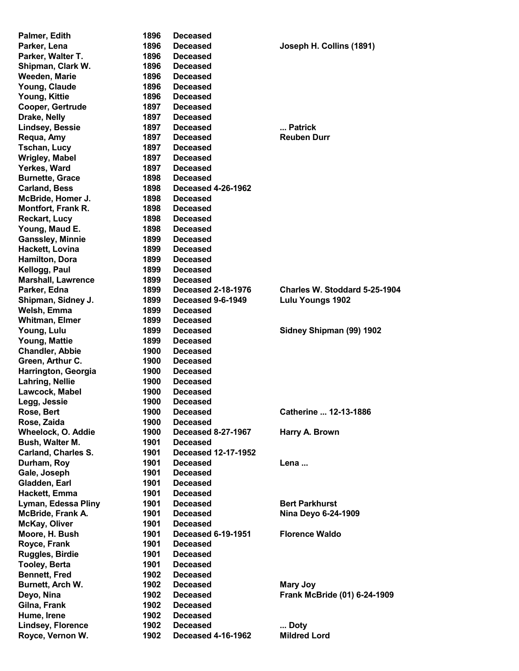| Palmer, Edith              | 1896 | <b>Deceased</b>           |                               |
|----------------------------|------|---------------------------|-------------------------------|
| Parker, Lena               | 1896 | <b>Deceased</b>           | Joseph H. Collins (1891)      |
| Parker, Walter T.          | 1896 | <b>Deceased</b>           |                               |
| Shipman, Clark W.          | 1896 | <b>Deceased</b>           |                               |
| Weeden, Marie              | 1896 | <b>Deceased</b>           |                               |
| Young, Claude              | 1896 | <b>Deceased</b>           |                               |
| Young, Kittie              | 1896 | <b>Deceased</b>           |                               |
| Cooper, Gertrude           | 1897 | <b>Deceased</b>           |                               |
| Drake, Nelly               | 1897 | <b>Deceased</b>           |                               |
| <b>Lindsey, Bessie</b>     | 1897 | <b>Deceased</b>           | Patrick                       |
| Requa, Amy                 | 1897 | <b>Deceased</b>           | <b>Reuben Durr</b>            |
|                            | 1897 |                           |                               |
| <b>Tschan, Lucy</b>        |      | <b>Deceased</b>           |                               |
| <b>Wrigley, Mabel</b>      | 1897 | <b>Deceased</b>           |                               |
| Yerkes, Ward               | 1897 | <b>Deceased</b>           |                               |
| <b>Burnette, Grace</b>     | 1898 | <b>Deceased</b>           |                               |
| <b>Carland, Bess</b>       | 1898 | <b>Deceased 4-26-1962</b> |                               |
| McBride, Homer J.          | 1898 | <b>Deceased</b>           |                               |
| <b>Montfort, Frank R.</b>  | 1898 | Deceased                  |                               |
| <b>Reckart, Lucy</b>       | 1898 | <b>Deceased</b>           |                               |
| Young, Maud E.             | 1898 | <b>Deceased</b>           |                               |
| <b>Ganssley, Minnie</b>    | 1899 | <b>Deceased</b>           |                               |
| Hackett, Lovina            | 1899 | <b>Deceased</b>           |                               |
| Hamilton, Dora             | 1899 | <b>Deceased</b>           |                               |
| Kellogg, Paul              | 1899 | <b>Deceased</b>           |                               |
| <b>Marshall, Lawrence</b>  | 1899 | <b>Deceased</b>           |                               |
| Parker, Edna               | 1899 | <b>Deceased 2-18-1976</b> | Charles W. Stoddard 5-25-1904 |
| Shipman, Sidney J.         | 1899 | Deceased 9-6-1949         | <b>Lulu Youngs 1902</b>       |
| Welsh, Emma                | 1899 | <b>Deceased</b>           |                               |
| <b>Whitman, Elmer</b>      | 1899 | <b>Deceased</b>           |                               |
|                            | 1899 | <b>Deceased</b>           | Sidney Shipman (99) 1902      |
| Young, Lulu                |      |                           |                               |
| Young, Mattie              | 1899 | <b>Deceased</b>           |                               |
| <b>Chandler, Abbie</b>     | 1900 | <b>Deceased</b>           |                               |
| Green, Arthur C.           | 1900 | <b>Deceased</b>           |                               |
| Harrington, Georgia        | 1900 | <b>Deceased</b>           |                               |
| Lahring, Nellie            | 1900 | <b>Deceased</b>           |                               |
| Lawcock, Mabel             | 1900 | <b>Deceased</b>           |                               |
| Legg, Jessie               | 1900 | <b>Deceased</b>           |                               |
| Rose, Bert                 | 1900 | <b>Deceased</b>           | Catherine  12-13-1886         |
| Rose, Zaida                | 1900 | <b>Deceased</b>           |                               |
| Wheelock, O. Addie         | 1900 | <b>Deceased 8-27-1967</b> | Harry A. Brown                |
| Bush, Walter M.            | 1901 | <b>Deceased</b>           |                               |
| <b>Carland, Charles S.</b> | 1901 | Deceased 12-17-1952       |                               |
| Durham, Roy                | 1901 | <b>Deceased</b>           | Lena                          |
| Gale, Joseph               | 1901 | <b>Deceased</b>           |                               |
| Gladden, Earl              | 1901 | <b>Deceased</b>           |                               |
| Hackett, Emma              | 1901 | <b>Deceased</b>           |                               |
| Lyman, Edessa Pliny        | 1901 | <b>Deceased</b>           | <b>Bert Parkhurst</b>         |
| McBride, Frank A.          | 1901 | <b>Deceased</b>           | Nina Deyo 6-24-1909           |
| McKay, Oliver              | 1901 | <b>Deceased</b>           |                               |
| Moore, H. Bush             | 1901 | <b>Deceased 6-19-1951</b> | <b>Florence Waldo</b>         |
|                            |      |                           |                               |
| Royce, Frank               | 1901 | <b>Deceased</b>           |                               |
| <b>Ruggles, Birdie</b>     | 1901 | <b>Deceased</b>           |                               |
| <b>Tooley, Berta</b>       | 1901 | <b>Deceased</b>           |                               |
| <b>Bennett, Fred</b>       | 1902 | <b>Deceased</b>           |                               |
| Burnett, Arch W.           | 1902 | <b>Deceased</b>           | <b>Mary Joy</b>               |
| Deyo, Nina                 | 1902 | <b>Deceased</b>           | Frank McBride (01) 6-24-1909  |
| Gilna, Frank               | 1902 | <b>Deceased</b>           |                               |
| Hume, Irene                | 1902 | <b>Deceased</b>           |                               |
| <b>Lindsey, Florence</b>   | 1902 | <b>Deceased</b>           | Doty                          |
| Royce, Vernon W.           | 1902 | <b>Deceased 4-16-1962</b> | <b>Mildred Lord</b>           |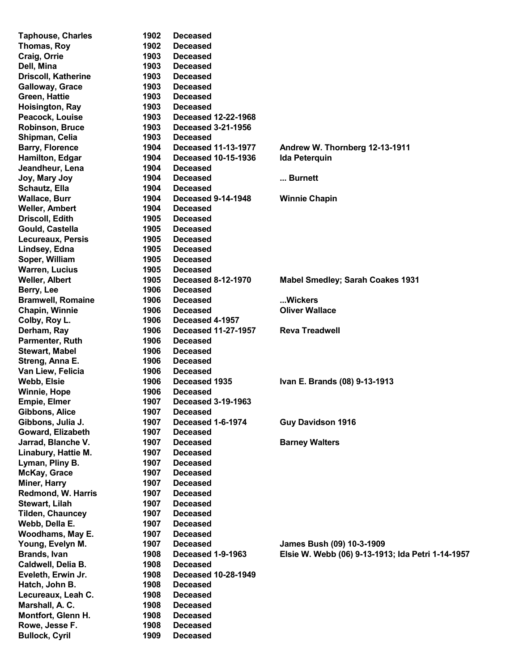| <b>Taphouse, Charles</b>   | 1902 | <b>Deceased</b>            |                                                   |
|----------------------------|------|----------------------------|---------------------------------------------------|
| Thomas, Roy                | 1902 | <b>Deceased</b>            |                                                   |
| Craig, Orrie               | 1903 | <b>Deceased</b>            |                                                   |
| Dell, Mina                 | 1903 | <b>Deceased</b>            |                                                   |
| <b>Driscoll, Katherine</b> | 1903 | <b>Deceased</b>            |                                                   |
| <b>Galloway, Grace</b>     | 1903 | <b>Deceased</b>            |                                                   |
| Green, Hattie              | 1903 | <b>Deceased</b>            |                                                   |
| Hoisington, Ray            | 1903 | <b>Deceased</b>            |                                                   |
| Peacock, Louise            | 1903 | <b>Deceased 12-22-1968</b> |                                                   |
| <b>Robinson, Bruce</b>     | 1903 | <b>Deceased 3-21-1956</b>  |                                                   |
| Shipman, Celia             | 1903 | <b>Deceased</b>            |                                                   |
| <b>Barry, Florence</b>     | 1904 | <b>Deceased 11-13-1977</b> | Andrew W. Thornberg 12-13-1911                    |
| Hamilton, Edgar            | 1904 | <b>Deceased 10-15-1936</b> | <b>Ida Peterquin</b>                              |
| Jeandheur, Lena            | 1904 | <b>Deceased</b>            |                                                   |
| Joy, Mary Joy              | 1904 | <b>Deceased</b>            | Burnett                                           |
| Schautz, Ella              | 1904 | <b>Deceased</b>            |                                                   |
| <b>Wallace, Burr</b>       | 1904 | <b>Deceased 9-14-1948</b>  | <b>Winnie Chapin</b>                              |
| <b>Weller, Ambert</b>      | 1904 | <b>Deceased</b>            |                                                   |
| <b>Driscoll, Edith</b>     | 1905 | <b>Deceased</b>            |                                                   |
| Gould, Castella            | 1905 | <b>Deceased</b>            |                                                   |
| <b>Lecureaux, Persis</b>   | 1905 | <b>Deceased</b>            |                                                   |
| Lindsey, Edna              | 1905 | <b>Deceased</b>            |                                                   |
| Soper, William             | 1905 | <b>Deceased</b>            |                                                   |
| <b>Warren, Lucius</b>      | 1905 | <b>Deceased</b>            |                                                   |
| <b>Weller, Albert</b>      | 1905 | <b>Deceased 8-12-1970</b>  | <b>Mabel Smedley; Sarah Coakes 1931</b>           |
| Berry, Lee                 | 1906 | <b>Deceased</b>            |                                                   |
| <b>Bramwell, Romaine</b>   | 1906 | <b>Deceased</b>            | Wickers                                           |
| <b>Chapin, Winnie</b>      | 1906 | <b>Deceased</b>            | <b>Oliver Wallace</b>                             |
| Colby, Roy L.              | 1906 | Deceased 4-1957            |                                                   |
| Derham, Ray                | 1906 | <b>Deceased 11-27-1957</b> | <b>Reva Treadwell</b>                             |
| Parmenter, Ruth            | 1906 | <b>Deceased</b>            |                                                   |
| <b>Stewart, Mabel</b>      | 1906 | <b>Deceased</b>            |                                                   |
| Streng, Anna E.            | 1906 | <b>Deceased</b>            |                                                   |
| Van Liew, Felicia          | 1906 | <b>Deceased</b>            |                                                   |
| Webb, Elsie                | 1906 | Deceased 1935              | Ivan E. Brands (08) 9-13-1913                     |
| <b>Winnie, Hope</b>        | 1906 | <b>Deceased</b>            |                                                   |
| <b>Empie, Elmer</b>        | 1907 | <b>Deceased 3-19-1963</b>  |                                                   |
| <b>Gibbons, Alice</b>      | 1907 | <b>Deceased</b>            |                                                   |
| Gibbons, Julia J.          | 1907 | Deceased 1-6-1974          | <b>Guy Davidson 1916</b>                          |
| Goward, Elizabeth          | 1907 | <b>Deceased</b>            |                                                   |
| Jarrad, Blanche V.         | 1907 | <b>Deceased</b>            | <b>Barney Walters</b>                             |
| Linabury, Hattie M.        | 1907 | <b>Deceased</b>            |                                                   |
| Lyman, Pliny B.            | 1907 | <b>Deceased</b>            |                                                   |
| McKay, Grace               | 1907 | <b>Deceased</b>            |                                                   |
| Miner, Harry               | 1907 | <b>Deceased</b>            |                                                   |
| Redmond, W. Harris         | 1907 | <b>Deceased</b>            |                                                   |
| Stewart, Lilah             | 1907 | <b>Deceased</b>            |                                                   |
| <b>Tilden, Chauncey</b>    | 1907 | <b>Deceased</b>            |                                                   |
| Webb, Della E.             | 1907 | <b>Deceased</b>            |                                                   |
| <b>Woodhams, May E.</b>    | 1907 | <b>Deceased</b>            |                                                   |
| Young, Evelyn M.           | 1907 | <b>Deceased</b>            | James Bush (09) 10-3-1909                         |
| <b>Brands, Ivan</b>        | 1908 | <b>Deceased 1-9-1963</b>   | Elsie W. Webb (06) 9-13-1913; Ida Petri 1-14-1957 |
| Caldwell, Delia B.         | 1908 | <b>Deceased</b>            |                                                   |
| Eveleth, Erwin Jr.         | 1908 | <b>Deceased 10-28-1949</b> |                                                   |
| Hatch, John B.             | 1908 | <b>Deceased</b>            |                                                   |
| Lecureaux, Leah C.         | 1908 | <b>Deceased</b>            |                                                   |
| Marshall, A.C.             | 1908 | <b>Deceased</b>            |                                                   |
| Montfort, Glenn H.         | 1908 | <b>Deceased</b>            |                                                   |
| Rowe, Jesse F.             | 1908 | <b>Deceased</b>            |                                                   |
| <b>Bullock, Cyril</b>      | 1909 | <b>Deceased</b>            |                                                   |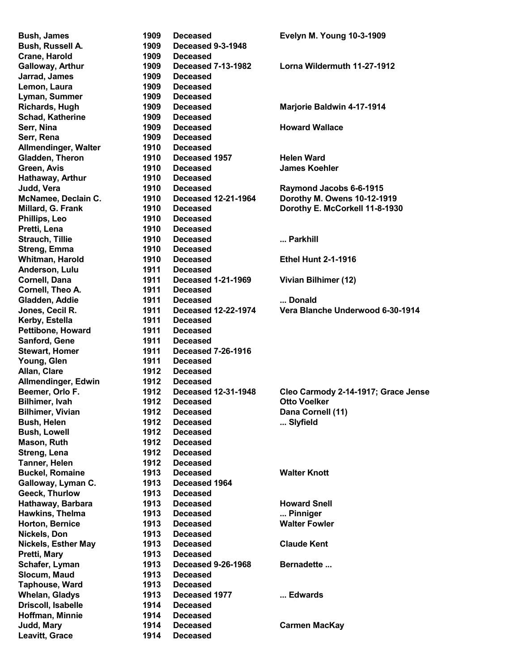Bush, James 1909 Deceased Evelyn M. Young 10-3-1909 Bush, Russell A. 1909 Deceased 9-3-1948 Crane, Harold 1909 Deceased Galloway, Arthur 1909 Deceased 7-13-1982 Lorna Wildermuth 11-27-1912 Jarrad, James 1909 Deceased Lemon, Laura 1909 Deceased Lyman, Summer 1909 Deceased Richards, Hugh 1909 Deceased Marjorie Baldwin 4-17-1914 Schad, Katherine 1909 Deceased Serr, Nina 1909 Deceased Howard Wallace Serr, Rena 1909 Deceased Allmendinger, Walter 1910 Deceased Gladden, Theron **1910** Deceased 1957 Helen Ward Green, Avis 1910 Deceased James Koehler Hathaway, Arthur 1910 Deceased Judd, Vera **1910** Deceased Raymond Jacobs 6-6-1915 McNamee, Declain C. 1910 Deceased 12-21-1964 Dorothy M. Owens 10-12-1919 Millard, G. Frank 1910 Deceased Dorothy E. McCorkell 11-8-1930 Phillips, Leo 1910 Deceased Pretti, Lena 1910 Deceased Strauch, Tillie 1910 Deceased ... Parkhill Streng, Emma 1910 Deceased Whitman, Harold **1910** Deceased **Ethel Hunt 2-1-1916** Anderson, Lulu 1911 Deceased Cornell, Dana 1911 Deceased 1-21-1969 Vivian Bilhimer (12) Cornell, Theo A. 1911 Deceased Gladden, Addie 1911 Deceased ... Donald Jones, Cecil R. 1911 Deceased 12-22-1974 Vera Blanche Underwood 6-30-1914 Kerby, Estella 1911 Deceased Pettibone, Howard 1911 Deceased Sanford, Gene 1911 Deceased Stewart, Homer 1911 Deceased 7-26-1916 Young, Glen 1911 Deceased Allan, Clare 1912 Deceased Allmendinger, Edwin 1912 Deceased Beemer, Orlo F. 1912 Deceased 12-31-1948 Cleo Carmody 2-14-1917; Grace Jense Bilhimer, Ivah 1912 Deceased Otto Voelker Bilhimer, Vivian **1912** Deceased **Dana Cornell (11)** Bush, Helen **1912** Deceased **... Slyfield** ... Slyfield Bush, Lowell 1912 Deceased Mason, Ruth 1912 Deceased Streng, Lena 1912 Deceased Tanner, Helen 1912 Deceased Buckel, Romaine 1913 Deceased Walter Knott Galloway, Lyman C. 1913 Deceased 1964 Geeck, Thurlow 1913 Deceased Hathaway, Barbara 1913 Deceased Howard Snell Hawkins, Thelma **1913** Deceased **... Pinniger** ... Pinniger Horton, Bernice 1913 Deceased Walter Fowler Nickels, Don 1913 Deceased Nickels, Esther May 1913 Deceased Claude Kent Pretti, Mary 1913 Deceased Schafer, Lyman **1913** Deceased 9-26-1968 Bernadette ... Slocum, Maud 1913 Deceased Taphouse, Ward 1913 Deceased Whelan, Gladys **1913** Deceased 1977 ... Edwards Driscoll, Isabelle 1914 Deceased Hoffman, Minnie 1914 Deceased Judd, Mary 1914 Deceased Carmen MacKay Leavitt, Grace 1914 Deceased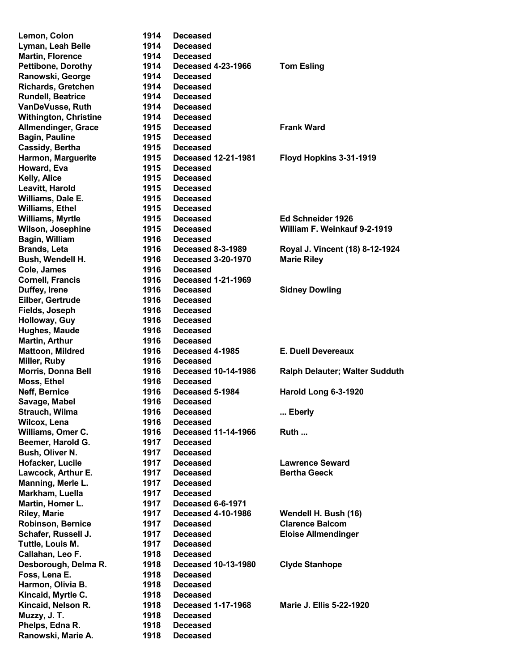| Lemon, Colon                 | 1914 | <b>Deceased</b>            |                                 |
|------------------------------|------|----------------------------|---------------------------------|
| Lyman, Leah Belle            | 1914 | <b>Deceased</b>            |                                 |
| <b>Martin, Florence</b>      | 1914 | <b>Deceased</b>            |                                 |
| <b>Pettibone, Dorothy</b>    | 1914 | <b>Deceased 4-23-1966</b>  | <b>Tom Esling</b>               |
| Ranowski, George             | 1914 | <b>Deceased</b>            |                                 |
| <b>Richards, Gretchen</b>    | 1914 | <b>Deceased</b>            |                                 |
| <b>Rundell, Beatrice</b>     | 1914 | <b>Deceased</b>            |                                 |
| VanDeVusse, Ruth             |      |                            |                                 |
|                              | 1914 | <b>Deceased</b>            |                                 |
| <b>Withington, Christine</b> | 1914 | <b>Deceased</b>            |                                 |
| Allmendinger, Grace          | 1915 | <b>Deceased</b>            | <b>Frank Ward</b>               |
| <b>Bagin, Pauline</b>        | 1915 | <b>Deceased</b>            |                                 |
| Cassidy, Bertha              | 1915 | Deceased                   |                                 |
| Harmon, Marguerite           | 1915 | <b>Deceased 12-21-1981</b> | Floyd Hopkins 3-31-1919         |
| Howard, Eva                  | 1915 | <b>Deceased</b>            |                                 |
| Kelly, Alice                 | 1915 | <b>Deceased</b>            |                                 |
| Leavitt, Harold              | 1915 | <b>Deceased</b>            |                                 |
| Williams, Dale E.            | 1915 | <b>Deceased</b>            |                                 |
| Williams, Ethel              | 1915 | <b>Deceased</b>            |                                 |
| Williams, Myrtle             | 1915 | <b>Deceased</b>            | Ed Schneider 1926               |
|                              | 1915 |                            | William F. Weinkauf 9-2-1919    |
| Wilson, Josephine            |      | <b>Deceased</b>            |                                 |
| Bagin, William               | 1916 | <b>Deceased</b>            |                                 |
| Brands, Leta                 | 1916 | <b>Deceased 8-3-1989</b>   | Royal J. Vincent (18) 8-12-1924 |
| Bush, Wendell H.             | 1916 | <b>Deceased 3-20-1970</b>  | <b>Marie Riley</b>              |
| Cole, James                  | 1916 | <b>Deceased</b>            |                                 |
| <b>Cornell, Francis</b>      | 1916 | <b>Deceased 1-21-1969</b>  |                                 |
| Duffey, Irene                | 1916 | <b>Deceased</b>            | <b>Sidney Dowling</b>           |
| Eilber, Gertrude             | 1916 | <b>Deceased</b>            |                                 |
| Fields, Joseph               | 1916 | <b>Deceased</b>            |                                 |
| Holloway, Guy                | 1916 | <b>Deceased</b>            |                                 |
| <b>Hughes, Maude</b>         | 1916 | <b>Deceased</b>            |                                 |
| Martin, Arthur               | 1916 | <b>Deceased</b>            |                                 |
|                              | 1916 |                            | <b>E. Duell Devereaux</b>       |
| Mattoon, Mildred             |      | Deceased 4-1985            |                                 |
| Miller, Ruby                 | 1916 | <b>Deceased</b>            |                                 |
| Morris, Donna Bell           | 1916 | <b>Deceased 10-14-1986</b> | Ralph Delauter; Walter Sudduth  |
| Moss, Ethel                  | 1916 | <b>Deceased</b>            |                                 |
| Neff, Bernice                | 1916 | Deceased 5-1984            | Harold Long 6-3-1920            |
| Savage, Mabel                | 1916 | <b>Deceased</b>            |                                 |
| Strauch, Wilma               | 1916 | <b>Deceased</b>            | Eberly                          |
| Wilcox, Lena                 | 1916 | <b>Deceased</b>            |                                 |
| Williams, Omer C.            | 1916 | <b>Deceased 11-14-1966</b> | Ruth                            |
| Beemer, Harold G.            | 1917 | <b>Deceased</b>            |                                 |
| <b>Bush, Oliver N.</b>       | 1917 | <b>Deceased</b>            |                                 |
| Hofacker, Lucile             | 1917 | <b>Deceased</b>            | <b>Lawrence Seward</b>          |
| Lawcock, Arthur E.           | 1917 | <b>Deceased</b>            | <b>Bertha Geeck</b>             |
| Manning, Merle L.            | 1917 | <b>Deceased</b>            |                                 |
| Markham, Luella              | 1917 | <b>Deceased</b>            |                                 |
|                              |      |                            |                                 |
| Martin, Homer L.             | 1917 | Deceased 6-6-1971          |                                 |
| Riley, Marie                 | 1917 | <b>Deceased 4-10-1986</b>  | Wendell H. Bush (16)            |
| <b>Robinson, Bernice</b>     | 1917 | <b>Deceased</b>            | <b>Clarence Balcom</b>          |
| Schafer, Russell J.          | 1917 | <b>Deceased</b>            | <b>Eloise Allmendinger</b>      |
| Tuttle, Louis M.             | 1917 | <b>Deceased</b>            |                                 |
| Callahan, Leo F.             | 1918 | <b>Deceased</b>            |                                 |
| Desborough, Delma R.         | 1918 | <b>Deceased 10-13-1980</b> | <b>Clyde Stanhope</b>           |
| Foss, Lena E.                | 1918 | <b>Deceased</b>            |                                 |
| Harmon, Olivia B.            | 1918 | <b>Deceased</b>            |                                 |
| Kincaid, Myrtle C.           | 1918 | <b>Deceased</b>            |                                 |
| Kincaid, Nelson R.           | 1918 | <b>Deceased 1-17-1968</b>  | <b>Marie J. Ellis 5-22-1920</b> |
| Muzzy, J. T.                 | 1918 | <b>Deceased</b>            |                                 |
| Phelps, Edna R.              | 1918 | <b>Deceased</b>            |                                 |
| Ranowski, Marie A.           | 1918 | <b>Deceased</b>            |                                 |
|                              |      |                            |                                 |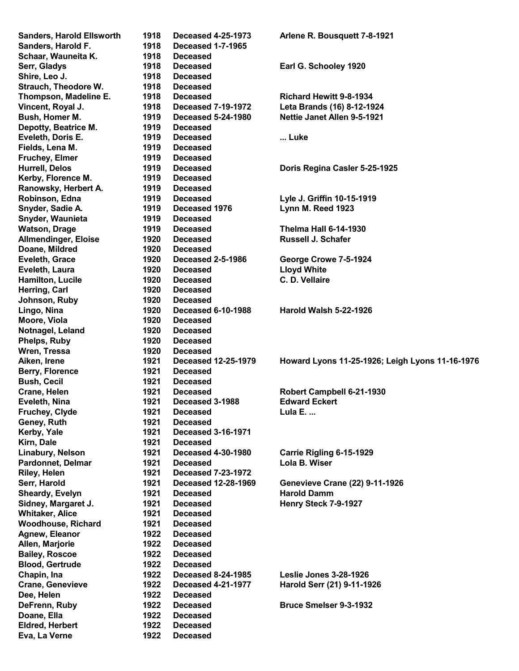| <b>Sanders, Harold Ellsworth</b>        | 1918 | <b>Deceased 4-25-1973</b>   | Arlene R. Bousquett 7-8-1921                    |
|-----------------------------------------|------|-----------------------------|-------------------------------------------------|
| Sanders, Harold F.                      | 1918 | <b>Deceased 1-7-1965</b>    |                                                 |
| Schaar, Wauneita K.                     | 1918 | <b>Deceased</b>             |                                                 |
| Serr, Gladys                            | 1918 | <b>Deceased</b>             | Earl G. Schooley 1920                           |
| Shire, Leo J.                           | 1918 | <b>Deceased</b>             |                                                 |
| Strauch, Theodore W.                    | 1918 | Deceased                    |                                                 |
| Thompson, Madeline E.                   | 1918 | <b>Deceased</b>             | <b>Richard Hewitt 9-8-1934</b>                  |
| Vincent, Royal J.                       | 1918 | <b>Deceased 7-19-1972</b>   | Leta Brands (16) 8-12-1924                      |
| Bush, Homer M.                          | 1919 | <b>Deceased 5-24-1980</b>   | <b>Nettie Janet Allen 9-5-1921</b>              |
| Depotty, Beatrice M.                    | 1919 | Deceased                    |                                                 |
| Eveleth, Doris E.                       | 1919 | <b>Deceased</b>             | Luke                                            |
| Fields, Lena M.                         | 1919 | <b>Deceased</b>             |                                                 |
| <b>Fruchey, Elmer</b>                   | 1919 | <b>Deceased</b>             |                                                 |
| <b>Hurrell, Delos</b>                   | 1919 | <b>Deceased</b>             | Doris Regina Casler 5-25-1925                   |
| Kerby, Florence M.                      | 1919 | <b>Deceased</b>             |                                                 |
| Ranowsky, Herbert A.                    | 1919 | <b>Deceased</b>             |                                                 |
| Robinson, Edna                          | 1919 | <b>Deceased</b>             | Lyle J. Griffin 10-15-1919                      |
| Snyder, Sadie A.                        | 1919 | Deceased 1976               | Lynn M. Reed 1923                               |
| Snyder, Waunieta                        | 1919 | <b>Deceased</b>             |                                                 |
| <b>Watson, Drage</b>                    | 1919 | <b>Deceased</b>             | <b>Thelma Hall 6-14-1930</b>                    |
|                                         | 1920 |                             | <b>Russell J. Schafer</b>                       |
| <b>Allmendinger, Eloise</b>             | 1920 | <b>Deceased</b><br>Deceased |                                                 |
| Doane, Mildred                          |      | <b>Deceased 2-5-1986</b>    |                                                 |
| Eveleth, Grace                          | 1920 |                             | George Crowe 7-5-1924                           |
| Eveleth, Laura                          | 1920 | Deceased                    | <b>Lloyd White</b>                              |
| Hamilton, Lucile                        | 1920 | <b>Deceased</b>             | C. D. Vellaire                                  |
| Herring, Carl                           | 1920 | <b>Deceased</b>             |                                                 |
| Johnson, Ruby                           | 1920 | <b>Deceased</b>             |                                                 |
| Lingo, Nina                             | 1920 | <b>Deceased 6-10-1988</b>   | Harold Walsh 5-22-1926                          |
| Moore, Viola                            | 1920 | <b>Deceased</b>             |                                                 |
| Notnagel, Leland                        | 1920 | <b>Deceased</b>             |                                                 |
| <b>Phelps, Ruby</b>                     | 1920 | <b>Deceased</b>             |                                                 |
| Wren, Tressa                            | 1920 | <b>Deceased</b>             |                                                 |
| Aiken, Irene                            | 1921 | <b>Deceased 12-25-1979</b>  | Howard Lyons 11-25-1926; Leigh Lyons 11-16-1976 |
| Berry, Florence                         | 1921 | <b>Deceased</b>             |                                                 |
| <b>Bush, Cecil</b>                      | 1921 | <b>Deceased</b>             |                                                 |
| Crane, Helen                            | 1921 | Deceased                    | Robert Campbell 6-21-1930                       |
| Eveleth, Nina                           | 1921 | Deceased 3-1988             | <b>Edward Eckert</b>                            |
| Fruchey, Clyde                          | 1921 | <b>Deceased</b>             | Lula E.                                         |
| Geney, Ruth                             | 1921 | <b>Deceased</b>             |                                                 |
| Kerby, Yale                             | 1921 | <b>Deceased 3-16-1971</b>   |                                                 |
| Kirn, Dale                              | 1921 | Deceased                    |                                                 |
| Linabury, Nelson                        | 1921 | <b>Deceased 4-30-1980</b>   | Carrie Rigling 6-15-1929                        |
| <b>Pardonnet, Delmar</b>                | 1921 | <b>Deceased</b>             | Lola B. Wiser                                   |
| Riley, Helen                            | 1921 | <b>Deceased 7-23-1972</b>   |                                                 |
| Serr, Harold                            | 1921 | <b>Deceased 12-28-1969</b>  | <b>Genevieve Crane (22) 9-11-1926</b>           |
| Sheardy, Evelyn                         | 1921 | <b>Deceased</b>             | <b>Harold Damm</b>                              |
| Sidney, Margaret J.                     | 1921 | <b>Deceased</b>             | Henry Steck 7-9-1927                            |
| <b>Whitaker, Alice</b>                  | 1921 | <b>Deceased</b>             |                                                 |
| <b>Woodhouse, Richard</b>               | 1921 | <b>Deceased</b>             |                                                 |
| Agnew, Eleanor                          | 1922 | <b>Deceased</b>             |                                                 |
| Allen, Marjorie                         | 1922 | <b>Deceased</b>             |                                                 |
| <b>Bailey, Roscoe</b>                   | 1922 | <b>Deceased</b>             |                                                 |
| <b>Blood, Gertrude</b>                  | 1922 | <b>Deceased</b>             |                                                 |
| Chapin, Ina                             | 1922 | <b>Deceased 8-24-1985</b>   | <b>Leslie Jones 3-28-1926</b>                   |
| <b>Crane, Genevieve</b>                 | 1922 | <b>Deceased 4-21-1977</b>   | Harold Serr (21) 9-11-1926                      |
| Dee, Helen                              |      |                             |                                                 |
|                                         | 1922 | <b>Deceased</b>             |                                                 |
|                                         | 1922 | <b>Deceased</b>             | <b>Bruce Smelser 9-3-1932</b>                   |
| DeFrenn, Ruby                           | 1922 | <b>Deceased</b>             |                                                 |
| Doane, Ella                             | 1922 | <b>Deceased</b>             |                                                 |
| <b>Eldred, Herbert</b><br>Eva, La Verne | 1922 | <b>Deceased</b>             |                                                 |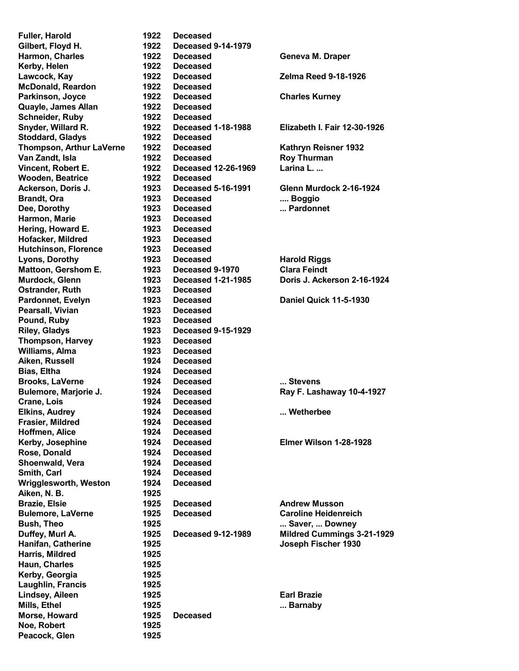Fuller, Harold 1922 Deceased Gilbert, Floyd H. 1922 Deceased 9-14-1979 Kerby, Helen 1922 Deceased McDonald, Reardon 1922 Deceased Parkinson, Joyce 1922 Deceased Charles Kurney Quayle, James Allan 1922 Deceased Schneider, Ruby 1922 Deceased Stoddard, Gladys 1922 Deceased Van Zandt, Isla **1922** Deceased Roy Thurman Vincent, Robert E. 1922 Deceased 12-26-1969 Larina L. ... Wooden, Beatrice 1922 Deceased Brandt, Ora 1923 Deceased .... Boggio Dee, Dorothy **1923** Deceased **... Pardonnet** Harmon, Marie **1923** Deceased Hering, Howard E. 1923 Deceased Hofacker, Mildred 1923 Deceased Hutchinson, Florence 1923 Deceased Lyons, Dorothy **1923** Deceased **Harold Riggs** Mattoon, Gershom E. 1923 Deceased 9-1970 Clara Feindt Ostrander, Ruth 1923 Deceased Pearsall, Vivian 1923 Deceased Pound, Ruby 1923 Deceased Riley, Gladys 1923 Deceased 9-15-1929 Thompson, Harvey 1923 Deceased Williams, Alma 1923 Deceased Aiken, Russell 1924 Deceased Bias, Eltha 1924 Deceased Brooks, LaVerne **1924** Deceased **... Stevens** Crane, Lois 1924 Deceased Elkins, Audrey **1924** Deceased **... Wetherbee** Frasier, Mildred 1924 Deceased Hoffmen, Alice 1924 Deceased Rose, Donald 1924 Deceased Shoenwald, Vera 1924 Deceased Smith, Carl 1924 Deceased Wrigglesworth, Weston 1924 Deceased Aiken, N. B. 1925 Brazie, Elsie 1925 Deceased Andrew Musson Harris, Mildred 1925 Haun, Charles 1925 Kerby, Georgia 1925 Laughlin, Francis 1925 Lindsey, Aileen 1925 Earl Brazie Mills, Ethel **1925** ... Barnaby Morse, Howard 1925 Deceased Noe, Robert 1925 Peacock, Glen 1925

Harmon, Charles **1922** Deceased Geneva M. Draper Lawcock, Kay 1922 Deceased Zelma Reed 9-18-1926 Snyder, Willard R. 1922 Deceased 1-18-1988 Elizabeth I. Fair 12-30-1926 Thompson, Arthur LaVerne 1922 Deceased Kathryn Reisner 1932 Ackerson, Doris J. 1923 Deceased 5-16-1991 Glenn Murdock 2-16-1924 Murdock, Glenn 1923 Deceased 1-21-1985 Doris J. Ackerson 2-16-1924 Pardonnet, Evelyn 1923 Deceased Daniel Quick 11-5-1930 Bulemore, Marjorie J. 1924 Deceased Ray F. Lashaway 10-4-1927 Kerby, Josephine 1924 Deceased Elmer Wilson 1-28-1928 Bulemore, LaVerne 1925 Deceased Caroline Heidenreich Bush, Theo **1925 ... Saver, ... Downey** ... Saver, ... Downey Duffey, Murl A. 1925 Deceased 9-12-1989 Mildred Cummings 3-21-1929 Hanifan, Catherine 1925 Joseph Fischer 1930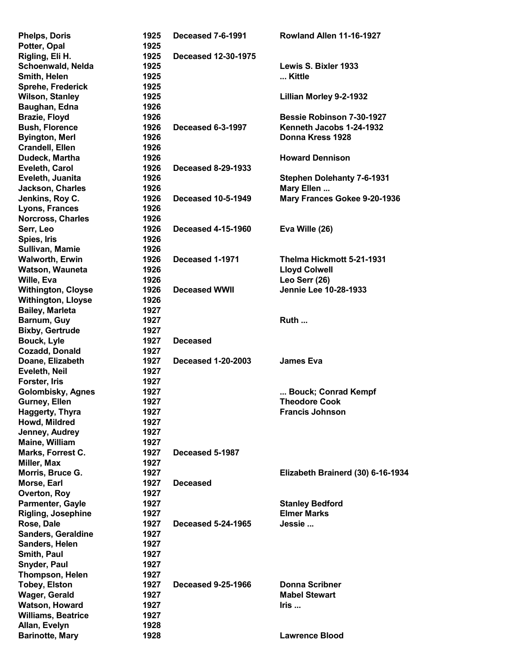| <b>Phelps, Doris</b>      | 1925 | <b>Deceased 7-6-1991</b>   | Rowland Allen 11-16-1927          |
|---------------------------|------|----------------------------|-----------------------------------|
| Potter, Opal              | 1925 |                            |                                   |
| Rigling, Eli H.           | 1925 | <b>Deceased 12-30-1975</b> |                                   |
| Schoenwald, Nelda         | 1925 |                            | Lewis S. Bixler 1933              |
| Smith, Helen              | 1925 |                            | Kittle                            |
| Sprehe, Frederick         | 1925 |                            |                                   |
| <b>Wilson, Stanley</b>    | 1925 |                            | Lillian Morley 9-2-1932           |
| Baughan, Edna             | 1926 |                            |                                   |
| <b>Brazie, Floyd</b>      | 1926 |                            | <b>Bessie Robinson 7-30-1927</b>  |
| <b>Bush, Florence</b>     | 1926 | <b>Deceased 6-3-1997</b>   | Kenneth Jacobs 1-24-1932          |
| <b>Byington, Merl</b>     | 1926 |                            | Donna Kress 1928                  |
| <b>Crandell, Ellen</b>    | 1926 |                            |                                   |
| Dudeck, Martha            | 1926 |                            | <b>Howard Dennison</b>            |
| Eveleth, Carol            | 1926 | <b>Deceased 8-29-1933</b>  |                                   |
| Eveleth, Juanita          | 1926 |                            | <b>Stephen Dolehanty 7-6-1931</b> |
| Jackson, Charles          | 1926 |                            | Mary Ellen                        |
| Jenkins, Roy C.           | 1926 | <b>Deceased 10-5-1949</b>  | Mary Frances Gokee 9-20-1936      |
| Lyons, Frances            | 1926 |                            |                                   |
| Norcross, Charles         | 1926 |                            |                                   |
|                           |      |                            |                                   |
| Serr, Leo                 | 1926 | <b>Deceased 4-15-1960</b>  | Eva Wille (26)                    |
| Spies, Iris               | 1926 |                            |                                   |
| Sullivan, Mamie           | 1926 |                            |                                   |
| <b>Walworth, Erwin</b>    | 1926 | Deceased 1-1971            | Thelma Hickmott 5-21-1931         |
| Watson, Wauneta           | 1926 |                            | <b>Lloyd Colwell</b>              |
| Wille, Eva                | 1926 |                            | Leo Serr (26)                     |
| <b>Withington, Cloyse</b> | 1926 | <b>Deceased WWII</b>       | Jennie Lee 10-28-1933             |
| <b>Withington, Lloyse</b> | 1926 |                            |                                   |
| <b>Bailey, Marleta</b>    | 1927 |                            |                                   |
| Barnum, Guy               | 1927 |                            | Ruth                              |
| <b>Bixby, Gertrude</b>    | 1927 |                            |                                   |
| <b>Bouck, Lyle</b>        | 1927 | <b>Deceased</b>            |                                   |
| Cozadd, Donald            | 1927 |                            |                                   |
| Doane, Elizabeth          | 1927 | <b>Deceased 1-20-2003</b>  | <b>James Eva</b>                  |
| Eveleth, Neil             | 1927 |                            |                                   |
| Forster, Iris             | 1927 |                            |                                   |
| Golombisky, Agnes         | 1927 |                            | Bouck; Conrad Kempf               |
| Gurney, Ellen             | 1927 |                            | <b>Theodore Cook</b>              |
| <b>Haggerty, Thyra</b>    | 1927 |                            | <b>Francis Johnson</b>            |
| Howd, Mildred             | 1927 |                            |                                   |
| Jenney, Audrey            | 1927 |                            |                                   |
| Maine, William            | 1927 |                            |                                   |
| Marks, Forrest C.         | 1927 | Deceased 5-1987            |                                   |
| Miller, Max               | 1927 |                            |                                   |
| Morris, Bruce G.          | 1927 |                            | Elizabeth Brainerd (30) 6-16-1934 |
| Morse, Earl               | 1927 | <b>Deceased</b>            |                                   |
| Overton, Roy              | 1927 |                            |                                   |
| Parmenter, Gayle          | 1927 |                            | <b>Stanley Bedford</b>            |
| Rigling, Josephine        | 1927 |                            | <b>Elmer Marks</b>                |
| Rose, Dale                | 1927 | <b>Deceased 5-24-1965</b>  | Jessie                            |
| <b>Sanders, Geraldine</b> | 1927 |                            |                                   |
| Sanders, Helen            | 1927 |                            |                                   |
| Smith, Paul               | 1927 |                            |                                   |
| Snyder, Paul              | 1927 |                            |                                   |
|                           | 1927 |                            |                                   |
| Thompson, Helen           | 1927 | <b>Deceased 9-25-1966</b>  | <b>Donna Scribner</b>             |
| <b>Tobey, Elston</b>      |      |                            | <b>Mabel Stewart</b>              |
| Wager, Gerald             | 1927 |                            |                                   |
| <b>Watson, Howard</b>     | 1927 |                            | Iris                              |
| <b>Williams, Beatrice</b> | 1927 |                            |                                   |
| Allan, Evelyn             | 1928 |                            |                                   |
| <b>Barinotte, Mary</b>    | 1928 |                            | <b>Lawrence Blood</b>             |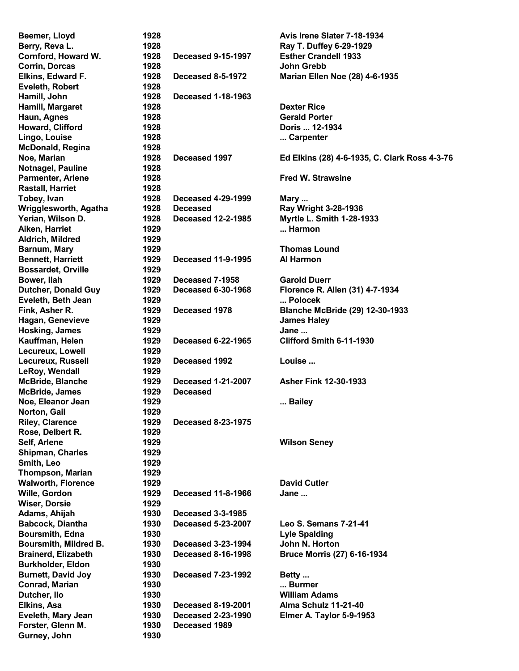| Beemer, Lloyd              | 1928 |                           | Avis Irene Slater 7-18-1934                   |
|----------------------------|------|---------------------------|-----------------------------------------------|
| Berry, Reva L.             | 1928 |                           | Ray T. Duffey 6-29-1929                       |
| Cornford, Howard W.        | 1928 | <b>Deceased 9-15-1997</b> | <b>Esther Crandell 1933</b>                   |
| Corrin, Dorcas             | 1928 |                           | John Grebb                                    |
| Elkins, Edward F.          | 1928 | <b>Deceased 8-5-1972</b>  | <b>Marian Ellen Noe (28) 4-6-1935</b>         |
| <b>Eveleth, Robert</b>     | 1928 |                           |                                               |
| Hamill, John               | 1928 | <b>Deceased 1-18-1963</b> |                                               |
| Hamill, Margaret           | 1928 |                           | <b>Dexter Rice</b>                            |
| Haun, Agnes                | 1928 |                           | <b>Gerald Porter</b>                          |
| Howard, Clifford           | 1928 |                           | Doris  12-1934                                |
| Lingo, Louise              | 1928 |                           | Carpenter                                     |
| <b>McDonald, Regina</b>    | 1928 |                           |                                               |
| Noe, Marian                | 1928 | Deceased 1997             | Ed Elkins (28) 4-6-1935, C. Clark Ross 4-3-76 |
| Notnagel, Pauline          | 1928 |                           |                                               |
| <b>Parmenter, Arlene</b>   | 1928 |                           | <b>Fred W. Strawsine</b>                      |
| <b>Rastall, Harriet</b>    | 1928 |                           |                                               |
| Tobey, Ivan                | 1928 | <b>Deceased 4-29-1999</b> | Mary                                          |
| Wrigglesworth, Agatha      | 1928 | <b>Deceased</b>           | Ray Wright 3-28-1936                          |
| Yerian, Wilson D.          | 1928 | <b>Deceased 12-2-1985</b> | Myrtle L. Smith 1-28-1933                     |
| Aiken, Harriet             | 1929 |                           | Harmon                                        |
|                            |      |                           |                                               |
| Aldrich, Mildred           | 1929 |                           |                                               |
| Barnum, Mary               | 1929 |                           | <b>Thomas Lound</b>                           |
| <b>Bennett, Harriett</b>   | 1929 | <b>Deceased 11-9-1995</b> | Al Harmon                                     |
| <b>Bossardet, Orville</b>  | 1929 |                           |                                               |
| Bower, Ilah                | 1929 | Deceased 7-1958           | <b>Garold Duerr</b>                           |
| <b>Dutcher, Donald Guy</b> | 1929 | <b>Deceased 6-30-1968</b> | Florence R. Allen (31) 4-7-1934               |
| Eveleth, Beth Jean         | 1929 |                           | Polocek                                       |
| Fink, Asher R.             | 1929 | Deceased 1978             | <b>Blanche McBride (29) 12-30-1933</b>        |
| Hagan, Genevieve           | 1929 |                           | <b>James Haley</b>                            |
| Hosking, James             | 1929 |                           | Jane                                          |
| Kauffman, Helen            | 1929 | <b>Deceased 6-22-1965</b> | Clifford Smith 6-11-1930                      |
| Lecureux, Lowell           | 1929 |                           |                                               |
| Lecureux, Russell          | 1929 | Deceased 1992             | Louise                                        |
| LeRoy, Wendall             | 1929 |                           |                                               |
| <b>McBride, Blanche</b>    | 1929 | <b>Deceased 1-21-2007</b> | <b>Asher Fink 12-30-1933</b>                  |
| <b>McBride, James</b>      | 1929 | <b>Deceased</b>           |                                               |
| Noe, Eleanor Jean          | 1929 |                           | Bailey                                        |
| Norton, Gail               | 1929 |                           |                                               |
| <b>Riley, Clarence</b>     | 1929 | <b>Deceased 8-23-1975</b> |                                               |
| Rose, Delbert R.           | 1929 |                           |                                               |
| Self, Arlene               | 1929 |                           | <b>Wilson Seney</b>                           |
| <b>Shipman, Charles</b>    | 1929 |                           |                                               |
| Smith, Leo                 | 1929 |                           |                                               |
| <b>Thompson, Marian</b>    | 1929 |                           |                                               |
| <b>Walworth, Florence</b>  | 1929 |                           | <b>David Cutler</b>                           |
| Wille, Gordon              | 1929 | <b>Deceased 11-8-1966</b> | Jane                                          |
| <b>Wiser, Dorsie</b>       | 1929 |                           |                                               |
| Adams, Ahijah              | 1930 | <b>Deceased 3-3-1985</b>  |                                               |
| <b>Babcock, Diantha</b>    | 1930 | <b>Deceased 5-23-2007</b> | Leo S. Semans 7-21-41                         |
| Boursmith, Edna            | 1930 |                           | <b>Lyle Spalding</b>                          |
| Boursmith, Mildred B.      | 1930 | <b>Deceased 3-23-1994</b> | John N. Horton                                |
| <b>Brainerd, Elizabeth</b> | 1930 | <b>Deceased 8-16-1998</b> | <b>Bruce Morris (27) 6-16-1934</b>            |
| <b>Burkholder, Eldon</b>   | 1930 |                           |                                               |
| <b>Burnett, David Joy</b>  | 1930 |                           |                                               |
| Conrad, Marian             | 1930 | <b>Deceased 7-23-1992</b> | Betty<br>Burmer                               |
|                            | 1930 |                           | <b>William Adams</b>                          |
| Dutcher, Ilo               |      |                           |                                               |
| Elkins, Asa                | 1930 | <b>Deceased 8-19-2001</b> | Alma Schulz 11-21-40                          |
| Eveleth, Mary Jean         | 1930 | <b>Deceased 2-23-1990</b> | Elmer A. Taylor 5-9-1953                      |
| Forster, Glenn M.          | 1930 | Deceased 1989             |                                               |
| Gurney, John               | 1930 |                           |                                               |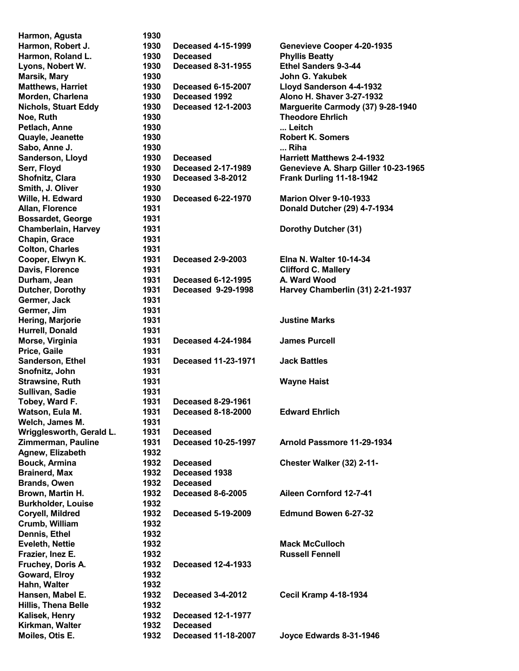| Harmon, Agusta              | 1930 |                            |                                      |
|-----------------------------|------|----------------------------|--------------------------------------|
| Harmon, Robert J.           | 1930 | <b>Deceased 4-15-1999</b>  | Genevieve Cooper 4-20-1935           |
| Harmon, Roland L.           | 1930 | <b>Deceased</b>            | <b>Phyllis Beatty</b>                |
| Lyons, Nobert W.            | 1930 | <b>Deceased 8-31-1955</b>  | Ethel Sanders 9-3-44                 |
| <b>Marsik, Mary</b>         | 1930 |                            | John G. Yakubek                      |
| <b>Matthews, Harriet</b>    | 1930 | <b>Deceased 6-15-2007</b>  | Lloyd Sanderson 4-4-1932             |
| Morden, Charlena            | 1930 | Deceased 1992              | Alono H. Shaver 3-27-1932            |
| <b>Nichols, Stuart Eddy</b> | 1930 | <b>Deceased 12-1-2003</b>  | Marguerite Carmody (37) 9-28-1940    |
| Noe, Ruth                   | 1930 |                            | <b>Theodore Ehrlich</b>              |
| Petlach, Anne               | 1930 |                            | Leitch                               |
| Quayle, Jeanette            | 1930 |                            | <b>Robert K. Somers</b>              |
| Sabo, Anne J.               | 1930 |                            | Riha                                 |
|                             | 1930 |                            |                                      |
| Sanderson, Lloyd            |      | <b>Deceased</b>            | <b>Harriett Matthews 2-4-1932</b>    |
| Serr, Floyd                 | 1930 | <b>Deceased 2-17-1989</b>  | Genevieve A. Sharp Giller 10-23-1965 |
| Shofnitz, Clara             | 1930 | Deceased 3-8-2012          | Frank Durling 11-18-1942             |
| Smith, J. Oliver            | 1930 |                            |                                      |
| Wille, H. Edward            | 1930 | <b>Deceased 6-22-1970</b>  | Marion Olver 9-10-1933               |
| Allan, Florence             | 1931 |                            | Donald Dutcher (29) 4-7-1934         |
| <b>Bossardet, George</b>    | 1931 |                            |                                      |
| <b>Chamberlain, Harvey</b>  | 1931 |                            | Dorothy Dutcher (31)                 |
| Chapin, Grace               | 1931 |                            |                                      |
| <b>Colton, Charles</b>      | 1931 |                            |                                      |
| Cooper, Elwyn K.            | 1931 | <b>Deceased 2-9-2003</b>   | <b>Elna N. Walter 10-14-34</b>       |
| Davis, Florence             | 1931 |                            | <b>Clifford C. Mallery</b>           |
| Durham, Jean                | 1931 | <b>Deceased 6-12-1995</b>  | A. Ward Wood                         |
| Dutcher, Dorothy            | 1931 | Deceased 9-29-1998         | Harvey Chamberlin (31) 2-21-1937     |
| Germer, Jack                | 1931 |                            |                                      |
| Germer, Jim                 | 1931 |                            |                                      |
| Hering, Marjorie            | 1931 |                            | <b>Justine Marks</b>                 |
| Hurrell, Donald             | 1931 |                            |                                      |
| Morse, Virginia             | 1931 | <b>Deceased 4-24-1984</b>  | <b>James Purcell</b>                 |
| Price, Gaile                | 1931 |                            |                                      |
| Sanderson, Ethel            | 1931 | <b>Deceased 11-23-1971</b> | <b>Jack Battles</b>                  |
| Snofnitz, John              | 1931 |                            |                                      |
|                             |      |                            |                                      |
| <b>Strawsine, Ruth</b>      | 1931 |                            | <b>Wayne Haist</b>                   |
| Sullivan, Sadie             | 1931 |                            |                                      |
| Tobey, Ward F.              | 1931 | <b>Deceased 8-29-1961</b>  |                                      |
| Watson, Eula M.             | 1931 | <b>Deceased 8-18-2000</b>  | <b>Edward Ehrlich</b>                |
| Welch, James M.             | 1931 |                            |                                      |
| Wrigglesworth, Gerald L.    | 1931 | <b>Deceased</b>            |                                      |
| Zimmerman, Pauline          | 1931 | <b>Deceased 10-25-1997</b> | Arnold Passmore 11-29-1934           |
| Agnew, Elizabeth            | 1932 |                            |                                      |
| <b>Bouck, Armina</b>        | 1932 | <b>Deceased</b>            | Chester Walker (32) 2-11-            |
| <b>Brainerd, Max</b>        | 1932 | Deceased 1938              |                                      |
| <b>Brands, Owen</b>         | 1932 | <b>Deceased</b>            |                                      |
| Brown, Martin H.            | 1932 | <b>Deceased 8-6-2005</b>   | Aileen Cornford 12-7-41              |
| <b>Burkholder, Louise</b>   | 1932 |                            |                                      |
| Coryell, Mildred            | 1932 | <b>Deceased 5-19-2009</b>  | <b>Edmund Bowen 6-27-32</b>          |
| Crumb, William              | 1932 |                            |                                      |
| Dennis, Ethel               | 1932 |                            |                                      |
| <b>Eveleth, Nettie</b>      | 1932 |                            | <b>Mack McCulloch</b>                |
| Frazier, Inez E.            | 1932 |                            | <b>Russell Fennell</b>               |
| Fruchey, Doris A.           | 1932 | <b>Deceased 12-4-1933</b>  |                                      |
| Goward, Elroy               | 1932 |                            |                                      |
| Hahn, Walter                | 1932 |                            |                                      |
| Hansen, Mabel E.            | 1932 | Deceased 3-4-2012          | <b>Cecil Kramp 4-18-1934</b>         |
|                             |      |                            |                                      |
| Hillis, Thena Belle         | 1932 |                            |                                      |
| Kalisek, Henry              | 1932 | <b>Deceased 12-1-1977</b>  |                                      |
| Kirkman, Walter             | 1932 | <b>Deceased</b>            |                                      |
| Moiles, Otis E.             | 1932 | <b>Deceased 11-18-2007</b> | Joyce Edwards 8-31-1946              |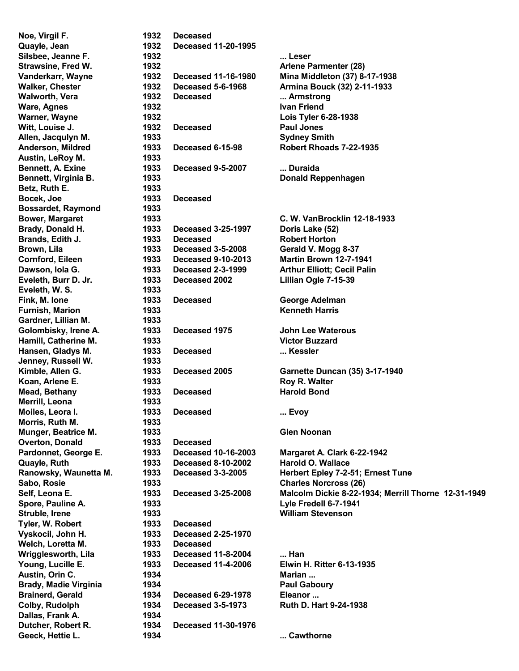Noe, Virgil F. 1932 Deceased Quayle, Jean 1932 Deceased 11-20-1995 Austin, LeRoy M. 1933 Betz, Ruth E. 1933 Bocek, Joe 1933 Deceased Bossardet, Raymond 1933 Eveleth, W. S. 1933 Gardner, Lillian M. 1933 Jenney, Russell W. 1933 Merrill, Leona 1933 Morris, Ruth M. 1933 Overton, Donald 1933 Deceased Tyler, W. Robert 1933 Deceased Vyskocil, John H. 1933 Deceased 2-25-1970 Welch, Loretta M. 1933 Deceased Dallas, Frank A. 1934 Dutcher, Robert R. 1934 Deceased 11-30-1976

Silsbee, Jeanne F. 1932 ... Leser Strawsine, Fred W. 1932 **Arlene Parmenter (28)** Walker, Chester 1932 Deceased 5-6-1968 Armina Bouck (32) 2-11-1933 Walworth, Vera **1932** Deceased **... Armstrong** Ware, Agnes 1932 **Ivan Friend** Warner, Wayne **1932 Lois Tyler 6-28-1938** Witt, Louise J. 1932 Deceased Paul Jones Allen, Jacqulyn M. 1933 Sydney Smith Anderson, Mildred 1933 Deceased 6-15-98 Robert Rhoads 7-22-1935 Bennett, A. Exine 1933 Deceased 9-5-2007 ... Duraida Bennett, Virginia B. 1933 Donald Reppenhagen Bower, Margaret **1933 C. W. VanBrocklin 12-18-1933** Brady, Donald H. 1933 Deceased 3-25-1997 Doris Lake (52) Brands, Edith J. 1933 Deceased Robert Horton Brown, Lila 1933 Deceased 3-5-2008 Gerald V. Mogg 8-37 Cornford, Eileen 1933 Deceased 9-10-2013 Martin Brown 12-7-1941 Dawson, Iola G. 1933 Deceased 2-3-1999 Arthur Elliott; Cecil Palin Eveleth, Burr D. Jr. 1933 Deceased 2002 Lillian Ogle 7-15-39 Fink, M. Ione **1933** Deceased George Adelman Furnish, Marion 1933 Kenneth Harris Golombisky, Irene A. 1933 Deceased 1975 John Lee Waterous Hamill, Catherine M. 1933 Victor Buzzard Hansen, Gladys M. 1933 Deceased ... Kessler Koan, Arlene E. **1933** Roy R. Walter Mead, Bethany **1933** Deceased Harold Bond Moiles, Leora I. **1933** Deceased **... Evoy** Munger, Beatrice M. 1933 Glen Noonan Pardonnet, George E. 1933 Deceased 10-16-2003 Margaret A. Clark 6-22-1942 Quayle, Ruth 1933 Deceased 8-10-2002 Harold O. Wallace Sabo, Rosie 1933 Charles Norcross (26) Spore, Pauline A. 1933 Lyle Fredell 6-7-1941 Struble, Irene 1933 William Stevenson Wrigglesworth, Lila 1933 Deceased 11-8-2004 ... Han Young, Lucille E. 1933 Deceased 11-4-2006 Elwin H. Ritter 6-13-1935 Austin, Orin C. **1934** Marian ... Brady, Madie Virginia 1934 **Paul Gaboury** Paul Gaboury Brainerd, Gerald 1934 Deceased 6-29-1978 Eleanor ... Colby, Rudolph 1934 Deceased 3-5-1973 Ruth D. Hart 9-24-1938 Geeck, Hettie L. 1934 ... Cawthorne Communication of the U.S. Cawthorne

Vanderkarr, Wayne 1932 Deceased 11-16-1980 Mina Middleton (37) 8-17-1938 Kimble, Allen G. 1933 Deceased 2005 Garnette Duncan (35) 3-17-1940 Ranowsky, Waunetta M. 1933 Deceased 3-3-2005 Herbert Epley 7-2-51; Ernest Tune Self, Leona E. 1933 Deceased 3-25-2008 Malcolm Dickie 8-22-1934; Merrill Thorne 12-31-1949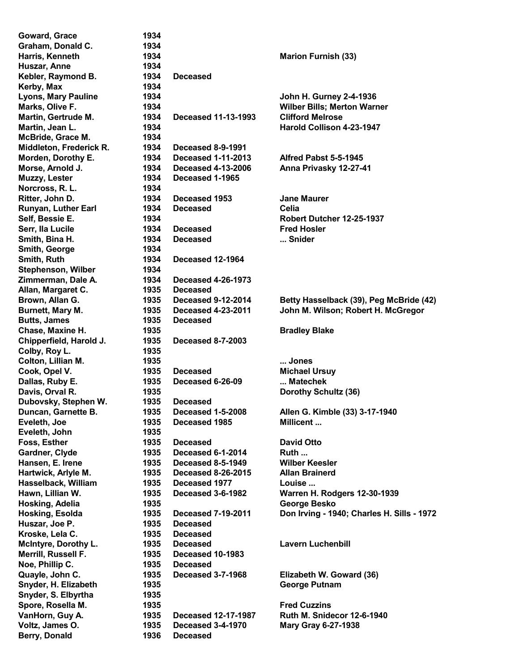Goward, Grace 1934 Graham, Donald C. 1934 Huszar, Anne 1934 Kebler, Raymond B. 1934 Deceased Kerby, Max 1934 McBride, Grace M. 1934 Middleton, Frederick R. 1934 Deceased 8-9-1991 Muzzy, Lester 1934 Deceased 1-1965 Norcross, R. L. 1934 Smith, George 1934 Smith, Ruth 1934 Deceased 12-1964 Stephenson, Wilber 1934 Zimmerman, Dale A. 1934 Deceased 4-26-1973 Allan, Margaret C. 1935 Deceased Butts, James 1935 Deceased Chipperfield, Harold J. 1935 Deceased 8-7-2003 Colby, Roy L. 1935 Dubovsky, Stephen W. 1935 Deceased Eveleth, John 1935 Huszar, Joe P. 1935 Deceased Kroske, Lela C. 1935 Deceased Merrill, Russell F. 1935 Deceased 10-1983 Noe, Phillip C. 1935 Deceased Snyder, S. Elbyrtha 1935 Berry, Donald 1936 Deceased

Harris, Kenneth 1934 Marion Furnish (33) Lyons, Mary Pauline 1934 John H. Gurney 2-4-1936 Marks, Olive F. 1934 Wilber Bills; Merton Warner Martin, Gertrude M. 1934 Deceased 11-13-1993 Clifford Melrose Martin, Jean L. 1934 Harold Collison 4-23-1947 Morden, Dorothy E. 1934 Deceased 1-11-2013 Alfred Pabst 5-5-1945 Morse, Arnold J. 1934 Deceased 4-13-2006 Anna Privasky 12-27-41 Ritter, John D. 1934 Deceased 1953 Jane Maurer Runyan, Luther Earl 1934 Deceased Celia Self, Bessie E. 1934 Robert Dutcher 12-25-1937 Serr, Ila Lucile 1934 Deceased Fred Hosler Smith, Bina H. 1934 Deceased ... Snider Brown, Allan G. 1935 Deceased 9-12-2014 Betty Hasselback (39), Peg McBride (42) Burnett, Mary M. 1935 Deceased 4-23-2011 John M. Wilson; Robert H. McGregor Chase, Maxine H. 1935 **Bradley Blake** Colton, Lillian M. 1935 ... Jones Cook, Opel V. 1935 Deceased Michael Ursuy Dallas, Ruby E. 1935 Deceased 6-26-09 ... Matechek Davis, Orval R. 1935 **Dorothy Schultz (36)** Duncan, Garnette B. 1935 Deceased 1-5-2008 Allen G. Kimble (33) 3-17-1940 Eveleth, Joe **1935** Deceased 1985 Millicent ... Foss, Esther 1935 Deceased David Otto Gardner, Clyde 1935 Deceased 6-1-2014 Ruth ... Hansen, E. Irene 1935 Deceased 8-5-1949 Wilber Keesler Hartwick, Arlyle M. 1935 Deceased 8-26-2015 Allan Brainerd Hasselback, William 1935 Deceased 1977 Louise ... Hawn, Lillian W. 1935 Deceased 3-6-1982 Warren H. Rodgers 12-30-1939 Hosking, Adelia 1935 George Besko Hosking, Esolda 1935 Deceased 7-19-2011 Don Irving - 1940; Charles H. Sills - 1972 McIntyre, Dorothy L. **1935** Deceased **Lavern Luchenbill** Quayle, John C. 1935 Deceased 3-7-1968 Elizabeth W. Goward (36) Snyder, H. Elizabeth 1935 George Putnam Spore, Rosella M. 1935 Fred Cuzzins VanHorn, Guy A. 1935 Deceased 12-17-1987 Ruth M. Snidecor 12-6-1940 Voltz, James O. 1935 Deceased 3-4-1970 Mary Gray 6-27-1938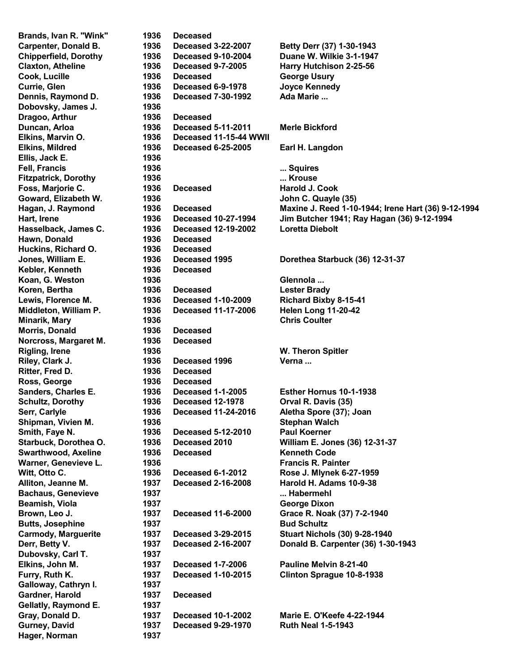Brands, Ivan R. "Wink" 1936 Deceased Dobovsky, James J. 1936 Dragoo, Arthur 1936 Deceased Ellis, Jack E. 1936 Hawn, Donald 1936 Deceased Huckins, Richard O. 1936 Deceased Kebler, Kenneth 1936 Deceased Morris, Donald 1936 Deceased Norcross, Margaret M. 1936 Deceased Ritter, Fred D. 1936 Deceased Ross, George 1936 Deceased Dubovsky, Carl T. 1937 Galloway, Cathryn I. 1937 Gardner, Harold 1937 Deceased Gellatly, Raymond E. 1937 Hager, Norman 1937

Carpenter, Donald B. 1936 Deceased 3-22-2007 Betty Derr (37) 1-30-1943 Chipperfield, Dorothy 1936 Deceased 9-10-2004 Duane W. Wilkie 3-1-1947 Claxton, Atheline 1936 Deceased 9-7-2005 Harry Hutchison 2-25-56 Cook, Lucille **Cook, Lucille** 1936 Deceased George Usury Currie, Glen 1936 Deceased 6-9-1978 Joyce Kennedy Dennis, Raymond D. 1936 Deceased 7-30-1992 Ada Marie ... Duncan, Arloa 1936 Deceased 5-11-2011 Merle Bickford Elkins, Marvin O. 1936 Deceased 11-15-44 WWII Elkins, Mildred 1936 Deceased 6-25-2005 Earl H. Langdon Fell, Francis **1936** ... Squires ... Squires Fitzpatrick, Dorothy 1936 ... Krouse Foss, Marjorie C. **1936** Deceased Harold J. Cook Goward, Elizabeth W. 1936 **Goward, Elizabeth W.** 1936 Hasselback, James C. 1936 Deceased 12-19-2002 Loretta Diebolt Jones, William E. 1936 Deceased 1995 Dorethea Starbuck (36) 12-31-37 Koan, G. Weston **1936** Glennola ... Koren, Bertha 1936 Deceased Lester Brady Lewis, Florence M. 1936 Deceased 1-10-2009 Richard Bixby 8-15-41 Middleton, William P. 1936 Deceased 11-17-2006 Helen Long 11-20-42 Minarik, Mary 1936 **Chris Coulter** Chris Coulter Rigling, Irene 1936 1936 W. Theron Spitler Riley, Clark J. 1936 Deceased 1996 Verna ... Sanders, Charles E. 1936 Deceased 1-1-2005 Esther Hornus 10-1-1938 Schultz, Dorothy 1936 Deceased 12-1978 Orval R. Davis (35) Serr, Carlyle 1936 Deceased 11-24-2016 Aletha Spore (37); Joan Shipman, Vivien M. 1936 Stephan Walch Smith, Faye N. 1936 Deceased 5-12-2010 Paul Koerner Starbuck, Dorothea O. 1936 Deceased 2010 William E. Jones (36) 12-31-37 Swarthwood, Axeline 1936 Deceased Kenneth Code Warner, Genevieve L. 1936 **Francis R. Painter** Communication Communication Communication Communication Communication Witt, Otto C. **1936** Deceased 6-1-2012 Rose J. Mlynek 6-27-1959 Alliton, Jeanne M. 1937 Deceased 2-16-2008 Harold H. Adams 10-9-38 Bachaus, Genevieve **1937 1937 ... Habermehl** Beamish, Viola 1937 George Dixon Brown, Leo J. 1937 Deceased 11-6-2000 Grace R. Noak (37) 7-2-1940 Butts, Josephine **1937 Bud Schultz Bud Schultz** Carmody, Marguerite 1937 Deceased 3-29-2015 Stuart Nichols (30) 9-28-1940 Derr, Betty V. 1937 Deceased 2-16-2007 Donald B. Carpenter (36) 1-30-1943 Elkins, John M. 1937 Deceased 1-7-2006 Pauline Melvin 8-21-40 Furry, Ruth K. 1937 Deceased 1-10-2015 Clinton Sprague 10-8-1938 Gray, Donald D. 1937 Deceased 10-1-2002 Marie E. O'Keefe 4-22-1944 Gurney, David 1937 Deceased 9-29-1970 Ruth Neal 1-5-1943

Hagan, J. Raymond 1936 Deceased Maxine J. Reed 1-10-1944; Irene Hart (36) 9-12-1994 Hart, Irene 1936 Deceased 10-27-1994 Jim Butcher 1941; Ray Hagan (36) 9-12-1994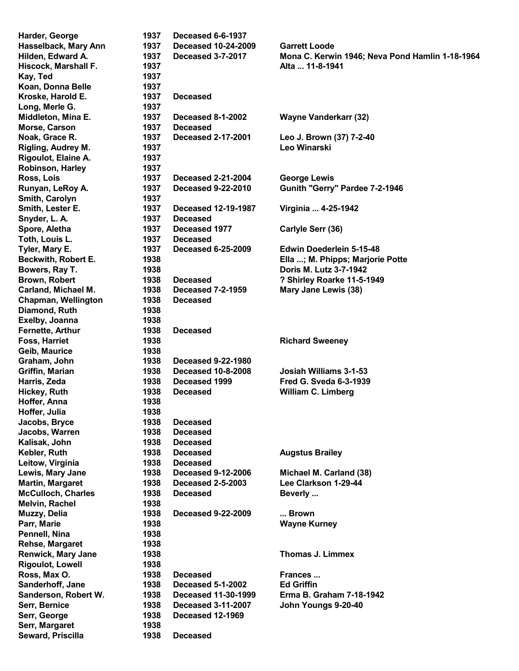Kay, Ted 1937 Koan, Donna Belle 1937 Kroske, Harold E. 1937 Deceased Long, Merle G. 1937 Morse, Carson 1937 Deceased Rigoulot, Elaine A. 1937 Robinson, Harley 1937 Smith, Carolyn 1937 Snyder, L. A. 1937 Deceased Toth, Louis L. 1937 Deceased Chapman, Wellington 1938 Deceased Diamond, Ruth 1938 Exelby, Joanna 1938 Fernette, Arthur 1938 Deceased Geib. Maurice 1938 Hoffer, Anna 1938 Hoffer, Julia 1938 Jacobs, Bryce 1938 Deceased Jacobs, Warren 1938 Deceased Kalisak, John 1938 Deceased Leitow, Virginia **1938** Deceased Melvin, Rachel 1938 Pennell, Nina 1938 Rehse, Margaret 1938 Rigoulot, Lowell 1938 Serr, Margaret 1938 Seward, Priscilla 1938 Deceased

Harder, George 1937 Deceased 6-6-1937 Hasselback, Mary Ann 1937 Deceased 10-24-2009 Garrett Loode Hilden, Edward A. 1937 Deceased 3-7-2017 Mona C. Kerwin 1946; Neva Pond Hamlin 1-18-1964 Hiscock, Marshall F. 2008 1937 2012 1937 Alta ... 11-8-1941 Middleton, Mina E. 1937 Deceased 8-1-2002 Wayne Vanderkarr (32) Noak, Grace R. 1937 Deceased 2-17-2001 Leo J. Brown (37) 7-2-40 Rigling, Audrey M. 1937 Leo Winarski Ross, Lois 1937 Deceased 2-21-2004 George Lewis Runyan, LeRoy A. 1937 Deceased 9-22-2010 Gunith "Gerry" Pardee 7-2-1946 Smith, Lester E. 1937 Deceased 12-19-1987 Virginia ... 4-25-1942 Spore, Aletha 1937 Deceased 1977 Carlyle Serr (36) Tyler, Mary E. 1937 Deceased 6-25-2009 Edwin Doederlein 5-15-48 Beckwith, Robert E. 1938 **Ella ...; M. Phipps**; Marjorie Potte Bowers, Ray T. 1938 **Dowers, Ray T.** 1938 **Dowers, Ray T.** 2016 Brown, Robert 1938 Deceased ? Shirley Roarke 11-5-1949 Carland, Michael M. 1938 Deceased 7-2-1959 Mary Jane Lewis (38) Foss, Harriet **1938** Richard Sweeney **Richard Sweeney** Graham, John 1938 Deceased 9-22-1980 Griffin, Marian 1938 Deceased 10-8-2008 Josiah Williams 3-1-53 Harris, Zeda 1938 Deceased 1999 Fred G. Sveda 6-3-1939 Hickey, Ruth 1938 Deceased William C. Limberg Kebler, Ruth **1938** Deceased **Augstus Brailey** Lewis, Mary Jane 1938 Deceased 9-12-2006 Michael M. Carland (38) Martin, Margaret 1938 Deceased 2-5-2003 Lee Clarkson 1-29-44 McCulloch, Charles **1938** Deceased **Beverly ...** Muzzy, Delia **1938** Deceased 9-22-2009 ... Brown Parr, Marie 1938 1938 Wayne Kurney Renwick, Mary Jane 1938 **Thomas J. Limmex** Ross. Max O. **1938** Deceased Frances ... Sanderhoff, Jane 1938 Deceased 5-1-2002 Ed Griffin Sanderson, Robert W. 1938 Deceased 11-30-1999 Erma B. Graham 7-18-1942 Serr, Bernice 1938 Deceased 3-11-2007 John Youngs 9-20-40 Serr, George 1938 Deceased 12-1969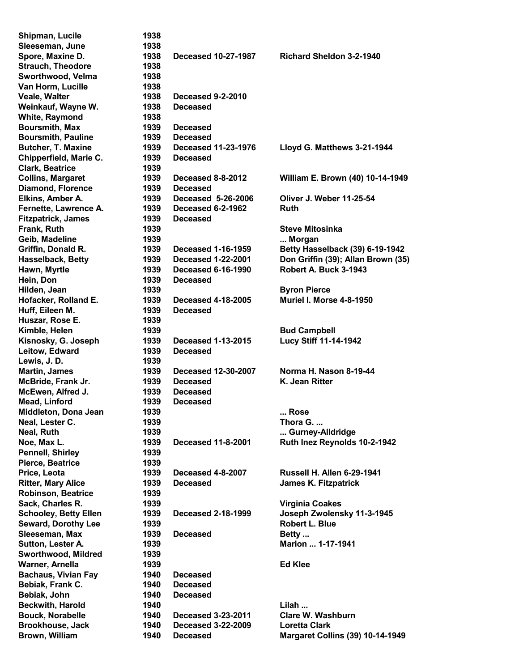| Shipman, Lucile              | 1938 |                            |                                         |
|------------------------------|------|----------------------------|-----------------------------------------|
| Sleeseman, June              | 1938 |                            |                                         |
| Spore, Maxine D.             | 1938 | Deceased 10-27-1987        | <b>Richard Sheldon 3-2-1940</b>         |
| <b>Strauch, Theodore</b>     | 1938 |                            |                                         |
| Sworthwood, Velma            | 1938 |                            |                                         |
| Van Horm, Lucille            | 1938 |                            |                                         |
| Veale, Walter                | 1938 | <b>Deceased 9-2-2010</b>   |                                         |
| Weinkauf, Wayne W.           | 1938 | <b>Deceased</b>            |                                         |
| <b>White, Raymond</b>        | 1938 |                            |                                         |
| <b>Boursmith, Max</b>        | 1939 | <b>Deceased</b>            |                                         |
| <b>Boursmith, Pauline</b>    | 1939 | <b>Deceased</b>            |                                         |
| <b>Butcher, T. Maxine</b>    | 1939 | <b>Deceased 11-23-1976</b> | Lloyd G. Matthews 3-21-1944             |
| Chipperfield, Marie C.       | 1939 | <b>Deceased</b>            |                                         |
| <b>Clark, Beatrice</b>       | 1939 |                            |                                         |
| <b>Collins, Margaret</b>     | 1939 | Deceased 8-8-2012          | William E. Brown (40) 10-14-1949        |
| <b>Diamond, Florence</b>     | 1939 | <b>Deceased</b>            |                                         |
| Elkins, Amber A.             | 1939 | Deceased 5-26-2006         | <b>Oliver J. Weber 11-25-54</b>         |
| Fernette, Lawrence A.        | 1939 | Deceased 6-2-1962          | Ruth                                    |
| <b>Fitzpatrick, James</b>    | 1939 | <b>Deceased</b>            |                                         |
| Frank, Ruth                  | 1939 |                            | <b>Steve Mitosinka</b>                  |
| Geib, Madeline               | 1939 |                            | Morgan                                  |
| Griffin, Donald R.           | 1939 | <b>Deceased 1-16-1959</b>  | Betty Hasselback (39) 6-19-1942         |
| <b>Hasselback, Betty</b>     | 1939 | <b>Deceased 1-22-2001</b>  | Don Griffin (39); Allan Brown (35)      |
| Hawn, Myrtle                 | 1939 | <b>Deceased 6-16-1990</b>  | Robert A. Buck 3-1943                   |
| Hein, Don                    | 1939 | <b>Deceased</b>            |                                         |
| Hilden, Jean                 | 1939 |                            | <b>Byron Pierce</b>                     |
| Hofacker, Rolland E.         | 1939 | <b>Deceased 4-18-2005</b>  | <b>Muriel I. Morse 4-8-1950</b>         |
| Huff, Eileen M.              | 1939 | <b>Deceased</b>            |                                         |
| Huszar, Rose E.              | 1939 |                            |                                         |
| Kimble, Helen                | 1939 |                            | <b>Bud Campbell</b>                     |
| Kisnosky, G. Joseph          | 1939 | <b>Deceased 1-13-2015</b>  | Lucy Stiff 11-14-1942                   |
| Leitow, Edward               | 1939 | <b>Deceased</b>            |                                         |
| Lewis, J.D.                  | 1939 |                            |                                         |
| <b>Martin, James</b>         | 1939 | Deceased 12-30-2007        | Norma H. Nason 8-19-44                  |
| McBride, Frank Jr.           | 1939 | <b>Deceased</b>            | K. Jean Ritter                          |
| McEwen, Alfred J.            | 1939 | <b>Deceased</b>            |                                         |
| Mead, Linford                | 1939 | <b>Deceased</b>            |                                         |
| Middleton, Dona Jean         | 1939 |                            | Rose                                    |
| Neal, Lester C.              | 1939 |                            | Thora G.                                |
| Neal, Ruth                   | 1939 |                            | Gurney-Alldridge                        |
| Noe, Max L.                  | 1939 | <b>Deceased 11-8-2001</b>  | Ruth Inez Reynolds 10-2-1942            |
| <b>Pennell, Shirley</b>      | 1939 |                            |                                         |
| Pierce, Beatrice             | 1939 |                            |                                         |
| Price, Leota                 | 1939 | Deceased 4-8-2007          | <b>Russell H. Allen 6-29-1941</b>       |
| <b>Ritter, Mary Alice</b>    | 1939 | <b>Deceased</b>            | <b>James K. Fitzpatrick</b>             |
| <b>Robinson, Beatrice</b>    | 1939 |                            |                                         |
| Sack, Charles R.             | 1939 |                            | <b>Virginia Coakes</b>                  |
| <b>Schooley, Betty Ellen</b> | 1939 | <b>Deceased 2-18-1999</b>  | Joseph Zwolensky 11-3-1945              |
| <b>Seward, Dorothy Lee</b>   | 1939 |                            | <b>Robert L. Blue</b>                   |
| Sleeseman, Max               | 1939 | <b>Deceased</b>            | Betty                                   |
| Sutton, Lester A.            | 1939 |                            | Marion  1-17-1941                       |
| Sworthwood, Mildred          | 1939 |                            |                                         |
| Warner, Arnella              | 1939 |                            | <b>Ed Klee</b>                          |
| <b>Bachaus, Vivian Fay</b>   | 1940 | <b>Deceased</b>            |                                         |
| Bebiak, Frank C.             | 1940 | <b>Deceased</b>            |                                         |
| Bebiak, John                 | 1940 | <b>Deceased</b>            |                                         |
| <b>Beckwith, Harold</b>      | 1940 |                            | Lilah                                   |
| <b>Bouck, Norabelle</b>      | 1940 | <b>Deceased 3-23-2011</b>  | Clare W. Washburn                       |
| <b>Brookhouse, Jack</b>      | 1940 | <b>Deceased 3-22-2009</b>  | <b>Loretta Clark</b>                    |
| Brown, William               | 1940 | <b>Deceased</b>            | <b>Margaret Collins (39) 10-14-1949</b> |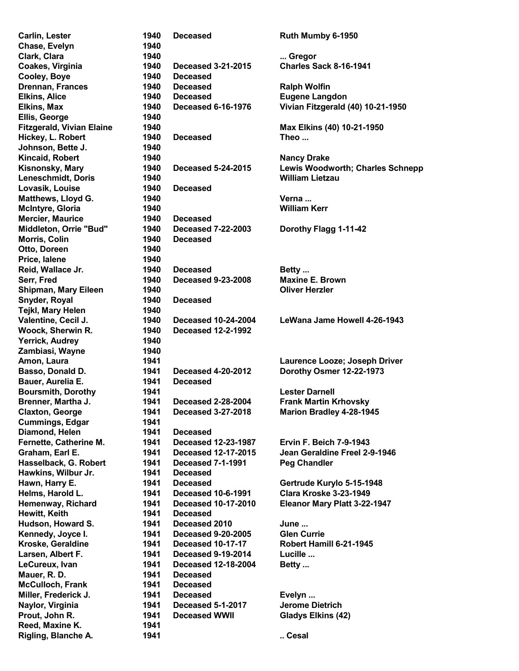Chase, Evelyn 1940 Cooley, Boye 1940 Deceased Ellis, George 1940 Johnson, Bette J. 1940 Lovasik, Louise 1940 Deceased Mercier, Maurice **1940** Deceased Morris, Colin 1940 Deceased Otto, Doreen 1940 Price, Ialene 1940 Snyder, Royal 1940 Deceased Tejkl, Mary Helen 1940 Woock, Sherwin R. 1940 Deceased 12-2-1992 Yerrick, Audrey 1940 Zambiasi, Wayne 1940 Bauer, Aurelia E. 1941 Deceased Cummings, Edgar 1941 Diamond, Helen 1941 Deceased Hawkins, Wilbur Jr. 1941 Deceased Hewitt, Keith 1941 Deceased Mauer, R. D. 1941 Deceased McCulloch, Frank 1941 Deceased Reed. Maxine K. 1941

Carlin, Lester 1940 Deceased Ruth Mumby 6-1950 Clark, Clara **1940** ... Gregor ... Gregor ... Gregor Coakes, Virginia 1940 Deceased 3-21-2015 Charles Sack 8-16-1941 Drennan, Frances 1940 Deceased Ralph Wolfin Elkins, Alice 1940 Deceased Eugene Langdon Elkins, Max 1940 Deceased 6-16-1976 Vivian Fitzgerald (40) 10-21-1950 Fitzgerald, Vivian Elaine 1940 Max Elkins (40) 10-21-1950 Hickey, L. Robert 1940 Deceased Theo ... Kincaid, Robert 1940 **Nancy Drake** Kisnonsky, Mary 1940 Deceased 5-24-2015 Lewis Woodworth; Charles Schnepp Leneschmidt, Doris 1940 William Lietzau Matthews, Lloyd G. 1940 Matthews, Lloyd G. McIntyre, Gloria 1940 William Kerr Middleton, Orrie "Bud" 1940 Deceased 7-22-2003 Dorothy Flagg 1-11-42 Reid, Wallace Jr. 1940 Deceased Betty ... Serr, Fred 1940 Deceased 9-23-2008 Maxine E. Brown Shipman, Mary Eileen 1940 **Oliver Herzler** Valentine, Cecil J. 1940 Deceased 10-24-2004 LeWana Jame Howell 4-26-1943 Amon, Laura 1941 **Laurence Looze; Joseph Driver** Basso, Donald D. 1941 Deceased 4-20-2012 Dorothy Osmer 12-22-1973 Boursmith, Dorothy 1941 and the United States Coursmith, Dorothy Brenner, Martha J. 1941 Deceased 2-28-2004 Frank Martin Krhovsky Claxton, George 1941 Deceased 3-27-2018 Marion Bradley 4-28-1945 Fernette, Catherine M. 1941 Deceased 12-23-1987 Ervin F. Beich 7-9-1943 Graham, Earl E. 1941 Deceased 12-17-2015 Jean Geraldine Freel 2-9-1946 Hasselback, G. Robert 1941 Deceased 7-1-1991 Peg Chandler Hawn, Harry E. 1941 Deceased Gertrude Kurylo 5-15-1948 Helms, Harold L. 1941 Deceased 10-6-1991 Clara Kroske 3-23-1949 Hemenway, Richard 1941 Deceased 10-17-2010 Eleanor Mary Platt 3-22-1947 Hudson, Howard S. **1941** Deceased 2010 June ... Kennedy, Joyce I. 1941 Deceased 9-20-2005 Glen Currie Kroske, Geraldine 1941 Deceased 10-17-17 Robert Hamill 6-21-1945 Larsen, Albert F. **1941** Deceased 9-19-2014 Lucille ... LeCureux, Ivan 1941 Deceased 12-18-2004 Betty ... Miller, Frederick J. **1941** Deceased **Evelyn** ... Naylor, Virginia 1941 Deceased 5-1-2017 Jerome Dietrich Prout, John R. **1941** Deceased WWII Gladys Elkins (42) Rigling, Blanche A. 1941 ... Cesal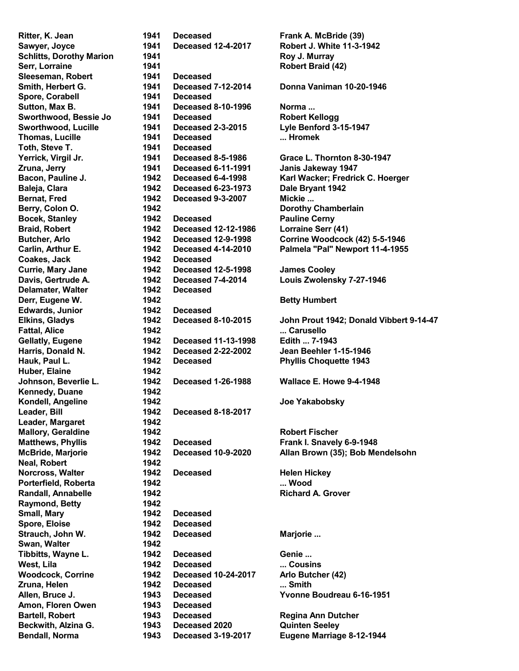Sleeseman, Robert 1941 Deceased Spore, Corabell 1941 Deceased Toth, Steve T. 1941 Deceased Coakes, Jack 1942 Deceased Delamater, Walter **1942** Deceased Edwards, Junior **1942** Deceased Huber, Elaine 1942 Kennedy, Duane 1942 Leader, Bill 1942 Deceased 8-18-2017 Leader, Margaret 1942 Neal, Robert 1942 Raymond, Betty 1942 Small, Mary 1942 Deceased Spore, Eloise 1942 Deceased Swan, Walter 1942 Amon, Floren Owen 1943 Deceased

Ritter, K. Jean 1941 Deceased Frank A. McBride (39) Sawyer, Joyce 1941 Deceased 12-4-2017 Robert J. White 11-3-1942 Schlitts, Dorothy Marion 1941 **Roy J. Murray** Serr, Lorraine 1941 **Constant American Serret Example 2018** Robert Braid (42) Smith, Herbert G. 1941 Deceased 7-12-2014 Donna Vaniman 10-20-1946 Sutton, Max B. 1941 Deceased 8-10-1996 Norma ... Sworthwood, Bessie Jo 1941 Deceased Robert Kellogg Sworthwood, Lucille 1941 Deceased 2-3-2015 Lyle Benford 3-15-1947 Thomas, Lucille 1941 Deceased ... Hromek Zruna, Jerry 1941 Deceased 6-11-1991 Janis Jakeway 1947 Baleja, Clara 1942 Deceased 6-23-1973 Dale Bryant 1942 Bernat, Fred 1942 Deceased 9-3-2007 Mickie ... Berry, Colon O. 1942 Dorothy Chamberlain Bocek, Stanley **1942** Deceased Pauline Cerny Braid, Robert 1942 Deceased 12-12-1986 Lorraine Serr (41) Currie, Mary Jane 1942 Deceased 12-5-1998 James Cooley Davis, Gertrude A. 1942 Deceased 7-4-2014 Louis Zwolensky 7-27-1946 Derr, Eugene W. **1942 Betty Humbert** Fattal, Alice **1942** ... Carusello Gellatly, Eugene **1942** Deceased 11-13-1998 Edith ... 7-1943 Harris, Donald N. 1942 Deceased 2-22-2002 Jean Beehler 1-15-1946 Hauk, Paul L. 1942 Deceased Phyllis Choquette 1943 Johnson, Beverlie L. 1942 Deceased 1-26-1988 Wallace E. Howe 9-4-1948 Kondell, Angeline 1942 Joe Yakabobsky Mallory, Geraldine 1942 **Mallory, Geraldine** 1942 Matthews, Phyllis 1942 Deceased Frank I. Snavely 6-9-1948 Norcross, Walter 1942 Deceased Helen Hickey Porterfield, Roberta 1942 ... Wood Randall, Annabelle 1942 **Richard A. Grover** Richard A. Grover Strauch, John W. 1942 Deceased Marjorie ... Tibbitts, Wayne L. 1942 Deceased Genie ... West, Lila 1942 Deceased ... Cousins Woodcock, Corrine 1942 Deceased 10-24-2017 Arlo Butcher (42) Zruna, Helen 1942 Deceased ... Smith Allen, Bruce J. 1943 Deceased Yvonne Boudreau 6-16-1951 Bartell, Robert **1943** Deceased Regina Ann Dutcher Beckwith, Alzina G. 1943 Deceased 2020 Quinten Seeley

Yerrick, Virgil Jr. 1941 Deceased 8-5-1986 Grace L. Thornton 8-30-1947 Bacon, Pauline J. 1942 Deceased 6-4-1998 Karl Wacker; Fredrick C. Hoerger Butcher, Arlo 1942 Deceased 12-9-1998 Corrine Woodcock (42) 5-5-1946 Carlin, Arthur E. 1942 Deceased 4-14-2010 Palmela "Pal" Newport 11-4-1955 Elkins, Gladys 1942 Deceased 8-10-2015 John Prout 1942; Donald Vibbert 9-14-47 McBride, Marjorie 1942 Deceased 10-9-2020 Allan Brown (35); Bob Mendelsohn Bendall, Norma 1943 Deceased 3-19-2017 Eugene Marriage 8-12-1944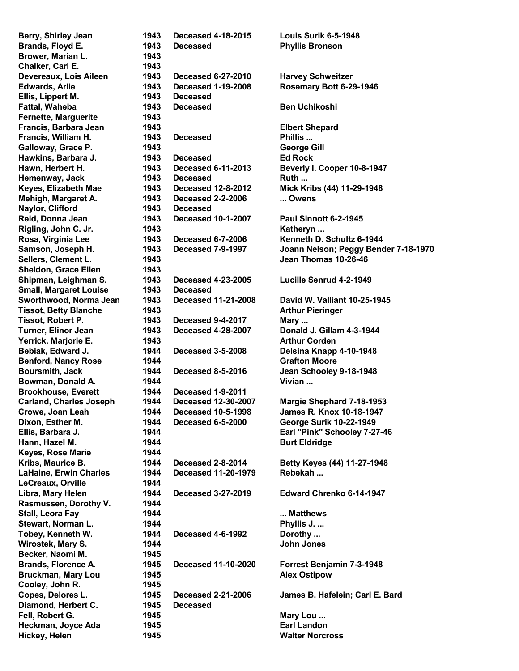Brower, Marian L. 1943 Chalker, Carl E. 1943 Ellis, Lippert M. 1943 Deceased Fernette, Marguerite 1943 Naylor, Clifford 1943 Deceased Sheldon, Grace Ellen 1943 Small, Margaret Louise 1943 Deceased Brookhouse, Everett 1944 Deceased 1-9-2011 Keyes, Rose Marie 1944 LeCreaux, Orville 1944 Rasmussen, Dorothy V. 1944 Becker, Naomi M. 1945 Cooley, John R. 1945 Diamond, Herbert C. 1945 Deceased

Berry, Shirley Jean 1943 Deceased 4-18-2015 Louis Surik 6-5-1948 Brands, Floyd E. **1943** Deceased **Phyllis Bronson** Devereaux, Lois Aileen 1943 Deceased 6-27-2010 Harvey Schweitzer Edwards, Arlie 1943 Deceased 1-19-2008 Rosemary Bott 6-29-1946 Fattal, Waheba 1943 Deceased Ben Uchikoshi Francis, Barbara Jean 1943 Elbert Shepard Francis, William H. 1943 Deceased Phillis ... Galloway, Grace P. 1943 George Gill Hawkins, Barbara J. 1943 Deceased Ed Rock Hawn, Herbert H. 1943 Deceased 6-11-2013 Beverly I. Cooper 10-8-1947 Hemenway, Jack 1943 Deceased Ruth ... Keyes, Elizabeth Mae 1943 Deceased 12-8-2012 Mick Kribs (44) 11-29-1948 Mehigh, Margaret A. 1943 Deceased 2-2-2006 ... Owens Reid, Donna Jean 1943 Deceased 10-1-2007 Paul Sinnott 6-2-1945 Rigling, John C. Jr. 1943 **Katheryn ...** Rosa, Virginia Lee **1943** Deceased 6-7-2006 Kenneth D. Schultz 6-1944 Samson, Joseph H. 1943 Deceased 7-9-1997 Joann Nelson; Peggy Bender 7-18-1970 Sellers, Clement L. 1943 Jean Thomas 10-26-46 Shipman, Leighman S. 1943 Deceased 4-23-2005 Lucille Senrud 4-2-1949 Sworthwood, Norma Jean 1943 Deceased 11-21-2008 David W. Valliant 10-25-1945 Tissot, Betty Blanche 1943 Arthur Pieringer Tissot, Robert P. 1943 Deceased 9-4-2017 Mary ... Turner, Elinor Jean 1943 Deceased 4-28-2007 Donald J. Gillam 4-3-1944 **Yerrick, Marjorie E.** 1943 **Arthur Corden** Bebiak, Edward J. 1944 Deceased 3-5-2008 Delsina Knapp 4-10-1948 Benford, Nancy Rose 1944 **Contract Accord Crafton Moore** Benford, Nancy Rose 1944 Boursmith, Jack 1944 Deceased 8-5-2016 Jean Schooley 9-18-1948 Bowman, Donald A. **1944 Vivian ...** Vivian ... Carland, Charles Joseph 1944 Deceased 12-30-2007 Margie Shephard 7-18-1953 Crowe, Joan Leah 1944 Deceased 10-5-1998 James R. Knox 10-18-1947 Dixon, Esther M. 1944 Deceased 6-5-2000 George Surik 10-22-1949 Ellis, Barbara J. 1944 Earl "Pink" Schooley 7-27-46 Hann, Hazel M. 1944 **Burt Eldridge** Kribs, Maurice B. 1944 Deceased 2-8-2014 Betty Keyes (44) 11-27-1948 LaHaine, Erwin Charles 1944 Deceased 11-20-1979 Rebekah ... Libra, Mary Helen 1944 Deceased 3-27-2019 Edward Chrenko 6-14-1947 Stall, Leora Fay **1944** ... Matthews Stewart, Norman L. **1944 Constant Construction Construction** Phyllis J. ... Tobey, Kenneth W. 1944 Deceased 4-6-1992 Dorothy ... Wirostek, Mary S. **1944 Victor** John Jones Brands, Florence A. 1945 Deceased 11-10-2020 Forrest Benjamin 7-3-1948 Bruckman, Mary Lou 1945 Alex Ostipow Copes, Delores L. 1945 Deceased 2-21-2006 James B. Hafelein; Carl E. Bard Fell, Robert G. The Communication of the 1945 Communication of the Mary Lou ... Heckman, Joyce Ada 1945 **Earl Landon** Hickey, Helen 1945 Walter Norcross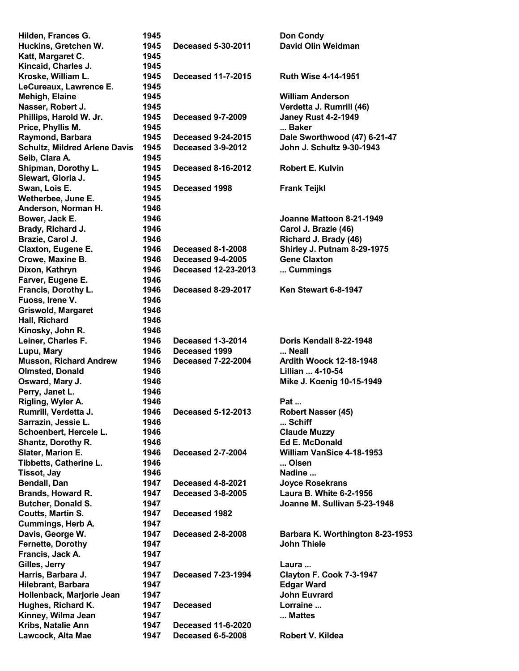| Hilden, Frances G.                      | 1945         |                                                | <b>Don Condy</b>                 |
|-----------------------------------------|--------------|------------------------------------------------|----------------------------------|
| Huckins, Gretchen W.                    | 1945         | <b>Deceased 5-30-2011</b>                      | David Olin Weidman               |
| Katt, Margaret C.                       | 1945         |                                                |                                  |
| Kincaid, Charles J.                     | 1945         |                                                |                                  |
| Kroske, William L.                      | 1945         | <b>Deceased 11-7-2015</b>                      | <b>Ruth Wise 4-14-1951</b>       |
| LeCureaux, Lawrence E.                  | 1945         |                                                |                                  |
| <b>Mehigh, Elaine</b>                   | 1945         |                                                | <b>William Anderson</b>          |
| Nasser, Robert J.                       | 1945         |                                                | Verdetta J. Rumrill (46)         |
|                                         | 1945         | <b>Deceased 9-7-2009</b>                       |                                  |
| Phillips, Harold W. Jr.                 |              |                                                | <b>Janey Rust 4-2-1949</b>       |
| Price, Phyllis M.                       | 1945         |                                                | Baker                            |
| Raymond, Barbara                        | 1945         | <b>Deceased 9-24-2015</b>                      | Dale Sworthwood (47) 6-21-47     |
| <b>Schultz, Mildred Arlene Davis</b>    | 1945         | Deceased 3-9-2012                              | John J. Schultz 9-30-1943        |
| Seib, Clara A.                          | 1945         |                                                |                                  |
| Shipman, Dorothy L.                     | 1945         | <b>Deceased 8-16-2012</b>                      | <b>Robert E. Kulvin</b>          |
| Siewart, Gloria J.                      | 1945         |                                                |                                  |
| Swan, Lois E.                           | 1945         | Deceased 1998                                  | <b>Frank Teijkl</b>              |
| Wetherbee, June E.                      | 1945         |                                                |                                  |
| Anderson, Norman H.                     | 1946         |                                                |                                  |
| Bower, Jack E.                          | 1946         |                                                | Joanne Mattoon 8-21-1949         |
| Brady, Richard J.                       | 1946         |                                                | Carol J. Brazie (46)             |
| Brazie, Carol J.                        | 1946         |                                                | Richard J. Brady (46)            |
| Claxton, Eugene E.                      | 1946         | <b>Deceased 8-1-2008</b>                       | Shirley J. Putnam 8-29-1975      |
| Crowe, Maxine B.                        | 1946         | <b>Deceased 9-4-2005</b>                       | <b>Gene Claxton</b>              |
|                                         | 1946         | <b>Deceased 12-23-2013</b>                     | Cummings                         |
| Dixon, Kathryn                          |              |                                                |                                  |
| Farver, Eugene E.                       | 1946         |                                                |                                  |
| Francis, Dorothy L.                     | 1946         | <b>Deceased 8-29-2017</b>                      | Ken Stewart 6-8-1947             |
| Fuoss, Irene V.                         | 1946         |                                                |                                  |
| <b>Griswold, Margaret</b>               | 1946         |                                                |                                  |
| Hall, Richard                           | 1946         |                                                |                                  |
| Kinosky, John R.                        | 1946         |                                                |                                  |
| Leiner, Charles F.                      | 1946         | Deceased 1-3-2014                              | Doris Kendall 8-22-1948          |
| Lupu, Mary                              | 1946         | Deceased 1999                                  | Neall                            |
| <b>Musson, Richard Andrew</b>           | 1946         | <b>Deceased 7-22-2004</b>                      | <b>Ardith Woock 12-18-1948</b>   |
| <b>Olmsted, Donald</b>                  | 1946         |                                                | Lillian  4-10-54                 |
| Osward, Mary J.                         | 1946         |                                                | Mike J. Koenig 10-15-1949        |
| Perry, Janet L.                         | 1946         |                                                |                                  |
| Rigling, Wyler A.                       | 1946         |                                                | Pat                              |
| Rumrill, Verdetta J.                    | 1946         | <b>Deceased 5-12-2013</b>                      | Robert Nasser (45)               |
| Sarrazin, Jessie L.                     | 1946         |                                                | Schiff                           |
| Schoenbert, Hercele L.                  | 1946         |                                                | <b>Claude Muzzy</b>              |
| Shantz, Dorothy R.                      | 1946         |                                                | <b>Ed E. McDonald</b>            |
|                                         | 1946         | <b>Deceased 2-7-2004</b>                       | William VanSice 4-18-1953        |
| Slater, Marion E.                       |              |                                                |                                  |
| Tibbetts, Catherine L.                  | 1946         |                                                | Olsen                            |
| <b>Tissot, Jay</b>                      | 1946         |                                                | Nadine                           |
| <b>Bendall, Dan</b>                     | 1947         | Deceased 4-8-2021                              | <b>Joyce Rosekrans</b>           |
| Brands, Howard R.                       | 1947         | <b>Deceased 3-8-2005</b>                       | Laura B. White 6-2-1956          |
| <b>Butcher, Donald S.</b>               | 1947         |                                                | Joanne M. Sullivan 5-23-1948     |
| Coutts, Martin S.                       | 1947         | Deceased 1982                                  |                                  |
| <b>Cummings, Herb A.</b>                | 1947         |                                                |                                  |
| Davis, George W.                        | 1947         | <b>Deceased 2-8-2008</b>                       | Barbara K. Worthington 8-23-1953 |
| <b>Fernette, Dorothy</b>                | 1947         |                                                | <b>John Thiele</b>               |
| Francis, Jack A.                        | 1947         |                                                |                                  |
| Gilles, Jerry                           | 1947         |                                                | Laura                            |
| Harris, Barbara J.                      |              |                                                |                                  |
|                                         |              |                                                |                                  |
|                                         | 1947         | <b>Deceased 7-23-1994</b>                      | Clayton F. Cook 7-3-1947         |
| Hilebrant, Barbara                      | 1947         |                                                | <b>Edgar Ward</b>                |
| Hollenback, Marjorie Jean               | 1947         |                                                | <b>John Euvrard</b>              |
| Hughes, Richard K.                      | 1947         | <b>Deceased</b>                                | Lorraine                         |
| Kinney, Wilma Jean                      | 1947         |                                                | Mattes                           |
| Kribs, Natalie Ann<br>Lawcock, Alta Mae | 1947<br>1947 | <b>Deceased 11-6-2020</b><br>Deceased 6-5-2008 | Robert V. Kildea                 |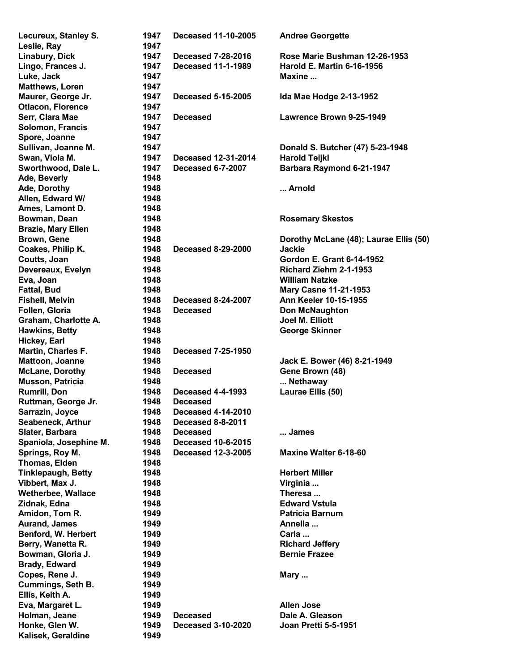| Lecureux, Stanley S.      | 1947 | <b>Deceased 11-10-2005</b> | <b>Andree Georgette</b>                |
|---------------------------|------|----------------------------|----------------------------------------|
| Leslie, Ray               | 1947 |                            |                                        |
| Linabury, Dick            | 1947 | <b>Deceased 7-28-2016</b>  | Rose Marie Bushman 12-26-1953          |
| Lingo, Frances J.         | 1947 | <b>Deceased 11-1-1989</b>  | <b>Harold E. Martin 6-16-1956</b>      |
| Luke, Jack                | 1947 |                            | Maxine                                 |
| <b>Matthews, Loren</b>    | 1947 |                            |                                        |
| Maurer, George Jr.        | 1947 | <b>Deceased 5-15-2005</b>  | Ida Mae Hodge 2-13-1952                |
| <b>Otlacon, Florence</b>  | 1947 |                            |                                        |
| Serr, Clara Mae           | 1947 | <b>Deceased</b>            | Lawrence Brown 9-25-1949               |
| Solomon, Francis          | 1947 |                            |                                        |
| Spore, Joanne             | 1947 |                            |                                        |
| Sullivan, Joanne M.       | 1947 |                            | Donald S. Butcher (47) 5-23-1948       |
| Swan, Viola M.            | 1947 | <b>Deceased 12-31-2014</b> | <b>Harold Teijkl</b>                   |
| Sworthwood, Dale L.       | 1947 | Deceased 6-7-2007          | <b>Barbara Raymond 6-21-1947</b>       |
| Ade, Beverly              | 1948 |                            |                                        |
| Ade, Dorothy              | 1948 |                            | Arnold                                 |
| Allen, Edward W/          | 1948 |                            |                                        |
| Ames, Lamont D.           | 1948 |                            |                                        |
| Bowman, Dean              | 1948 |                            | <b>Rosemary Skestos</b>                |
| <b>Brazie, Mary Ellen</b> | 1948 |                            |                                        |
| Brown, Gene               | 1948 |                            | Dorothy McLane (48); Laurae Ellis (50) |
| Coakes, Philip K.         | 1948 | <b>Deceased 8-29-2000</b>  | <b>Jackie</b>                          |
| Coutts, Joan              | 1948 |                            | Gordon E. Grant 6-14-1952              |
| Devereaux, Evelyn         | 1948 |                            | Richard Ziehm 2-1-1953                 |
| Eva, Joan                 | 1948 |                            | <b>William Natzke</b>                  |
| <b>Fattal, Bud</b>        | 1948 |                            | <b>Mary Casne 11-21-1953</b>           |
| <b>Fishell, Melvin</b>    | 1948 | <b>Deceased 8-24-2007</b>  | <b>Ann Keeler 10-15-1955</b>           |
| Follen, Gloria            | 1948 | <b>Deceased</b>            | <b>Don McNaughton</b>                  |
| Graham, Charlotte A.      | 1948 |                            | Joel M. Elliott                        |
| <b>Hawkins, Betty</b>     | 1948 |                            | <b>George Skinner</b>                  |
| Hickey, Earl              | 1948 |                            |                                        |
| Martin, Charles F.        | 1948 | <b>Deceased 7-25-1950</b>  |                                        |
| Mattoon, Joanne           | 1948 |                            | Jack E. Bower (46) 8-21-1949           |
| <b>McLane, Dorothy</b>    | 1948 | <b>Deceased</b>            | Gene Brown (48)                        |
| <b>Musson, Patricia</b>   | 1948 |                            | Nethaway                               |
| <b>Rumrill, Don</b>       | 1948 | <b>Deceased 4-4-1993</b>   | Laurae Ellis (50)                      |
| Ruttman, George Jr.       | 1948 | Deceased                   |                                        |
| Sarrazin, Joyce           | 1948 | <b>Deceased 4-14-2010</b>  |                                        |
| Seabeneck, Arthur         | 1948 | Deceased 8-8-2011          |                                        |
| Slater, Barbara           | 1948 | <b>Deceased</b>            | James                                  |
| Spaniola, Josephine M.    | 1948 | <b>Deceased 10-6-2015</b>  |                                        |
| Springs, Roy M.           | 1948 | <b>Deceased 12-3-2005</b>  | Maxine Walter 6-18-60                  |
| Thomas, Elden             | 1948 |                            |                                        |
| <b>Tinklepaugh, Betty</b> | 1948 |                            | <b>Herbert Miller</b>                  |
| Vibbert, Max J.           | 1948 |                            | Virginia                               |
| <b>Wetherbee, Wallace</b> | 1948 |                            | Theresa                                |
| Zidnak, Edna              | 1948 |                            | <b>Edward Vstula</b>                   |
| Amidon, Tom R.            | 1949 |                            | <b>Patricia Barnum</b>                 |
| <b>Aurand, James</b>      | 1949 |                            | Annella                                |
| Benford, W. Herbert       | 1949 |                            | Carla                                  |
| Berry, Wanetta R.         | 1949 |                            | <b>Richard Jeffery</b>                 |
| Bowman, Gloria J.         | 1949 |                            | <b>Bernie Frazee</b>                   |
| Brady, Edward             | 1949 |                            |                                        |
| Copes, Rene J.            | 1949 |                            | Mary                                   |
| <b>Cummings, Seth B.</b>  | 1949 |                            |                                        |
| Ellis, Keith A.           | 1949 |                            |                                        |
| Eva, Margaret L.          | 1949 |                            | <b>Allen Jose</b>                      |
| Holman, Jeane             | 1949 | <b>Deceased</b>            | Dale A. Gleason                        |
| Honke, Glen W.            | 1949 | <b>Deceased 3-10-2020</b>  | <b>Joan Pretti 5-5-1951</b>            |
| Kalisek, Geraldine        | 1949 |                            |                                        |
|                           |      |                            |                                        |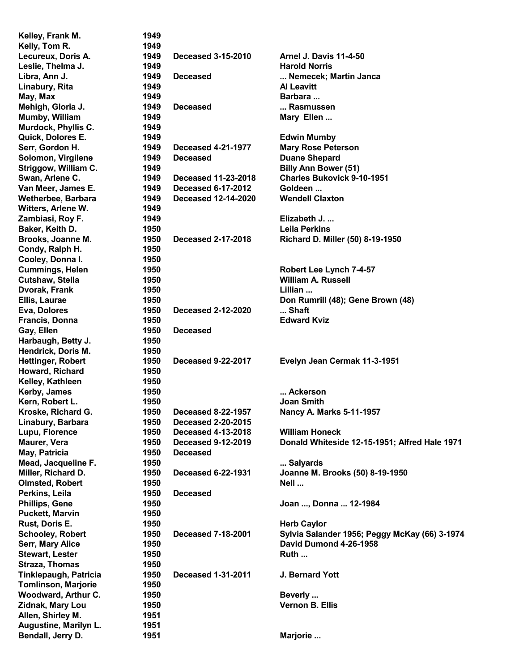| Kelley, Frank M.           | 1949 |                            |                                               |
|----------------------------|------|----------------------------|-----------------------------------------------|
| Kelly, Tom R.              | 1949 |                            |                                               |
| Lecureux, Doris A.         | 1949 | <b>Deceased 3-15-2010</b>  | <b>Arnel J. Davis 11-4-50</b>                 |
| Leslie, Thelma J.          | 1949 |                            | <b>Harold Norris</b>                          |
| Libra, Ann J.              | 1949 | <b>Deceased</b>            | Nemecek; Martin Janca                         |
| Linabury, Rita             | 1949 |                            | <b>Al Leavitt</b>                             |
| May, Max                   | 1949 |                            | Barbara                                       |
| Mehigh, Gloria J.          | 1949 | <b>Deceased</b>            | Rasmussen                                     |
| Mumby, William             | 1949 |                            | Mary Ellen                                    |
| Murdock, Phyllis C.        | 1949 |                            |                                               |
| Quick, Dolores E.          | 1949 |                            | <b>Edwin Mumby</b>                            |
| Serr, Gordon H.            | 1949 | <b>Deceased 4-21-1977</b>  | <b>Mary Rose Peterson</b>                     |
|                            |      |                            |                                               |
| Solomon, Virgilene         | 1949 | <b>Deceased</b>            | <b>Duane Shepard</b>                          |
| Striggow, William C.       | 1949 |                            | <b>Billy Ann Bower (51)</b>                   |
| Swan, Arlene C.            | 1949 | Deceased 11-23-2018        | <b>Charles Bukovick 9-10-1951</b>             |
| Van Meer, James E.         | 1949 | <b>Deceased 6-17-2012</b>  | Goldeen                                       |
| Wetherbee, Barbara         | 1949 | <b>Deceased 12-14-2020</b> | <b>Wendell Claxton</b>                        |
| Witters, Arlene W.         | 1949 |                            |                                               |
| Zambiasi, Roy F.           | 1949 |                            | Elizabeth J.                                  |
| Baker, Keith D.            | 1950 |                            | <b>Leila Perkins</b>                          |
| Brooks, Joanne M.          | 1950 | <b>Deceased 2-17-2018</b>  | Richard D. Miller (50) 8-19-1950              |
| Condy, Ralph H.            | 1950 |                            |                                               |
| Cooley, Donna I.           | 1950 |                            |                                               |
| <b>Cummings, Helen</b>     | 1950 |                            | Robert Lee Lynch 7-4-57                       |
| Cutshaw, Stella            | 1950 |                            | <b>William A. Russell</b>                     |
| Dvorak, Frank              | 1950 |                            | Lillian                                       |
| Ellis, Laurae              | 1950 |                            | Don Rumrill (48); Gene Brown (48)             |
| Eva, Dolores               | 1950 | <b>Deceased 2-12-2020</b>  | Shaft                                         |
| <b>Francis, Donna</b>      | 1950 |                            | <b>Edward Kviz</b>                            |
| Gay, Ellen                 | 1950 | <b>Deceased</b>            |                                               |
| Harbaugh, Betty J.         | 1950 |                            |                                               |
| Hendrick, Doris M.         | 1950 |                            |                                               |
|                            | 1950 | <b>Deceased 9-22-2017</b>  |                                               |
| <b>Hettinger, Robert</b>   |      |                            | Evelyn Jean Cermak 11-3-1951                  |
| Howard, Richard            | 1950 |                            |                                               |
| Kelley, Kathleen           | 1950 |                            |                                               |
| Kerby, James               | 1950 |                            | Ackerson                                      |
| Kern, Robert L.            | 1950 |                            | Joan Smith                                    |
| Kroske, Richard G.         | 1950 | <b>Deceased 8-22-1957</b>  | Nancy A. Marks 5-11-1957                      |
| Linabury, Barbara          | 1950 | <b>Deceased 2-20-2015</b>  |                                               |
| Lupu, Florence             | 1950 | <b>Deceased 4-13-2018</b>  | <b>William Honeck</b>                         |
| Maurer, Vera               | 1950 | <b>Deceased 9-12-2019</b>  | Donald Whiteside 12-15-1951; Alfred Hale 1971 |
| May, Patricia              | 1950 | <b>Deceased</b>            |                                               |
| Mead, Jacqueline F.        | 1950 |                            | Salyards                                      |
| Miller, Richard D.         | 1950 | <b>Deceased 6-22-1931</b>  | Joanne M. Brooks (50) 8-19-1950               |
| <b>Olmsted, Robert</b>     | 1950 |                            | Nell                                          |
| Perkins, Leila             | 1950 | <b>Deceased</b>            |                                               |
| <b>Phillips, Gene</b>      | 1950 |                            | Joan , Donna  12-1984                         |
| <b>Puckett, Marvin</b>     | 1950 |                            |                                               |
| Rust, Doris E.             | 1950 |                            | <b>Herb Caylor</b>                            |
| <b>Schooley, Robert</b>    | 1950 | <b>Deceased 7-18-2001</b>  | Sylvia Salander 1956; Peggy McKay (66) 3-1974 |
| Serr, Mary Alice           | 1950 |                            | David Dumond 4-26-1958                        |
| <b>Stewart, Lester</b>     | 1950 |                            | Ruth                                          |
| <b>Straza, Thomas</b>      | 1950 |                            |                                               |
|                            | 1950 | <b>Deceased 1-31-2011</b>  | J. Bernard Yott                               |
| Tinklepaugh, Patricia      |      |                            |                                               |
| <b>Tomlinson, Marjorie</b> | 1950 |                            |                                               |
| Woodward, Arthur C.        | 1950 |                            | Beverly                                       |
| Zidnak, Mary Lou           | 1950 |                            | <b>Vernon B. Ellis</b>                        |
| Allen, Shirley M.          | 1951 |                            |                                               |
| Augustine, Marilyn L.      | 1951 |                            |                                               |
| Bendall, Jerry D.          | 1951 |                            | Marjorie                                      |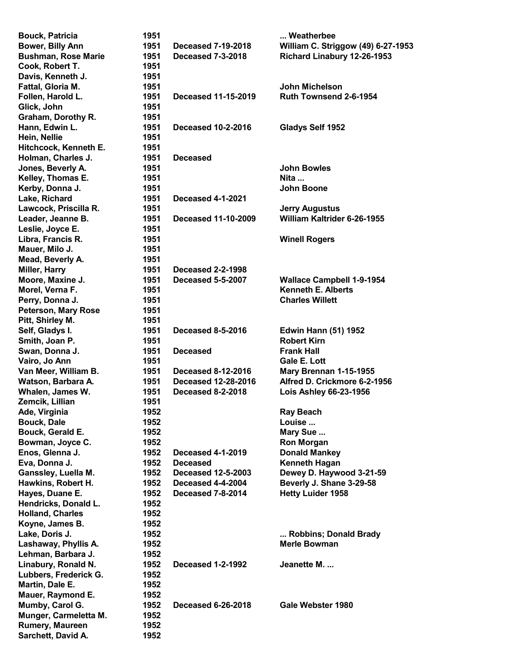| <b>Bouck, Patricia</b>     | 1951 |                            | Weatherbee                         |
|----------------------------|------|----------------------------|------------------------------------|
| Bower, Billy Ann           | 1951 | <b>Deceased 7-19-2018</b>  | William C. Striggow (49) 6-27-1953 |
| <b>Bushman, Rose Marie</b> | 1951 | <b>Deceased 7-3-2018</b>   | Richard Linabury 12-26-1953        |
| Cook, Robert T.            | 1951 |                            |                                    |
| Davis, Kenneth J.          | 1951 |                            |                                    |
| Fattal, Gloria M.          | 1951 |                            | John Michelson                     |
| Follen, Harold L.          | 1951 | <b>Deceased 11-15-2019</b> | Ruth Townsend 2-6-1954             |
| Glick, John                | 1951 |                            |                                    |
| Graham, Dorothy R.         | 1951 |                            |                                    |
| Hann, Edwin L.             | 1951 | <b>Deceased 10-2-2016</b>  | Gladys Self 1952                   |
| Hein, Nellie               | 1951 |                            |                                    |
| Hitchcock, Kenneth E.      | 1951 |                            |                                    |
|                            | 1951 | <b>Deceased</b>            |                                    |
| Holman, Charles J.         |      |                            | <b>John Bowles</b>                 |
| Jones, Beverly A.          | 1951 |                            |                                    |
| Kelley, Thomas E.          | 1951 |                            | Nita                               |
| Kerby, Donna J.            | 1951 |                            | <b>John Boone</b>                  |
| Lake, Richard              | 1951 | <b>Deceased 4-1-2021</b>   |                                    |
| Lawcock, Priscilla R.      | 1951 |                            | <b>Jerry Augustus</b>              |
| Leader, Jeanne B.          | 1951 | <b>Deceased 11-10-2009</b> | William Kaltrider 6-26-1955        |
| Leslie, Joyce E.           | 1951 |                            |                                    |
| Libra, Francis R.          | 1951 |                            | <b>Winell Rogers</b>               |
| Mauer, Milo J.             | 1951 |                            |                                    |
| Mead, Beverly A.           | 1951 |                            |                                    |
| Miller, Harry              | 1951 | <b>Deceased 2-2-1998</b>   |                                    |
| Moore, Maxine J.           | 1951 | <b>Deceased 5-5-2007</b>   | <b>Wallace Campbell 1-9-1954</b>   |
| Morel, Verna F.            | 1951 |                            | <b>Kenneth E. Alberts</b>          |
| Perry, Donna J.            | 1951 |                            | <b>Charles Willett</b>             |
| <b>Peterson, Mary Rose</b> | 1951 |                            |                                    |
| Pitt, Shirley M.           | 1951 |                            |                                    |
| Self, Gladys I.            | 1951 | <b>Deceased 8-5-2016</b>   | <b>Edwin Hann (51) 1952</b>        |
| Smith, Joan P.             | 1951 |                            | <b>Robert Kirn</b>                 |
| Swan, Donna J.             | 1951 | <b>Deceased</b>            | <b>Frank Hall</b>                  |
| Vairo, Jo Ann              | 1951 |                            | <b>Gale E. Lott</b>                |
| Van Meer, William B.       | 1951 | <b>Deceased 8-12-2016</b>  |                                    |
|                            |      | <b>Deceased 12-28-2016</b> | Mary Brennan 1-15-1955             |
| Watson, Barbara A.         | 1951 |                            | Alfred D. Crickmore 6-2-1956       |
| Whalen, James W.           | 1951 | <b>Deceased 8-2-2018</b>   | Lois Ashley 66-23-1956             |
| Zemcik, Lillian            | 1951 |                            |                                    |
| Ade, Virginia              | 1952 |                            | <b>Ray Beach</b>                   |
| <b>Bouck, Dale</b>         | 1952 |                            | Louise                             |
| Bouck, Gerald E.           | 1952 |                            | Mary Sue                           |
| Bowman, Joyce C.           | 1952 |                            | <b>Ron Morgan</b>                  |
| Enos, Glenna J.            | 1952 | <b>Deceased 4-1-2019</b>   | <b>Donald Mankey</b>               |
| Eva, Donna J.              | 1952 | <b>Deceased</b>            | <b>Kenneth Hagan</b>               |
| Ganssley, Luella M.        | 1952 | <b>Deceased 12-5-2003</b>  | Dewey D. Haywood 3-21-59           |
| Hawkins, Robert H.         | 1952 | Deceased 4-4-2004          | Beverly J. Shane 3-29-58           |
| Hayes, Duane E.            | 1952 | <b>Deceased 7-8-2014</b>   | <b>Hetty Luider 1958</b>           |
| Hendricks, Donald L.       | 1952 |                            |                                    |
| <b>Holland, Charles</b>    | 1952 |                            |                                    |
| Koyne, James B.            | 1952 |                            |                                    |
| Lake, Doris J.             | 1952 |                            | Robbins; Donald Brady              |
| Lashaway, Phyllis A.       | 1952 |                            | <b>Merle Bowman</b>                |
| Lehman, Barbara J.         | 1952 |                            |                                    |
| Linabury, Ronald N.        | 1952 | <b>Deceased 1-2-1992</b>   | Jeanette M.                        |
| Lubbers, Frederick G.      | 1952 |                            |                                    |
|                            | 1952 |                            |                                    |
| Martin, Dale E.            |      |                            |                                    |
| Mauer, Raymond E.          | 1952 |                            |                                    |
| Mumby, Carol G.            | 1952 | <b>Deceased 6-26-2018</b>  | Gale Webster 1980                  |
| Munger, Carmeletta M.      | 1952 |                            |                                    |
| Rumery, Maureen            | 1952 |                            |                                    |
| Sarchett, David A.         | 1952 |                            |                                    |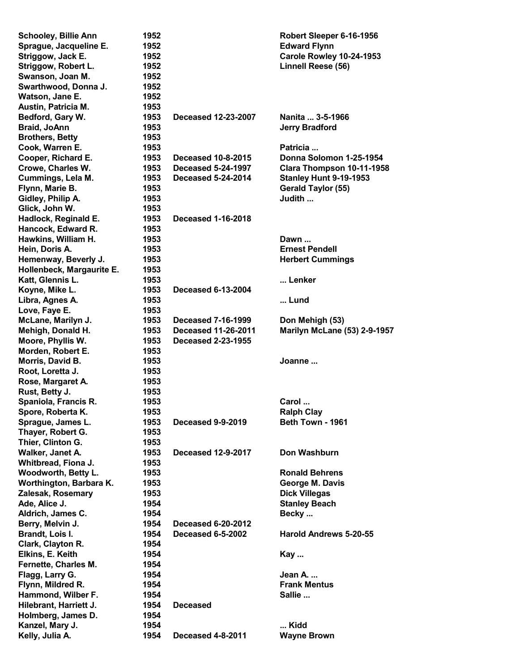| <b>Schooley, Billie Ann</b> | 1952 |                           | Robert Sleeper 6-16-1956            |
|-----------------------------|------|---------------------------|-------------------------------------|
| Sprague, Jacqueline E.      | 1952 |                           | <b>Edward Flynn</b>                 |
| Striggow, Jack E.           | 1952 |                           | Carole Rowley 10-24-1953            |
| Striggow, Robert L.         | 1952 |                           | Linnell Reese (56)                  |
| Swanson, Joan M.            | 1952 |                           |                                     |
| Swarthwood, Donna J.        | 1952 |                           |                                     |
| Watson, Jane E.             | 1952 |                           |                                     |
| Austin, Patricia M.         | 1953 |                           |                                     |
| Bedford, Gary W.            | 1953 | Deceased 12-23-2007       | Nanita  3-5-1966                    |
| Braid, JoAnn                | 1953 |                           | <b>Jerry Bradford</b>               |
| <b>Brothers, Betty</b>      | 1953 |                           |                                     |
| Cook, Warren E.             | 1953 |                           | Patricia                            |
| Cooper, Richard E.          | 1953 | <b>Deceased 10-8-2015</b> | Donna Solomon 1-25-1954             |
| Crowe, Charles W.           | 1953 | <b>Deceased 5-24-1997</b> | Clara Thompson 10-11-1958           |
| Cummings, Lela M.           | 1953 | <b>Deceased 5-24-2014</b> | <b>Stanley Hunt 9-19-1953</b>       |
| Flynn, Marie B.             | 1953 |                           | <b>Gerald Taylor (55)</b>           |
| Gidley, Philip A.           | 1953 |                           | Judith                              |
| Glick, John W.              | 1953 |                           |                                     |
| Hadlock, Reginald E.        | 1953 | <b>Deceased 1-16-2018</b> |                                     |
| Hancock, Edward R.          | 1953 |                           |                                     |
| Hawkins, William H.         | 1953 |                           | Dawn                                |
| Hein, Doris A.              | 1953 |                           | <b>Ernest Pendell</b>               |
| Hemenway, Beverly J.        | 1953 |                           | <b>Herbert Cummings</b>             |
| Hollenbeck, Margaurite E.   | 1953 |                           |                                     |
| Katt, Glennis L.            | 1953 |                           | Lenker                              |
|                             | 1953 | <b>Deceased 6-13-2004</b> |                                     |
| Koyne, Mike L.              |      |                           |                                     |
| Libra, Agnes A.             | 1953 |                           | Lund                                |
| Love, Faye E.               | 1953 |                           |                                     |
| McLane, Marilyn J.          | 1953 | <b>Deceased 7-16-1999</b> | Don Mehigh (53)                     |
| Mehigh, Donald H.           | 1953 | Deceased 11-26-2011       | <b>Marilyn McLane (53) 2-9-1957</b> |
| Moore, Phyllis W.           | 1953 | <b>Deceased 2-23-1955</b> |                                     |
| Morden, Robert E.           | 1953 |                           |                                     |
| Morris, David B.            | 1953 |                           | Joanne                              |
| Root, Loretta J.            | 1953 |                           |                                     |
| Rose, Margaret A.           | 1953 |                           |                                     |
| Rust, Betty J.              | 1953 |                           |                                     |
| Spaniola, Francis R.        | 1953 |                           | Carol                               |
| Spore, Roberta K.           | 1953 |                           | <b>Ralph Clay</b>                   |
| Sprague, James L.           | 1953 | Deceased 9-9-2019         | Beth Town - 1961                    |
| Thayer, Robert G.           | 1953 |                           |                                     |
| Thier, Clinton G.           | 1953 |                           |                                     |
| Walker, Janet A.            | 1953 | <b>Deceased 12-9-2017</b> | Don Washburn                        |
| Whitbread, Fiona J.         | 1953 |                           |                                     |
| Woodworth, Betty L.         | 1953 |                           | <b>Ronald Behrens</b>               |
| Worthington, Barbara K.     | 1953 |                           | George M. Davis                     |
| Zalesak, Rosemary           | 1953 |                           | <b>Dick Villegas</b>                |
| Ade, Alice J.               | 1954 |                           | <b>Stanley Beach</b>                |
| Aldrich, James C.           | 1954 |                           | Becky                               |
| Berry, Melvin J.            | 1954 | Deceased 6-20-2012        |                                     |
| Brandt, Lois I.             | 1954 | Deceased 6-5-2002         | <b>Harold Andrews 5-20-55</b>       |
| Clark, Clayton R.           | 1954 |                           |                                     |
| Elkins, E. Keith            | 1954 |                           | Kay                                 |
| Fernette, Charles M.        | 1954 |                           |                                     |
| Flagg, Larry G.             | 1954 |                           | Jean A.                             |
| Flynn, Mildred R.           | 1954 |                           | <b>Frank Mentus</b>                 |
| Hammond, Wilber F.          | 1954 |                           | Sallie                              |
| Hilebrant, Harriett J.      | 1954 | <b>Deceased</b>           |                                     |
| Holmberg, James D.          | 1954 |                           |                                     |
| Kanzel, Mary J.             | 1954 |                           | Kidd                                |
| Kelly, Julia A.             | 1954 | Deceased 4-8-2011         | <b>Wayne Brown</b>                  |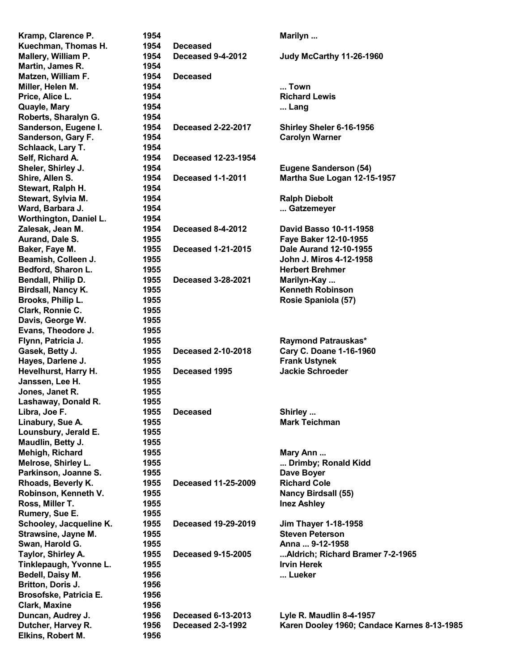| Kramp, Clarence P.      | 1954 |                            | Marilyn                                     |
|-------------------------|------|----------------------------|---------------------------------------------|
| Kuechman, Thomas H.     | 1954 | <b>Deceased</b>            |                                             |
| Mallery, William P.     | 1954 | Deceased 9-4-2012          | Judy McCarthy 11-26-1960                    |
| Martin, James R.        | 1954 |                            |                                             |
| Matzen, William F.      | 1954 | <b>Deceased</b>            |                                             |
| Miller, Helen M.        | 1954 |                            | Town                                        |
| Price, Alice L.         | 1954 |                            | <b>Richard Lewis</b>                        |
| Quayle, Mary            | 1954 |                            | Lang                                        |
| Roberts, Sharalyn G.    | 1954 |                            |                                             |
| Sanderson, Eugene I.    | 1954 | <b>Deceased 2-22-2017</b>  | Shirley Sheler 6-16-1956                    |
| Sanderson, Gary F.      | 1954 |                            | <b>Carolyn Warner</b>                       |
| Schlaack, Lary T.       | 1954 |                            |                                             |
|                         | 1954 | <b>Deceased 12-23-1954</b> |                                             |
| Self, Richard A.        |      |                            |                                             |
| Sheler, Shirley J.      | 1954 |                            | <b>Eugene Sanderson (54)</b>                |
| Shire, Allen S.         | 1954 | <b>Deceased 1-1-2011</b>   | Martha Sue Logan 12-15-1957                 |
| Stewart, Ralph H.       | 1954 |                            |                                             |
| Stewart, Sylvia M.      | 1954 |                            | <b>Ralph Diebolt</b>                        |
| Ward, Barbara J.        | 1954 |                            | Gatzemeyer                                  |
| Worthington, Daniel L.  | 1954 |                            |                                             |
| Zalesak, Jean M.        | 1954 | Deceased 8-4-2012          | David Basso 10-11-1958                      |
| Aurand, Dale S.         | 1955 |                            | Faye Baker 12-10-1955                       |
| Baker, Faye M.          | 1955 | <b>Deceased 1-21-2015</b>  | Dale Aurand 12-10-1955                      |
| Beamish, Colleen J.     | 1955 |                            | John J. Miros 4-12-1958                     |
| Bedford, Sharon L.      | 1955 |                            | <b>Herbert Brehmer</b>                      |
| Bendall, Philip D.      | 1955 | <b>Deceased 3-28-2021</b>  | Marilyn-Kay                                 |
| Birdsall, Nancy K.      | 1955 |                            | <b>Kenneth Robinson</b>                     |
| Brooks, Philip L.       | 1955 |                            | Rosie Spaniola (57)                         |
| Clark, Ronnie C.        | 1955 |                            |                                             |
| Davis, George W.        | 1955 |                            |                                             |
| Evans, Theodore J.      | 1955 |                            |                                             |
| Flynn, Patricia J.      | 1955 |                            | Raymond Patrauskas*                         |
| Gasek, Betty J.         | 1955 | <b>Deceased 2-10-2018</b>  | Cary C. Doane 1-16-1960                     |
| Hayes, Darlene J.       | 1955 |                            | <b>Frank Ustynek</b>                        |
| Hevelhurst, Harry H.    | 1955 | Deceased 1995              | <b>Jackie Schroeder</b>                     |
| Janssen, Lee H.         | 1955 |                            |                                             |
|                         |      |                            |                                             |
| Jones, Janet R.         | 1955 |                            |                                             |
| Lashaway, Donald R.     | 1955 |                            |                                             |
| Libra, Joe F.           | 1955 | <b>Deceased</b>            | Shirley                                     |
| Linabury, Sue A.        | 1955 |                            | <b>Mark Teichman</b>                        |
| Lounsbury, Jerald E.    | 1955 |                            |                                             |
| Maudlin, Betty J.       | 1955 |                            |                                             |
| Mehigh, Richard         | 1955 |                            | Mary Ann                                    |
| Melrose, Shirley L.     | 1955 |                            | Drimby; Ronald Kidd                         |
| Parkinson, Joanne S.    | 1955 |                            | Dave Boyer                                  |
| Rhoads, Beverly K.      | 1955 | <b>Deceased 11-25-2009</b> | <b>Richard Cole</b>                         |
| Robinson, Kenneth V.    | 1955 |                            | <b>Nancy Birdsall (55)</b>                  |
| Ross, Miller T.         | 1955 |                            | <b>Inez Ashley</b>                          |
| Rumery, Sue E.          | 1955 |                            |                                             |
| Schooley, Jacqueline K. | 1955 | <b>Deceased 19-29-2019</b> | <b>Jim Thayer 1-18-1958</b>                 |
| Strawsine, Jayne M.     | 1955 |                            | <b>Steven Peterson</b>                      |
| Swan, Harold G.         | 1955 |                            | Anna  9-12-1958                             |
| Taylor, Shirley A.      | 1955 | <b>Deceased 9-15-2005</b>  | Aldrich; Richard Bramer 7-2-1965            |
| Tinklepaugh, Yvonne L.  | 1955 |                            | <b>Irvin Herek</b>                          |
| Bedell, Daisy M.        | 1956 |                            | Lueker                                      |
| Britton, Doris J.       | 1956 |                            |                                             |
| Brosofske, Patricia E.  | 1956 |                            |                                             |
| <b>Clark, Maxine</b>    | 1956 |                            |                                             |
| Duncan, Audrey J.       | 1956 | <b>Deceased 6-13-2013</b>  | Lyle R. Maudlin 8-4-1957                    |
| Dutcher, Harvey R.      | 1956 | <b>Deceased 2-3-1992</b>   | Karen Dooley 1960; Candace Karnes 8-13-1985 |
|                         |      |                            |                                             |
| Elkins, Robert M.       | 1956 |                            |                                             |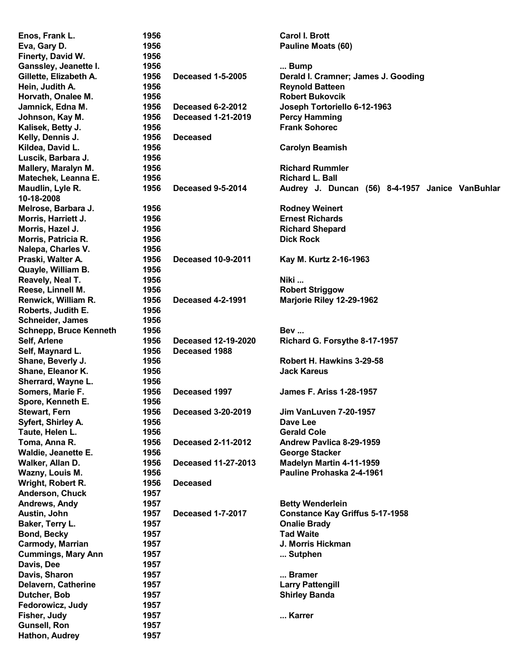| Enos, Frank L.                | 1956 |                            | <b>Carol I. Brott</b>                           |
|-------------------------------|------|----------------------------|-------------------------------------------------|
| Eva, Gary D.                  | 1956 |                            | Pauline Moats (60)                              |
| Finerty, David W.             | 1956 |                            |                                                 |
| Ganssley, Jeanette I.         | 1956 |                            | Bump                                            |
| Gillette, Elizabeth A.        | 1956 | <b>Deceased 1-5-2005</b>   | Derald I. Cramner; James J. Gooding             |
| Hein, Judith A.               | 1956 |                            | <b>Reynold Batteen</b>                          |
| Horvath, Onalee M.            | 1956 |                            | <b>Robert Bukovcik</b>                          |
| Jamnick, Edna M.              | 1956 | <b>Deceased 6-2-2012</b>   | Joseph Tortoriello 6-12-1963                    |
|                               | 1956 | <b>Deceased 1-21-2019</b>  |                                                 |
| Johnson, Kay M.               |      |                            | <b>Percy Hamming</b><br><b>Frank Sohorec</b>    |
| Kalisek, Betty J.             | 1956 |                            |                                                 |
| Kelly, Dennis J.              | 1956 | <b>Deceased</b>            |                                                 |
| Kildea, David L.              | 1956 |                            | <b>Carolyn Beamish</b>                          |
| Luscik, Barbara J.            | 1956 |                            |                                                 |
| Mallery, Maralyn M.           | 1956 |                            | <b>Richard Rummler</b>                          |
| Matechek, Leanna E.           | 1956 |                            | <b>Richard L. Ball</b>                          |
| Maudlin, Lyle R.              | 1956 | Deceased 9-5-2014          | Audrey J. Duncan (56) 8-4-1957 Janice VanBuhlar |
| 10-18-2008                    |      |                            |                                                 |
| Melrose, Barbara J.           | 1956 |                            | <b>Rodney Weinert</b>                           |
| Morris, Harriett J.           | 1956 |                            | <b>Ernest Richards</b>                          |
| Morris, Hazel J.              | 1956 |                            | <b>Richard Shepard</b>                          |
| Morris, Patricia R.           | 1956 |                            | <b>Dick Rock</b>                                |
| Nalepa, Charles V.            | 1956 |                            |                                                 |
| Praski, Walter A.             | 1956 | <b>Deceased 10-9-2011</b>  | Kay M. Kurtz 2-16-1963                          |
| Quayle, William B.            | 1956 |                            |                                                 |
| Reavely, Neal T.              | 1956 |                            | Niki                                            |
|                               |      |                            |                                                 |
| Reese, Linnell M.             | 1956 |                            | <b>Robert Striggow</b>                          |
| Renwick, William R.           | 1956 | <b>Deceased 4-2-1991</b>   | Marjorie Riley 12-29-1962                       |
| Roberts, Judith E.            | 1956 |                            |                                                 |
| <b>Schneider, James</b>       | 1956 |                            |                                                 |
| <b>Schnepp, Bruce Kenneth</b> | 1956 |                            | <b>Bev</b>                                      |
| Self, Arlene                  | 1956 | <b>Deceased 12-19-2020</b> | Richard G. Forsythe 8-17-1957                   |
| Self, Maynard L.              | 1956 | Deceased 1988              |                                                 |
| Shane, Beverly J.             | 1956 |                            | Robert H. Hawkins 3-29-58                       |
| Shane, Eleanor K.             | 1956 |                            | <b>Jack Kareus</b>                              |
| Sherrard, Wayne L.            | 1956 |                            |                                                 |
| Somers, Marie F.              | 1956 | Deceased 1997              | <b>James F. Ariss 1-28-1957</b>                 |
| Spore, Kenneth E.             | 1956 |                            |                                                 |
| <b>Stewart, Fern</b>          | 1956 | <b>Deceased 3-20-2019</b>  | Jim VanLuven 7-20-1957                          |
| Syfert, Shirley A.            | 1956 |                            | Dave Lee                                        |
| Taute, Helen L.               | 1956 |                            | <b>Gerald Cole</b>                              |
| Toma, Anna R.                 | 1956 | <b>Deceased 2-11-2012</b>  | Andrew Pavlica 8-29-1959                        |
| Waldie, Jeanette E.           | 1956 |                            | <b>George Stacker</b>                           |
|                               |      |                            | Madelyn Martin 4-11-1959                        |
| Walker, Allan D.              | 1956 | <b>Deceased 11-27-2013</b> |                                                 |
| Wazny, Louis M.               | 1956 |                            | Pauline Prohaska 2-4-1961                       |
| Wright, Robert R.             | 1956 | <b>Deceased</b>            |                                                 |
| Anderson, Chuck               | 1957 |                            |                                                 |
| Andrews, Andy                 | 1957 |                            | <b>Betty Wenderlein</b>                         |
| Austin, John                  | 1957 | <b>Deceased 1-7-2017</b>   | <b>Constance Kay Griffus 5-17-1958</b>          |
| Baker, Terry L.               | 1957 |                            | <b>Onalie Brady</b>                             |
| <b>Bond, Becky</b>            | 1957 |                            | <b>Tad Waite</b>                                |
| Carmody, Marrian              | 1957 |                            | J. Morris Hickman                               |
| <b>Cummings, Mary Ann</b>     | 1957 |                            | Sutphen                                         |
| Davis, Dee                    | 1957 |                            |                                                 |
| Davis, Sharon                 | 1957 |                            | Bramer                                          |
| Delavern, Catherine           | 1957 |                            | <b>Larry Pattengill</b>                         |
| Dutcher, Bob                  | 1957 |                            | <b>Shirley Banda</b>                            |
| Fedorowicz, Judy              | 1957 |                            |                                                 |
|                               |      |                            |                                                 |
| Fisher, Judy                  | 1957 |                            | Karrer                                          |
| <b>Gunsell, Ron</b>           | 1957 |                            |                                                 |
| Hathon, Audrey                | 1957 |                            |                                                 |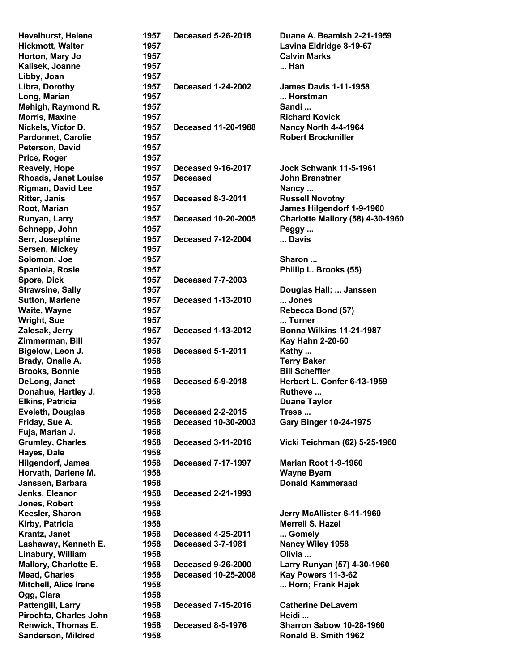| Hevelhurst, Helene          | 1957 | <b>Deceased 5-26-2018</b>  | Duane A. Beamish 2-21-1959              |
|-----------------------------|------|----------------------------|-----------------------------------------|
| <b>Hickmott, Walter</b>     | 1957 |                            | Lavina Eldridge 8-19-67                 |
| Horton, Mary Jo             | 1957 |                            | <b>Calvin Marks</b>                     |
| Kalisek, Joanne             | 1957 |                            | Han                                     |
| Libby, Joan                 | 1957 |                            |                                         |
| Libra, Dorothy              | 1957 | <b>Deceased 1-24-2002</b>  | <b>James Davis 1-11-1958</b>            |
| Long, Marian                | 1957 |                            | Horstman                                |
| Mehigh, Raymond R.          | 1957 |                            | Sandi                                   |
| <b>Morris, Maxine</b>       | 1957 |                            | <b>Richard Kovick</b>                   |
| Nickels, Victor D.          | 1957 | <b>Deceased 11-20-1988</b> | Nancy North 4-4-1964                    |
| <b>Pardonnet, Carolie</b>   |      |                            | <b>Robert Brockmiller</b>               |
|                             | 1957 |                            |                                         |
| Peterson, David             | 1957 |                            |                                         |
| Price, Roger                | 1957 |                            |                                         |
| <b>Reavely, Hope</b>        | 1957 | <b>Deceased 9-16-2017</b>  | <b>Jock Schwank 11-5-1961</b>           |
| <b>Rhoads, Janet Louise</b> | 1957 | <b>Deceased</b>            | <b>John Branstner</b>                   |
| <b>Rigman, David Lee</b>    | 1957 |                            | Nancy                                   |
| <b>Ritter, Janis</b>        | 1957 | Deceased 8-3-2011          | <b>Russell Novotny</b>                  |
| Root, Marian                | 1957 |                            | James Hilgendorf 1-9-1960               |
| Runyan, Larry               | 1957 | <b>Deceased 10-20-2005</b> | <b>Charlotte Mallory (58) 4-30-1960</b> |
| Schnepp, John               | 1957 |                            | Peggy                                   |
| Serr, Josephine             | 1957 | <b>Deceased 7-12-2004</b>  | Davis                                   |
| Sersen, Mickey              | 1957 |                            |                                         |
| Solomon, Joe                | 1957 |                            | Sharon                                  |
| Spaniola, Rosie             | 1957 |                            | Phillip L. Brooks (55)                  |
| Spore, Dick                 | 1957 | <b>Deceased 7-7-2003</b>   |                                         |
| <b>Strawsine, Sally</b>     | 1957 |                            | Douglas Hall;  Janssen                  |
|                             | 1957 | <b>Deceased 1-13-2010</b>  | Jones                                   |
| <b>Sutton, Marlene</b>      |      |                            |                                         |
| Waite, Wayne                | 1957 |                            | Rebecca Bond (57)                       |
| <b>Wright, Sue</b>          | 1957 |                            | Turner                                  |
| Zalesak, Jerry              | 1957 | <b>Deceased 1-13-2012</b>  | <b>Bonna Wilkins 11-21-1987</b>         |
| Zimmerman, Bill             | 1957 |                            | <b>Kay Hahn 2-20-60</b>                 |
| Bigelow, Leon J.            | 1958 | <b>Deceased 5-1-2011</b>   | Kathy                                   |
| Brady, Onalie A.            | 1958 |                            | <b>Terry Baker</b>                      |
| <b>Brooks, Bonnie</b>       | 1958 |                            | <b>Bill Scheffler</b>                   |
| DeLong, Janet               | 1958 | Deceased 5-9-2018          | Herbert L. Confer 6-13-1959             |
| Donahue, Hartley J.         | 1958 |                            | Rutheve                                 |
| <b>Elkins, Patricia</b>     | 1958 |                            | <b>Duane Taylor</b>                     |
| <b>Eveleth, Douglas</b>     | 1958 | <b>Deceased 2-2-2015</b>   | Tress                                   |
| Friday, Sue A.              | 1958 | <b>Deceased 10-30-2003</b> | <b>Gary Binger 10-24-1975</b>           |
| Fuja, Marian J.             | 1958 |                            |                                         |
| <b>Grumley, Charles</b>     | 1958 | <b>Deceased 3-11-2016</b>  | Vicki Teichman (62) 5-25-1960           |
| Hayes, Dale                 | 1958 |                            |                                         |
| <b>Hilgendorf, James</b>    | 1958 | <b>Deceased 7-17-1997</b>  | <b>Marian Root 1-9-1960</b>             |
|                             |      |                            |                                         |
| Horvath, Darlene M.         | 1958 |                            | <b>Wayne Byam</b>                       |
| Janssen, Barbara            | 1958 |                            | <b>Donald Kammeraad</b>                 |
| Jenks, Eleanor              | 1958 | <b>Deceased 2-21-1993</b>  |                                         |
| Jones, Robert               | 1958 |                            |                                         |
| Keesler, Sharon             | 1958 |                            | Jerry McAllister 6-11-1960              |
| Kirby, Patricia             | 1958 |                            | <b>Merrell S. Hazel</b>                 |
| Krantz, Janet               | 1958 | <b>Deceased 4-25-2011</b>  | Gomely                                  |
| Lashaway, Kenneth E.        | 1958 | <b>Deceased 3-7-1981</b>   | Nancy Wiley 1958                        |
| Linabury, William           | 1958 |                            | Olivia                                  |
| Mallory, Charlotte E.       | 1958 | <b>Deceased 9-26-2000</b>  | Larry Runyan (57) 4-30-1960             |
| <b>Mead, Charles</b>        | 1958 | <b>Deceased 10-25-2008</b> | Kay Powers 11-3-62                      |
| Mitchell, Alice Irene       | 1958 |                            | Horn; Frank Hajek                       |
| Ogg, Clara                  | 1958 |                            |                                         |
| Pattengill, Larry           | 1958 | <b>Deceased 7-15-2016</b>  | <b>Catherine DeLavern</b>               |
|                             |      |                            | Heidi                                   |
| Pirochta, Charles John      | 1958 |                            |                                         |
| Renwick, Thomas E.          | 1958 | <b>Deceased 8-5-1976</b>   | <b>Sharron Sabow 10-28-1960</b>         |
| <b>Sanderson, Mildred</b>   | 1958 |                            | Ronald B. Smith 1962                    |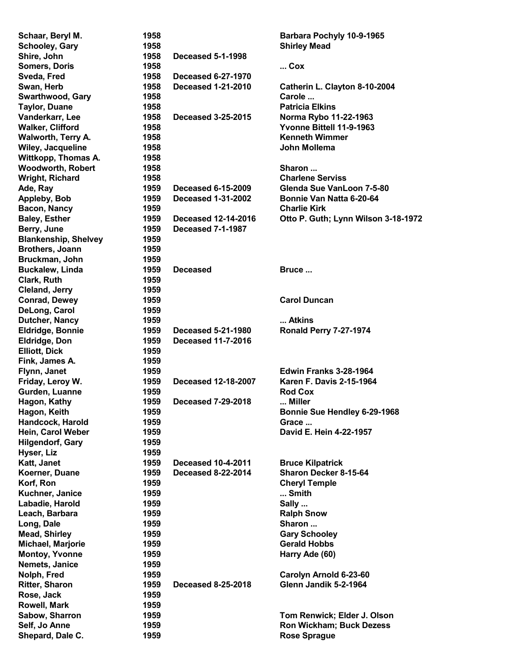| Schaar, Beryl M.            | 1958 |                            | Barbara Pochyly 10-9-1965           |
|-----------------------------|------|----------------------------|-------------------------------------|
| <b>Schooley, Gary</b>       | 1958 |                            | <b>Shirley Mead</b>                 |
| Shire, John                 | 1958 | <b>Deceased 5-1-1998</b>   |                                     |
| <b>Somers, Doris</b>        | 1958 |                            | $$ Cox                              |
| Sveda, Fred                 | 1958 | <b>Deceased 6-27-1970</b>  |                                     |
| Swan, Herb                  | 1958 | <b>Deceased 1-21-2010</b>  | Catherin L. Clayton 8-10-2004       |
| <b>Swarthwood, Gary</b>     | 1958 |                            | Carole                              |
| <b>Taylor, Duane</b>        | 1958 |                            | <b>Patricia Elkins</b>              |
| Vanderkarr, Lee             | 1958 | <b>Deceased 3-25-2015</b>  | Norma Rybo 11-22-1963               |
| <b>Walker, Clifford</b>     | 1958 |                            | Yvonne Bittell 11-9-1963            |
| Walworth, Terry A.          | 1958 |                            | <b>Kenneth Wimmer</b>               |
|                             |      |                            | <b>John Mollema</b>                 |
| Wiley, Jacqueline           | 1958 |                            |                                     |
| Wittkopp, Thomas A.         | 1958 |                            |                                     |
| <b>Woodworth, Robert</b>    | 1958 |                            | Sharon                              |
| <b>Wright, Richard</b>      | 1958 |                            | <b>Charlene Serviss</b>             |
| Ade, Ray                    | 1959 | <b>Deceased 6-15-2009</b>  | Glenda Sue VanLoon 7-5-80           |
| Appleby, Bob                | 1959 | <b>Deceased 1-31-2002</b>  | Bonnie Van Natta 6-20-64            |
| Bacon, Nancy                | 1959 |                            | <b>Charlie Kirk</b>                 |
| <b>Baley, Esther</b>        | 1959 | <b>Deceased 12-14-2016</b> | Otto P. Guth; Lynn Wilson 3-18-1972 |
| Berry, June                 | 1959 | <b>Deceased 7-1-1987</b>   |                                     |
| <b>Blankenship, Shelvey</b> | 1959 |                            |                                     |
| Brothers, Joann             | 1959 |                            |                                     |
| Bruckman, John              | 1959 |                            |                                     |
| <b>Buckalew, Linda</b>      | 1959 | <b>Deceased</b>            | Bruce                               |
| Clark, Ruth                 | 1959 |                            |                                     |
| Cleland, Jerry              | 1959 |                            |                                     |
| <b>Conrad, Dewey</b>        | 1959 |                            | <b>Carol Duncan</b>                 |
| DeLong, Carol               | 1959 |                            |                                     |
| Dutcher, Nancy              | 1959 |                            | Atkins                              |
| <b>Eldridge, Bonnie</b>     | 1959 | <b>Deceased 5-21-1980</b>  | <b>Ronald Perry 7-27-1974</b>       |
| <b>Eldridge, Don</b>        | 1959 | <b>Deceased 11-7-2016</b>  |                                     |
|                             | 1959 |                            |                                     |
| <b>Elliott, Dick</b>        |      |                            |                                     |
| Fink, James A.              | 1959 |                            |                                     |
| Flynn, Janet                | 1959 |                            | <b>Edwin Franks 3-28-1964</b>       |
| Friday, Leroy W.            | 1959 | <b>Deceased 12-18-2007</b> | <b>Karen F. Davis 2-15-1964</b>     |
| Gurden, Luanne              | 1959 |                            | <b>Rod Cox</b>                      |
| Hagon, Kathy                | 1959 | <b>Deceased 7-29-2018</b>  | Miller                              |
| Hagon, Keith                | 1959 |                            | Bonnie Sue Hendley 6-29-1968        |
| Handcock, Harold            | 1959 |                            | Grace                               |
| Hein, Carol Weber           | 1959 |                            | David E. Hein 4-22-1957             |
| <b>Hilgendorf, Gary</b>     | 1959 |                            |                                     |
| Hyser, Liz                  | 1959 |                            |                                     |
| Katt, Janet                 | 1959 | <b>Deceased 10-4-2011</b>  | <b>Bruce Kilpatrick</b>             |
| Koerner, Duane              | 1959 | <b>Deceased 8-22-2014</b>  | Sharon Decker 8-15-64               |
| Korf, Ron                   | 1959 |                            | <b>Cheryl Temple</b>                |
| Kuchner, Janice             | 1959 |                            | Smith                               |
| Labadie, Harold             | 1959 |                            | Sally                               |
| Leach, Barbara              | 1959 |                            | <b>Ralph Snow</b>                   |
| Long, Dale                  | 1959 |                            | Sharon                              |
| <b>Mead, Shirley</b>        | 1959 |                            | <b>Gary Schooley</b>                |
| Michael, Marjorie           | 1959 |                            | <b>Gerald Hobbs</b>                 |
| <b>Montoy, Yvonne</b>       | 1959 |                            |                                     |
|                             | 1959 |                            | Harry Ade (60)                      |
| Nemets, Janice              |      |                            |                                     |
| Nolph, Fred                 | 1959 |                            | Carolyn Arnold 6-23-60              |
| <b>Ritter, Sharon</b>       | 1959 | <b>Deceased 8-25-2018</b>  | Glenn Jandik 5-2-1964               |
| Rose, Jack                  | 1959 |                            |                                     |
| Rowell, Mark                | 1959 |                            |                                     |
| Sabow, Sharron              | 1959 |                            | Tom Renwick; Elder J. Olson         |
| Self, Jo Anne               | 1959 |                            | Ron Wickham; Buck Dezess            |
| Shepard, Dale C.            | 1959 |                            | <b>Rose Sprague</b>                 |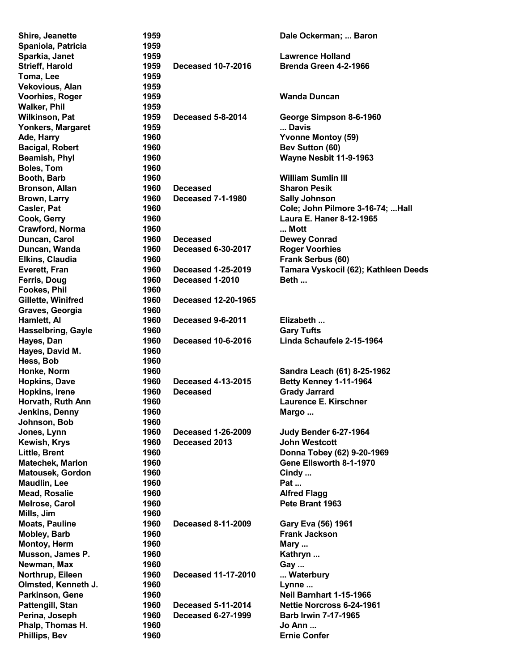| Shire, Jeanette           | 1959 |                            | Dale Ockerman;  Baron                |
|---------------------------|------|----------------------------|--------------------------------------|
| Spaniola, Patricia        | 1959 |                            |                                      |
| Sparkia, Janet            | 1959 |                            | <b>Lawrence Holland</b>              |
| <b>Strieff, Harold</b>    | 1959 | <b>Deceased 10-7-2016</b>  | Brenda Green 4-2-1966                |
| Toma, Lee                 | 1959 |                            |                                      |
| Vekovious, Alan           | 1959 |                            |                                      |
| <b>Voorhies, Roger</b>    | 1959 |                            | <b>Wanda Duncan</b>                  |
| <b>Walker, Phil</b>       | 1959 |                            |                                      |
| <b>Wilkinson, Pat</b>     | 1959 | Deceased 5-8-2014          | George Simpson 8-6-1960              |
| Yonkers, Margaret         | 1959 |                            | Davis                                |
| Ade, Harry                | 1960 |                            | <b>Yvonne Montoy (59)</b>            |
| <b>Bacigal, Robert</b>    | 1960 |                            | Bev Sutton (60)                      |
| <b>Beamish, Phyl</b>      | 1960 |                            | Wayne Nesbit 11-9-1963               |
| <b>Boles, Tom</b>         | 1960 |                            |                                      |
| Booth, Barb               | 1960 |                            | <b>William Sumlin III</b>            |
| Bronson, Allan            | 1960 | <b>Deceased</b>            | <b>Sharon Pesik</b>                  |
|                           | 1960 | <b>Deceased 7-1-1980</b>   |                                      |
| <b>Brown, Larry</b>       |      |                            | <b>Sally Johnson</b>                 |
| Casler, Pat               | 1960 |                            | Cole; John Pilmore 3-16-74;  Hall    |
| Cook, Gerry               | 1960 |                            | Laura E. Haner 8-12-1965             |
| Crawford, Norma           | 1960 |                            | Mott                                 |
| Duncan, Carol             | 1960 | <b>Deceased</b>            | <b>Dewey Conrad</b>                  |
| Duncan, Wanda             | 1960 | <b>Deceased 6-30-2017</b>  | <b>Roger Voorhies</b>                |
| <b>Elkins, Claudia</b>    | 1960 |                            | Frank Serbus (60)                    |
| Everett, Fran             | 1960 | <b>Deceased 1-25-2019</b>  | Tamara Vyskocil (62); Kathleen Deeds |
| Ferris, Doug              | 1960 | Deceased 1-2010            | Beth                                 |
| <b>Fookes, Phil</b>       | 1960 |                            |                                      |
| Gillette, Winifred        | 1960 | <b>Deceased 12-20-1965</b> |                                      |
| Graves, Georgia           | 1960 |                            |                                      |
| Hamlett, Al               | 1960 | Deceased 9-6-2011          | Elizabeth                            |
| <b>Hasselbring, Gayle</b> | 1960 |                            | <b>Gary Tufts</b>                    |
| Hayes, Dan                | 1960 | <b>Deceased 10-6-2016</b>  | Linda Schaufele 2-15-1964            |
| Hayes, David M.           | 1960 |                            |                                      |
| Hess, Bob                 | 1960 |                            |                                      |
| Honke, Norm               | 1960 |                            | Sandra Leach (61) 8-25-1962          |
| <b>Hopkins, Dave</b>      | 1960 | <b>Deceased 4-13-2015</b>  | Betty Kenney 1-11-1964               |
| Hopkins, Irene            | 1960 | <b>Deceased</b>            | <b>Grady Jarrard</b>                 |
| Horvath, Ruth Ann         | 1960 |                            | Laurence E. Kirschner                |
| Jenkins, Denny            | 1960 |                            | Margo                                |
| Johnson, Bob              | 1960 |                            |                                      |
| Jones, Lynn               | 1960 | <b>Deceased 1-26-2009</b>  | Judy Bender 6-27-1964                |
| Kewish, Krys              | 1960 | Deceased 2013              | <b>John Westcott</b>                 |
| Little, Brent             | 1960 |                            | Donna Tobey (62) 9-20-1969           |
| <b>Matechek, Marion</b>   | 1960 |                            | Gene Ellsworth 8-1-1970              |
| <b>Matousek, Gordon</b>   | 1960 |                            | Cindy                                |
| <b>Maudlin, Lee</b>       | 1960 |                            | Pat                                  |
| <b>Mead, Rosalie</b>      | 1960 |                            | <b>Alfred Flagg</b>                  |
|                           |      |                            | Pete Brant 1963                      |
| Melrose, Carol            | 1960 |                            |                                      |
| Mills, Jim                | 1960 |                            |                                      |
| <b>Moats, Pauline</b>     | 1960 | <b>Deceased 8-11-2009</b>  | Gary Eva (56) 1961                   |
| Mobley, Barb              | 1960 |                            | <b>Frank Jackson</b>                 |
| <b>Montoy, Herm</b>       | 1960 |                            | Mary                                 |
| Musson, James P.          | 1960 |                            | Kathryn                              |
| Newman, Max               | 1960 |                            | Gay                                  |
| Northrup, Eileen          | 1960 | <b>Deceased 11-17-2010</b> | Waterbury                            |
| Olmsted, Kenneth J.       | 1960 |                            | Lynne                                |
| Parkinson, Gene           | 1960 |                            | Neil Barnhart 1-15-1966              |
| Pattengill, Stan          | 1960 | <b>Deceased 5-11-2014</b>  | Nettie Norcross 6-24-1961            |
| Perina, Joseph            | 1960 | <b>Deceased 6-27-1999</b>  | <b>Barb Irwin 7-17-1965</b>          |
| Phalp, Thomas H.          | 1960 |                            | Jo Ann                               |
| Phillips, Bev             | 1960 |                            | <b>Ernie Confer</b>                  |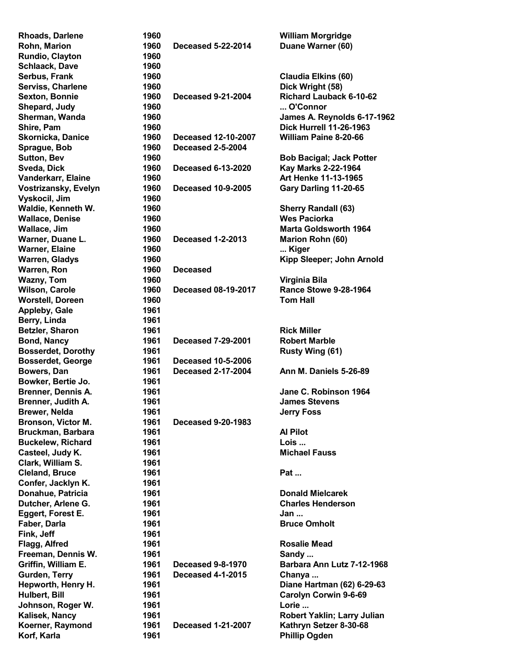| <b>Rhoads, Darlene</b>    | 1960 |                            | <b>William Morgridge</b>        |
|---------------------------|------|----------------------------|---------------------------------|
| Rohn, Marion              | 1960 | <b>Deceased 5-22-2014</b>  | Duane Warner (60)               |
| Rundio, Clayton           | 1960 |                            |                                 |
| <b>Schlaack, Dave</b>     | 1960 |                            |                                 |
| Serbus, Frank             | 1960 |                            | <b>Claudia Elkins (60)</b>      |
| Serviss, Charlene         | 1960 |                            | Dick Wright (58)                |
| <b>Sexton, Bonnie</b>     | 1960 | <b>Deceased 9-21-2004</b>  | <b>Richard Lauback 6-10-62</b>  |
| Shepard, Judy             | 1960 |                            | O'Connor                        |
| Sherman, Wanda            | 1960 |                            | James A. Reynolds 6-17-1962     |
| Shire, Pam                | 1960 |                            | <b>Dick Hurrell 11-26-1963</b>  |
| <b>Skornicka, Danice</b>  | 1960 | <b>Deceased 12-10-2007</b> | <b>William Paine 8-20-66</b>    |
| Sprague, Bob              | 1960 | <b>Deceased 2-5-2004</b>   |                                 |
|                           | 1960 |                            |                                 |
| <b>Sutton, Bev</b>        |      |                            | <b>Bob Bacigal; Jack Potter</b> |
| Sveda, Dick               | 1960 | <b>Deceased 6-13-2020</b>  | Kay Marks 2-22-1964             |
| Vanderkarr, Elaine        | 1960 |                            | Art Henke 11-13-1965            |
| Vostrizansky, Evelyn      | 1960 | <b>Deceased 10-9-2005</b>  | Gary Darling 11-20-65           |
| Vyskocil, Jim             | 1960 |                            |                                 |
| Waldie, Kenneth W.        | 1960 |                            | <b>Sherry Randall (63)</b>      |
| <b>Wallace, Denise</b>    | 1960 |                            | <b>Wes Paciorka</b>             |
| Wallace, Jim              | 1960 |                            | <b>Marta Goldsworth 1964</b>    |
| Warner, Duane L.          | 1960 | <b>Deceased 1-2-2013</b>   | Marion Rohn (60)                |
| <b>Warner, Elaine</b>     | 1960 |                            | Kiger                           |
| <b>Warren, Gladys</b>     | 1960 |                            | Kipp Sleeper; John Arnold       |
| Warren, Ron               | 1960 | <b>Deceased</b>            |                                 |
| <b>Wazny, Tom</b>         | 1960 |                            | Virginia Bila                   |
| <b>Wilson, Carole</b>     | 1960 | <b>Deceased 08-19-2017</b> | <b>Rance Stowe 9-28-1964</b>    |
| <b>Worstell, Doreen</b>   | 1960 |                            | <b>Tom Hall</b>                 |
| Appleby, Gale             | 1961 |                            |                                 |
| Berry, Linda              | 1961 |                            |                                 |
| Betzler, Sharon           | 1961 |                            | <b>Rick Miller</b>              |
| <b>Bond, Nancy</b>        | 1961 | <b>Deceased 7-29-2001</b>  | <b>Robert Marble</b>            |
| <b>Bosserdet, Dorothy</b> | 1961 |                            | Rusty Wing (61)                 |
| <b>Bosserdet, George</b>  | 1961 | <b>Deceased 10-5-2006</b>  |                                 |
| Bowers, Dan               | 1961 | <b>Deceased 2-17-2004</b>  | Ann M. Daniels 5-26-89          |
|                           |      |                            |                                 |
| Bowker, Bertie Jo.        | 1961 |                            |                                 |
| Brenner, Dennis A.        | 1961 |                            | Jane C. Robinson 1964           |
| Brenner, Judith A.        | 1961 |                            | <b>James Stevens</b>            |
| Brewer, Nelda             | 1961 |                            | <b>Jerry Foss</b>               |
| Bronson, Victor M.        | 1961 | <b>Deceased 9-20-1983</b>  |                                 |
| Bruckman, Barbara         | 1961 |                            | <b>Al Pilot</b>                 |
| <b>Buckelew, Richard</b>  | 1961 |                            | Lois                            |
| Casteel, Judy K.          | 1961 |                            | <b>Michael Fauss</b>            |
| Clark, William S.         | 1961 |                            |                                 |
| <b>Cleland, Bruce</b>     | 1961 |                            | <b>Pat </b>                     |
| Confer, Jacklyn K.        | 1961 |                            |                                 |
| Donahue, Patricia         | 1961 |                            | <b>Donald Mielcarek</b>         |
| Dutcher, Arlene G.        | 1961 |                            | <b>Charles Henderson</b>        |
| Eggert, Forest E.         | 1961 |                            | Jan                             |
| Faber, Darla              | 1961 |                            | <b>Bruce Omholt</b>             |
| Fink, Jeff                | 1961 |                            |                                 |
| Flagg, Alfred             | 1961 |                            | <b>Rosalie Mead</b>             |
| Freeman, Dennis W.        | 1961 |                            | Sandy                           |
| Griffin, William E.       | 1961 | <b>Deceased 9-8-1970</b>   | Barbara Ann Lutz 7-12-1968      |
|                           | 1961 | <b>Deceased 4-1-2015</b>   |                                 |
| Gurden, Terry             |      |                            | Chanya                          |
| Hepworth, Henry H.        | 1961 |                            | Diane Hartman (62) 6-29-63      |
| Hulbert, Bill             | 1961 |                            | <b>Carolyn Corwin 9-6-69</b>    |
| Johnson, Roger W.         | 1961 |                            | Lorie                           |
| Kalisek, Nancy            | 1961 |                            | Robert Yaklin; Larry Julian     |
| Koerner, Raymond          | 1961 | <b>Deceased 1-21-2007</b>  | Kathryn Setzer 8-30-68          |
| Korf, Karla               | 1961 |                            | <b>Phillip Ogden</b>            |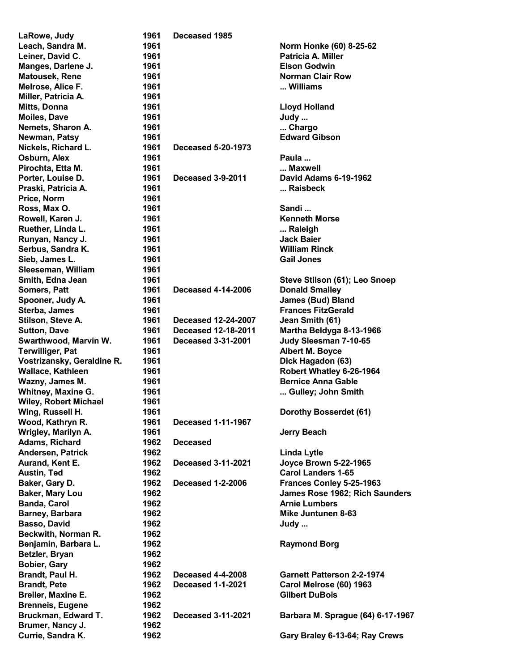| LaRowe, Judy                 | 1961 | Deceased 1985              |                                   |
|------------------------------|------|----------------------------|-----------------------------------|
| Leach, Sandra M.             | 1961 |                            | Norm Honke (60) 8-25-62           |
| Leiner, David C.             | 1961 |                            | <b>Patricia A. Miller</b>         |
| Manges, Darlene J.           | 1961 |                            | <b>Elson Godwin</b>               |
| Matousek, Rene               | 1961 |                            | <b>Norman Clair Row</b>           |
| Melrose, Alice F.            | 1961 |                            | Williams                          |
| Miller, Patricia A.          | 1961 |                            |                                   |
| Mitts, Donna                 | 1961 |                            | <b>Lloyd Holland</b>              |
| <b>Moiles, Dave</b>          | 1961 |                            | Judy                              |
| Nemets, Sharon A.            | 1961 |                            | Chargo                            |
| Newman, Patsy                | 1961 |                            | <b>Edward Gibson</b>              |
| Nickels, Richard L.          | 1961 | <b>Deceased 5-20-1973</b>  |                                   |
| Osburn, Alex                 | 1961 |                            | Paula                             |
| Pirochta, Etta M.            | 1961 |                            | Maxwell                           |
| Porter, Louise D.            | 1961 | Deceased 3-9-2011          | <b>David Adams 6-19-1962</b>      |
| Praski, Patricia A.          | 1961 |                            | Raisbeck                          |
| Price, Norm                  | 1961 |                            |                                   |
| Ross, Max O.                 | 1961 |                            | Sandi                             |
| Rowell, Karen J.             | 1961 |                            | <b>Kenneth Morse</b>              |
| Ruether, Linda L.            | 1961 |                            | Raleigh                           |
| Runyan, Nancy J.             | 1961 |                            | <b>Jack Baier</b>                 |
| Serbus, Sandra K.            | 1961 |                            | <b>William Rinck</b>              |
| Sieb, James L.               | 1961 |                            | <b>Gail Jones</b>                 |
| Sleeseman, William           | 1961 |                            |                                   |
| Smith, Edna Jean             | 1961 |                            | Steve Stilson (61); Leo Snoep     |
| <b>Somers, Patt</b>          | 1961 | <b>Deceased 4-14-2006</b>  | <b>Donald Smalley</b>             |
| Spooner, Judy A.             | 1961 |                            | <b>James (Bud) Bland</b>          |
| Sterba, James                | 1961 |                            | <b>Frances FitzGerald</b>         |
| Stilson, Steve A.            | 1961 | <b>Deceased 12-24-2007</b> | Jean Smith (61)                   |
| <b>Sutton, Dave</b>          | 1961 | <b>Deceased 12-18-2011</b> | Martha Beldyga 8-13-1966          |
| Swarthwood, Marvin W.        | 1961 | <b>Deceased 3-31-2001</b>  | Judy Sleesman 7-10-65             |
| <b>Terwilliger, Pat</b>      | 1961 |                            | <b>Albert M. Boyce</b>            |
| Vostrizansky, Geraldine R.   | 1961 |                            | Dick Hagadon (63)                 |
| <b>Wallace, Kathleen</b>     | 1961 |                            | Robert Whatley 6-26-1964          |
| Wazny, James M.              | 1961 |                            | <b>Bernice Anna Gable</b>         |
| <b>Whitney, Maxine G.</b>    | 1961 |                            | Gulley; John Smith                |
| <b>Wiley, Robert Michael</b> | 1961 |                            |                                   |
| Wing, Russell H.             | 1961 |                            | Dorothy Bosserdet (61)            |
| Wood, Kathryn R.             | 1961 | <b>Deceased 1-11-1967</b>  |                                   |
| Wrigley, Marilyn A.          | 1961 |                            | <b>Jerry Beach</b>                |
| <b>Adams, Richard</b>        | 1962 | <b>Deceased</b>            |                                   |
| <b>Andersen, Patrick</b>     | 1962 |                            | <b>Linda Lytle</b>                |
| Aurand, Kent E.              | 1962 | <b>Deceased 3-11-2021</b>  | <b>Joyce Brown 5-22-1965</b>      |
| Austin, Ted                  | 1962 |                            | <b>Carol Landers 1-65</b>         |
| Baker, Gary D.               | 1962 | <b>Deceased 1-2-2006</b>   | Frances Conley 5-25-1963          |
| <b>Baker, Mary Lou</b>       | 1962 |                            | James Rose 1962; Rich Saunders    |
| <b>Banda, Carol</b>          | 1962 |                            | <b>Arnie Lumbers</b>              |
| Barney, Barbara              | 1962 |                            | <b>Mike Juntunen 8-63</b>         |
| Basso, David                 | 1962 |                            | Judy                              |
| Beckwith, Norman R.          | 1962 |                            |                                   |
| Benjamin, Barbara L.         | 1962 |                            | <b>Raymond Borg</b>               |
| Betzler, Bryan               | 1962 |                            |                                   |
| <b>Bobier, Gary</b>          | 1962 |                            |                                   |
| Brandt, Paul H.              | 1962 | <b>Deceased 4-4-2008</b>   | <b>Garnett Patterson 2-2-1974</b> |
| <b>Brandt, Pete</b>          | 1962 | <b>Deceased 1-1-2021</b>   | Carol Melrose (60) 1963           |
| Breiler, Maxine E.           | 1962 |                            | <b>Gilbert DuBois</b>             |
| <b>Brenneis, Eugene</b>      | 1962 |                            |                                   |
| Bruckman, Edward T.          | 1962 | <b>Deceased 3-11-2021</b>  | Barbara M. Sprague (64) 6-17-1967 |
| Brumer, Nancy J.             | 1962 |                            |                                   |
| Currie, Sandra K.            | 1962 |                            | Gary Braley 6-13-64; Ray Crews    |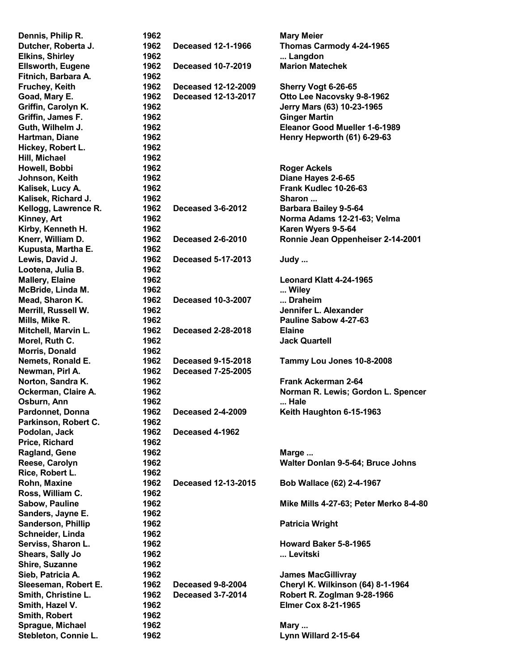| Dennis, Philip R.                         | 1962         |                            | <b>Mary Meier</b>                        |
|-------------------------------------------|--------------|----------------------------|------------------------------------------|
| Dutcher, Roberta J.                       | 1962         | <b>Deceased 12-1-1966</b>  | Thomas Carmody 4-24-1965                 |
| <b>Elkins, Shirley</b>                    | 1962         |                            | Langdon                                  |
| <b>Ellsworth, Eugene</b>                  | 1962         | <b>Deceased 10-7-2019</b>  | <b>Marion Matechek</b>                   |
| Fitnich, Barbara A.                       | 1962         |                            |                                          |
| Fruchey, Keith                            | 1962         | <b>Deceased 12-12-2009</b> | Sherry Vogt 6-26-65                      |
| Goad, Mary E.                             | 1962         | <b>Deceased 12-13-2017</b> | Otto Lee Nacovsky 9-8-1962               |
| Griffin, Carolyn K.                       | 1962         |                            | Jerry Mars (63) 10-23-1965               |
| Griffin, James F.                         | 1962         |                            | <b>Ginger Martin</b>                     |
| Guth, Wilhelm J.                          | 1962         |                            | Eleanor Good Mueller 1-6-1989            |
| Hartman, Diane                            | 1962         |                            | Henry Hepworth (61) 6-29-63              |
| Hickey, Robert L.                         | 1962         |                            |                                          |
| Hill, Michael                             | 1962         |                            |                                          |
| Howell, Bobbi                             | 1962         |                            | <b>Roger Ackels</b>                      |
| Johnson, Keith                            | 1962         |                            | Diane Hayes 2-6-65                       |
| Kalisek, Lucy A.                          | 1962         |                            | Frank Kudlec 10-26-63                    |
| Kalisek, Richard J.                       | 1962         |                            | Sharon                                   |
| Kellogg, Lawrence R.                      | 1962         | <b>Deceased 3-6-2012</b>   | <b>Barbara Bailey 9-5-64</b>             |
| Kinney, Art                               | 1962         |                            | Norma Adams 12-21-63; Velma              |
| Kirby, Kenneth H.                         | 1962         |                            | Karen Wyers 9-5-64                       |
| Knerr, William D.                         | 1962         | <b>Deceased 2-6-2010</b>   | Ronnie Jean Oppenheiser 2-14-2001        |
| Kupusta, Martha E.                        | 1962         |                            |                                          |
| Lewis, David J.                           | 1962         | <b>Deceased 5-17-2013</b>  | Judy                                     |
| Lootena, Julia B.                         | 1962         |                            |                                          |
| <b>Mallery, Elaine</b>                    | 1962         |                            | Leonard Klatt 4-24-1965                  |
| McBride, Linda M.                         | 1962         |                            | Wiley                                    |
| Mead, Sharon K.                           | 1962         | <b>Deceased 10-3-2007</b>  | Draheim                                  |
| Merrill, Russell W.                       | 1962         |                            | Jennifer L. Alexander                    |
| Mills, Mike R.                            | 1962         |                            | Pauline Sabow 4-27-63                    |
| Mitchell, Marvin L.                       | 1962         | <b>Deceased 2-28-2018</b>  | <b>Elaine</b>                            |
| Morel, Ruth C.                            | 1962         |                            | <b>Jack Quartell</b>                     |
| Morris, Donald                            | 1962         |                            |                                          |
| Nemets, Ronald E.                         | 1962         | <b>Deceased 9-15-2018</b>  | Tammy Lou Jones 10-8-2008                |
| Newman, Pirl A.                           | 1962         | <b>Deceased 7-25-2005</b>  |                                          |
| Norton, Sandra K.                         | 1962         |                            | Frank Ackerman 2-64                      |
| Ockerman, Claire A.                       | 1962         |                            | Norman R. Lewis; Gordon L. Spencer       |
| Osburn, Ann                               | 1962         |                            | Hale                                     |
| <b>Pardonnet, Donna</b>                   | 1962         | <b>Deceased 2-4-2009</b>   | Keith Haughton 6-15-1963                 |
| Parkinson, Robert C.                      | 1962         |                            |                                          |
| Podolan, Jack                             | 1962         | Deceased 4-1962            |                                          |
| Price, Richard                            | 1962         |                            |                                          |
| Ragland, Gene                             | 1962         |                            | Marge                                    |
| Reese, Carolyn                            | 1962         |                            | Walter Donlan 9-5-64; Bruce Johns        |
| Rice, Robert L.                           | 1962<br>1962 | Deceased 12-13-2015        | Bob Wallace (62) 2-4-1967                |
| Rohn, Maxine                              | 1962         |                            |                                          |
| Ross, William C.<br><b>Sabow, Pauline</b> | 1962         |                            | Mike Mills 4-27-63; Peter Merko 8-4-80   |
| Sanders, Jayne E.                         | 1962         |                            |                                          |
| Sanderson, Phillip                        | 1962         |                            | <b>Patricia Wright</b>                   |
| Schneider, Linda                          | 1962         |                            |                                          |
| Serviss, Sharon L.                        | 1962         |                            | Howard Baker 5-8-1965                    |
| Shears, Sally Jo                          | 1962         |                            | Levitski                                 |
| Shire, Suzanne                            | 1962         |                            |                                          |
| Sieb, Patricia A.                         | 1962         |                            | <b>James MacGillivray</b>                |
| Sleeseman, Robert E.                      | 1962         | Deceased 9-8-2004          | <b>Cheryl K. Wilkinson (64) 8-1-1964</b> |
| Smith, Christine L.                       | 1962         | <b>Deceased 3-7-2014</b>   | Robert R. Zoglman 9-28-1966              |
| Smith, Hazel V.                           | 1962         |                            | <b>Elmer Cox 8-21-1965</b>               |
| Smith, Robert                             | 1962         |                            |                                          |
| Sprague, Michael                          | 1962         |                            | Mary                                     |
| Stebleton, Connie L.                      | 1962         |                            | Lynn Willard 2-15-64                     |
|                                           |              |                            |                                          |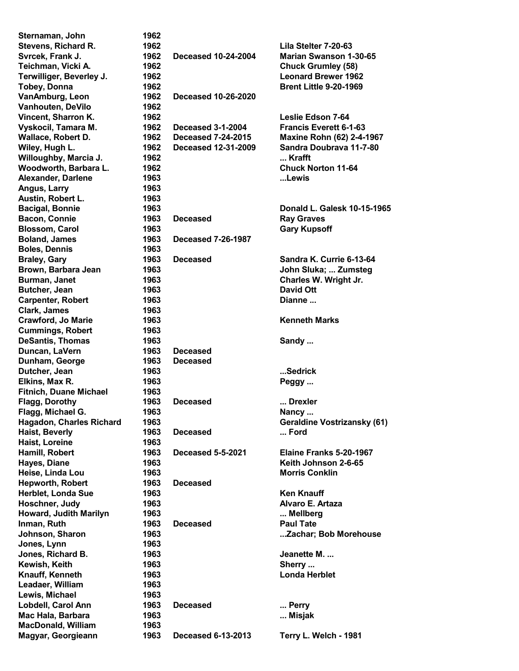| Sternaman, John                                 | 1962         |                            |                                    |
|-------------------------------------------------|--------------|----------------------------|------------------------------------|
| Stevens, Richard R.                             | 1962         |                            | Lila Stelter 7-20-63               |
| Svrcek, Frank J.                                | 1962         | <b>Deceased 10-24-2004</b> | <b>Marian Swanson 1-30-65</b>      |
| Teichman, Vicki A.                              | 1962         |                            | <b>Chuck Grumley (58)</b>          |
| Terwilliger, Beverley J.                        | 1962         |                            | <b>Leonard Brewer 1962</b>         |
| <b>Tobey, Donna</b>                             | 1962         |                            | <b>Brent Little 9-20-1969</b>      |
| VanAmburg, Leon                                 | 1962         | <b>Deceased 10-26-2020</b> |                                    |
| Vanhouten, DeVilo                               | 1962         |                            |                                    |
| Vincent, Sharron K.                             | 1962         |                            | Leslie Edson 7-64                  |
| Vyskocil, Tamara M.                             | 1962         | <b>Deceased 3-1-2004</b>   | <b>Francis Everett 6-1-63</b>      |
| Wallace, Robert D.                              | 1962         | <b>Deceased 7-24-2015</b>  | Maxine Rohn (62) 2-4-1967          |
| Wiley, Hugh L.                                  | 1962         | <b>Deceased 12-31-2009</b> | Sandra Doubrava 11-7-80            |
|                                                 |              |                            | $$ Krafft                          |
| Willoughby, Marcia J.                           | 1962         |                            |                                    |
| Woodworth, Barbara L.                           | 1962         |                            | <b>Chuck Norton 11-64</b>          |
| Alexander, Darlene                              | 1963         |                            | Lewis                              |
| Angus, Larry                                    | 1963         |                            |                                    |
| Austin, Robert L.                               | 1963         |                            |                                    |
| <b>Bacigal, Bonnie</b>                          | 1963         |                            | Donald L. Galesk 10-15-1965        |
| <b>Bacon, Connie</b>                            | 1963         | <b>Deceased</b>            | <b>Ray Graves</b>                  |
| <b>Blossom, Carol</b>                           | 1963         |                            | <b>Gary Kupsoff</b>                |
| <b>Boland, James</b>                            | 1963         | <b>Deceased 7-26-1987</b>  |                                    |
| <b>Boles, Dennis</b>                            | 1963         |                            |                                    |
| <b>Braley, Gary</b>                             | 1963         | <b>Deceased</b>            | Sandra K. Currie 6-13-64           |
| Brown, Barbara Jean                             | 1963         |                            | John Sluka;  Zumsteg               |
| Burman, Janet                                   | 1963         |                            | Charles W. Wright Jr.              |
| Butcher, Jean                                   | 1963         |                            | <b>David Ott</b>                   |
| <b>Carpenter, Robert</b>                        | 1963         |                            | Dianne                             |
| Clark, James                                    | 1963         |                            |                                    |
| <b>Crawford, Jo Marie</b>                       | 1963         |                            | <b>Kenneth Marks</b>               |
| <b>Cummings, Robert</b>                         | 1963         |                            |                                    |
| <b>DeSantis, Thomas</b>                         | 1963         |                            | Sandy                              |
| Duncan, LaVern                                  | 1963         | <b>Deceased</b>            |                                    |
|                                                 |              |                            |                                    |
| Dunham, George                                  | 1963         | <b>Deceased</b>            |                                    |
| Dutcher, Jean                                   | 1963         |                            | Sedrick                            |
| Elkins, Max R.                                  | 1963         |                            | Peggy                              |
| <b>Fitnich, Duane Michael</b>                   | 1963         |                            |                                    |
| Flagg, Dorothy                                  | 1963         | <b>Deceased</b>            | Drexler                            |
| Flagg, Michael G.                               | 1963         |                            | Nancy                              |
| <b>Hagadon, Charles Richard</b>                 | 1963         |                            | <b>Geraldine Vostrizansky (61)</b> |
| <b>Haist, Beverly</b>                           | 1963         | <b>Deceased</b>            | Ford                               |
| Haist, Loreine                                  | 1963         |                            |                                    |
| Hamill, Robert                                  | 1963         | Deceased 5-5-2021          | Elaine Franks 5-20-1967            |
| Hayes, Diane                                    | 1963         |                            | Keith Johnson 2-6-65               |
| Heise, Linda Lou                                | 1963         |                            | <b>Morris Conklin</b>              |
| <b>Hepworth, Robert</b>                         | 1963         | <b>Deceased</b>            |                                    |
| Herblet, Londa Sue                              | 1963         |                            | <b>Ken Knauff</b>                  |
| Hoschner, Judy                                  | 1963         |                            | Alvaro E. Artaza                   |
| Howard, Judith Marilyn                          | 1963         |                            | Mellberg                           |
| Inman, Ruth                                     | 1963         | <b>Deceased</b>            | <b>Paul Tate</b>                   |
| Johnson, Sharon                                 | 1963         |                            | Zachar; Bob Morehouse              |
| Jones, Lynn                                     | 1963         |                            |                                    |
| Jones, Richard B.                               | 1963         |                            | Jeanette M.                        |
|                                                 |              |                            |                                    |
| Kewish, Keith                                   | 1963         |                            | Sherry                             |
| Knauff, Kenneth                                 | 1963         |                            | <b>Londa Herblet</b>               |
| Leadaer, William                                | 1963         |                            |                                    |
| Lewis, Michael                                  | 1963         |                            |                                    |
| Lobdell, Carol Ann                              | 1963         | <b>Deceased</b>            | Perry                              |
| Mac Hala, Barbara                               |              |                            |                                    |
|                                                 | 1963         |                            | Misjak                             |
| <b>MacDonald, William</b><br>Magyar, Georgieann | 1963<br>1963 | <b>Deceased 6-13-2013</b>  | Terry L. Welch - 1981              |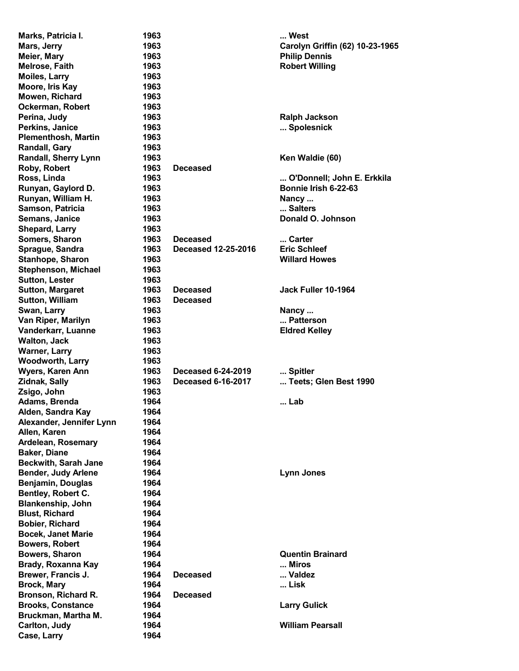| Marks, Patricia I.          | 1963 |                            | West                            |
|-----------------------------|------|----------------------------|---------------------------------|
| Mars, Jerry                 | 1963 |                            | Carolyn Griffin (62) 10-23-1965 |
| Meier, Mary                 | 1963 |                            | <b>Philip Dennis</b>            |
| Melrose, Faith              | 1963 |                            | <b>Robert Willing</b>           |
| <b>Moiles, Larry</b>        | 1963 |                            |                                 |
| Moore, Iris Kay             | 1963 |                            |                                 |
| Mowen, Richard              | 1963 |                            |                                 |
| Ockerman, Robert            | 1963 |                            |                                 |
| Perina, Judy                | 1963 |                            | <b>Ralph Jackson</b>            |
| Perkins, Janice             | 1963 |                            | Spolesnick                      |
| <b>Plementhosh, Martin</b>  | 1963 |                            |                                 |
| Randall, Gary               | 1963 |                            |                                 |
|                             | 1963 |                            |                                 |
| Randall, Sherry Lynn        |      |                            | Ken Waldie (60)                 |
| Roby, Robert                | 1963 | <b>Deceased</b>            |                                 |
| Ross, Linda                 | 1963 |                            | O'Donnell; John E. Erkkila      |
| Runyan, Gaylord D.          | 1963 |                            | Bonnie Irish 6-22-63            |
| Runyan, William H.          | 1963 |                            | Nancy                           |
| Samson, Patricia            | 1963 |                            | Salters                         |
| Semans, Janice              | 1963 |                            | Donald O. Johnson               |
| Shepard, Larry              | 1963 |                            |                                 |
| Somers, Sharon              | 1963 | <b>Deceased</b>            | Carter                          |
| Sprague, Sandra             | 1963 | <b>Deceased 12-25-2016</b> | <b>Eric Schleef</b>             |
| Stanhope, Sharon            | 1963 |                            | <b>Willard Howes</b>            |
| Stephenson, Michael         | 1963 |                            |                                 |
| <b>Sutton, Lester</b>       | 1963 |                            |                                 |
| <b>Sutton, Margaret</b>     | 1963 | <b>Deceased</b>            | Jack Fuller 10-1964             |
| <b>Sutton, William</b>      | 1963 | <b>Deceased</b>            |                                 |
| Swan, Larry                 | 1963 |                            | Nancy                           |
| Van Riper, Marilyn          | 1963 |                            | Patterson                       |
| Vanderkarr, Luanne          | 1963 |                            | <b>Eldred Kelley</b>            |
| <b>Walton, Jack</b>         | 1963 |                            |                                 |
| <b>Warner, Larry</b>        | 1963 |                            |                                 |
| <b>Woodworth, Larry</b>     | 1963 |                            |                                 |
| Wyers, Karen Ann            | 1963 | <b>Deceased 6-24-2019</b>  | Spitler                         |
| Zidnak, Sally               | 1963 | <b>Deceased 6-16-2017</b>  | Teets; Glen Best 1990           |
| Zsigo, John                 | 1963 |                            |                                 |
| Adams, Brenda               | 1964 |                            | Lab                             |
| Alden, Sandra Kay           | 1964 |                            |                                 |
|                             | 1964 |                            |                                 |
| Alexander, Jennifer Lynn    |      |                            |                                 |
| Allen, Karen                | 1964 |                            |                                 |
| Ardelean, Rosemary          | 1964 |                            |                                 |
| <b>Baker, Diane</b>         | 1964 |                            |                                 |
| <b>Beckwith, Sarah Jane</b> | 1964 |                            |                                 |
| <b>Bender, Judy Arlene</b>  | 1964 |                            | <b>Lynn Jones</b>               |
| Benjamin, Douglas           | 1964 |                            |                                 |
| Bentley, Robert C.          | 1964 |                            |                                 |
| <b>Blankenship, John</b>    | 1964 |                            |                                 |
| <b>Blust, Richard</b>       | 1964 |                            |                                 |
| Bobier, Richard             | 1964 |                            |                                 |
| <b>Bocek, Janet Marie</b>   | 1964 |                            |                                 |
| <b>Bowers, Robert</b>       | 1964 |                            |                                 |
| Bowers, Sharon              | 1964 |                            | <b>Quentin Brainard</b>         |
| Brady, Roxanna Kay          | 1964 |                            | Miros                           |
| Brewer, Francis J.          | 1964 | <b>Deceased</b>            | Valdez                          |
| <b>Brock, Mary</b>          | 1964 |                            | Lisk                            |
| Bronson, Richard R.         | 1964 | <b>Deceased</b>            |                                 |
| <b>Brooks, Constance</b>    | 1964 |                            | <b>Larry Gulick</b>             |
| Bruckman, Martha M.         | 1964 |                            |                                 |
| Carlton, Judy               | 1964 |                            | <b>William Pearsall</b>         |
| Case, Larry                 | 1964 |                            |                                 |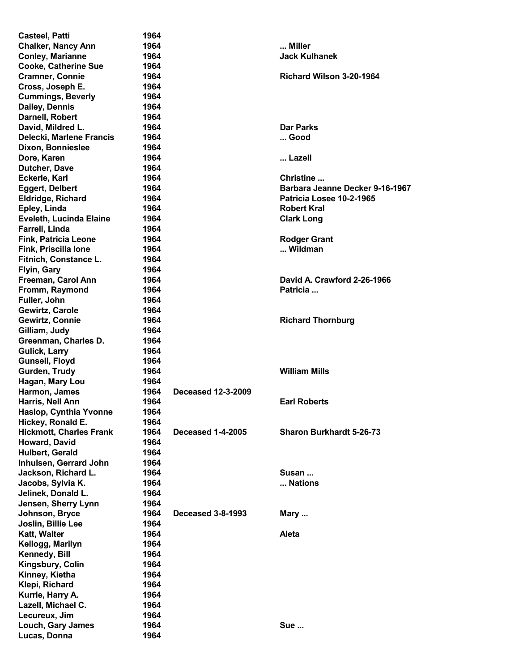| <b>Casteel, Patti</b>          | 1964 |                           |                                 |
|--------------------------------|------|---------------------------|---------------------------------|
| <b>Chalker, Nancy Ann</b>      | 1964 |                           | Miller                          |
| <b>Conley, Marianne</b>        | 1964 |                           | <b>Jack Kulhanek</b>            |
| <b>Cooke, Catherine Sue</b>    | 1964 |                           |                                 |
| <b>Cramner, Connie</b>         | 1964 |                           | Richard Wilson 3-20-1964        |
| Cross, Joseph E.               | 1964 |                           |                                 |
|                                | 1964 |                           |                                 |
| <b>Cummings, Beverly</b>       |      |                           |                                 |
| Dailey, Dennis                 | 1964 |                           |                                 |
| Darnell, Robert                | 1964 |                           |                                 |
| David, Mildred L.              | 1964 |                           | <b>Dar Parks</b>                |
| Delecki, Marlene Francis       | 1964 |                           | Good                            |
| Dixon, Bonnieslee              | 1964 |                           |                                 |
| Dore, Karen                    | 1964 |                           | Lazell                          |
| Dutcher, Dave                  | 1964 |                           |                                 |
| Eckerle, Karl                  | 1964 |                           | Christine                       |
| <b>Eggert, Delbert</b>         | 1964 |                           | Barbara Jeanne Decker 9-16-1967 |
| Eldridge, Richard              | 1964 |                           | Patricia Losee 10-2-1965        |
| Epley, Linda                   | 1964 |                           | <b>Robert Kral</b>              |
| Eveleth, Lucinda Elaine        | 1964 |                           | <b>Clark Long</b>               |
|                                |      |                           |                                 |
| Farrell, Linda                 | 1964 |                           |                                 |
| <b>Fink, Patricia Leone</b>    | 1964 |                           | <b>Rodger Grant</b>             |
| Fink, Priscilla lone           | 1964 |                           | Wildman                         |
| Fitnich, Constance L.          | 1964 |                           |                                 |
| Flyin, Gary                    | 1964 |                           |                                 |
| Freeman, Carol Ann             | 1964 |                           | David A. Crawford 2-26-1966     |
| Fromm, Raymond                 | 1964 |                           | Patricia                        |
| Fuller, John                   | 1964 |                           |                                 |
| Gewirtz, Carole                | 1964 |                           |                                 |
| Gewirtz, Connie                | 1964 |                           | <b>Richard Thornburg</b>        |
| Gilliam, Judy                  | 1964 |                           |                                 |
| Greenman, Charles D.           | 1964 |                           |                                 |
| <b>Gulick, Larry</b>           | 1964 |                           |                                 |
|                                | 1964 |                           |                                 |
| Gunsell, Floyd                 |      |                           |                                 |
| Gurden, Trudy                  | 1964 |                           | <b>William Mills</b>            |
| Hagan, Mary Lou                | 1964 |                           |                                 |
| Harmon, James                  | 1964 | <b>Deceased 12-3-2009</b> |                                 |
| Harris, Nell Ann               | 1964 |                           | <b>Earl Roberts</b>             |
| Haslop, Cynthia Yvonne         | 1964 |                           |                                 |
| Hickey, Ronald E.              | 1964 |                           |                                 |
| <b>Hickmott, Charles Frank</b> | 1964 | <b>Deceased 1-4-2005</b>  | <b>Sharon Burkhardt 5-26-73</b> |
| Howard, David                  | 1964 |                           |                                 |
| Hulbert, Gerald                | 1964 |                           |                                 |
| Inhulsen, Gerrard John         | 1964 |                           |                                 |
| Jackson, Richard L.            | 1964 |                           | Susan                           |
| Jacobs, Sylvia K.              | 1964 |                           | Nations                         |
| Jelinek, Donald L.             | 1964 |                           |                                 |
| Jensen, Sherry Lynn            | 1964 |                           |                                 |
|                                |      |                           |                                 |
| Johnson, Bryce                 | 1964 | <b>Deceased 3-8-1993</b>  | Mary                            |
| Joslin, Billie Lee             | 1964 |                           |                                 |
| <b>Katt, Walter</b>            | 1964 |                           | <b>Aleta</b>                    |
| Kellogg, Marilyn               | 1964 |                           |                                 |
| Kennedy, Bill                  | 1964 |                           |                                 |
| Kingsbury, Colin               | 1964 |                           |                                 |
| Kinney, Kietha                 | 1964 |                           |                                 |
| Klepi, Richard                 | 1964 |                           |                                 |
| Kurrie, Harry A.               | 1964 |                           |                                 |
| Lazell, Michael C.             | 1964 |                           |                                 |
| Lecureux, Jim                  | 1964 |                           |                                 |
| Louch, Gary James              | 1964 |                           | <b>Sue </b>                     |
| Lucas, Donna                   | 1964 |                           |                                 |
|                                |      |                           |                                 |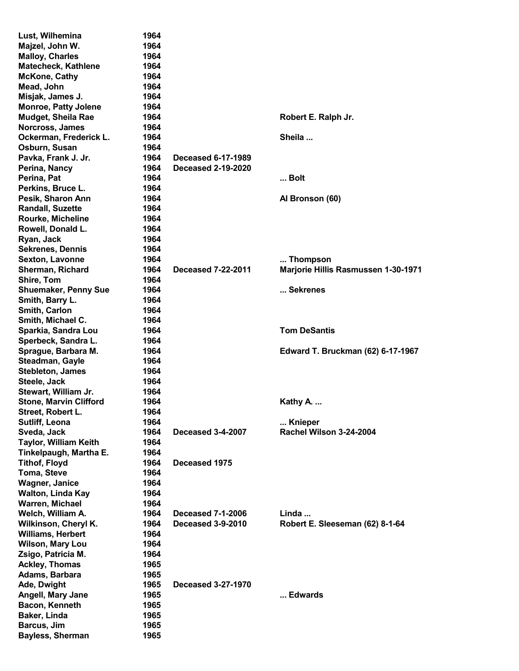| Lust, Wilhemina               | 1964 |                           |                                            |
|-------------------------------|------|---------------------------|--------------------------------------------|
| Majzel, John W.               | 1964 |                           |                                            |
| <b>Malloy, Charles</b>        | 1964 |                           |                                            |
| <b>Matecheck, Kathlene</b>    | 1964 |                           |                                            |
| <b>McKone, Cathy</b>          | 1964 |                           |                                            |
| Mead, John                    | 1964 |                           |                                            |
| Misjak, James J.              | 1964 |                           |                                            |
| <b>Monroe, Patty Jolene</b>   | 1964 |                           |                                            |
| <b>Mudget, Sheila Rae</b>     | 1964 |                           | Robert E. Ralph Jr.                        |
| Norcross, James               | 1964 |                           |                                            |
| Ockerman, Frederick L.        | 1964 |                           | Sheila                                     |
|                               |      |                           |                                            |
| Osburn, Susan                 | 1964 |                           |                                            |
| Pavka, Frank J. Jr.           | 1964 | <b>Deceased 6-17-1989</b> |                                            |
| Perina, Nancy                 | 1964 | <b>Deceased 2-19-2020</b> |                                            |
| Perina, Pat                   | 1964 |                           | Bolt                                       |
| Perkins, Bruce L.             | 1964 |                           |                                            |
| Pesik, Sharon Ann             | 1964 |                           | Al Bronson (60)                            |
| <b>Randall, Suzette</b>       | 1964 |                           |                                            |
| Rourke, Micheline             | 1964 |                           |                                            |
| Rowell, Donald L.             | 1964 |                           |                                            |
| Ryan, Jack                    | 1964 |                           |                                            |
| <b>Sekrenes, Dennis</b>       | 1964 |                           |                                            |
| <b>Sexton, Lavonne</b>        | 1964 |                           | Thompson                                   |
| Sherman, Richard              | 1964 | <b>Deceased 7-22-2011</b> | <b>Marjorie Hillis Rasmussen 1-30-1971</b> |
| Shire, Tom                    | 1964 |                           |                                            |
| <b>Shuemaker, Penny Sue</b>   | 1964 |                           | Sekrenes                                   |
| Smith, Barry L.               | 1964 |                           |                                            |
|                               |      |                           |                                            |
| Smith, Carlon                 | 1964 |                           |                                            |
| Smith, Michael C.             | 1964 |                           |                                            |
| Sparkia, Sandra Lou           | 1964 |                           | <b>Tom DeSantis</b>                        |
| Sperbeck, Sandra L.           | 1964 |                           |                                            |
| Sprague, Barbara M.           | 1964 |                           | Edward T. Bruckman (62) 6-17-1967          |
| Steadman, Gayle               | 1964 |                           |                                            |
| <b>Stebleton, James</b>       | 1964 |                           |                                            |
| Steele, Jack                  | 1964 |                           |                                            |
| Stewart, William Jr.          | 1964 |                           |                                            |
| <b>Stone, Marvin Clifford</b> | 1964 |                           | Kathy A.                                   |
| Street, Robert L.             | 1964 |                           |                                            |
| Sutliff, Leona                | 1964 |                           | Knieper                                    |
| Sveda, Jack                   | 1964 | Deceased 3-4-2007         | Rachel Wilson 3-24-2004                    |
| <b>Taylor, William Keith</b>  | 1964 |                           |                                            |
| Tinkelpaugh, Martha E.        | 1964 |                           |                                            |
| <b>Tithof, Floyd</b>          | 1964 | Deceased 1975             |                                            |
| <b>Toma, Steve</b>            | 1964 |                           |                                            |
|                               |      |                           |                                            |
| <b>Wagner, Janice</b>         | 1964 |                           |                                            |
| <b>Walton, Linda Kay</b>      | 1964 |                           |                                            |
| Warren, Michael               | 1964 |                           |                                            |
| Welch, William A.             | 1964 | <b>Deceased 7-1-2006</b>  | Linda                                      |
| Wilkinson, Cheryl K.          | 1964 | <b>Deceased 3-9-2010</b>  | Robert E. Sleeseman (62) 8-1-64            |
| <b>Williams, Herbert</b>      | 1964 |                           |                                            |
| Wilson, Mary Lou              | 1964 |                           |                                            |
| Zsigo, Patricia M.            | 1964 |                           |                                            |
| <b>Ackley, Thomas</b>         | 1965 |                           |                                            |
| Adams, Barbara                | 1965 |                           |                                            |
| Ade, Dwight                   | 1965 | <b>Deceased 3-27-1970</b> |                                            |
| Angell, Mary Jane             | 1965 |                           | Edwards                                    |
| Bacon, Kenneth                | 1965 |                           |                                            |
| Baker, Linda                  | 1965 |                           |                                            |
| Barcus, Jim                   | 1965 |                           |                                            |
| <b>Bayless, Sherman</b>       | 1965 |                           |                                            |
|                               |      |                           |                                            |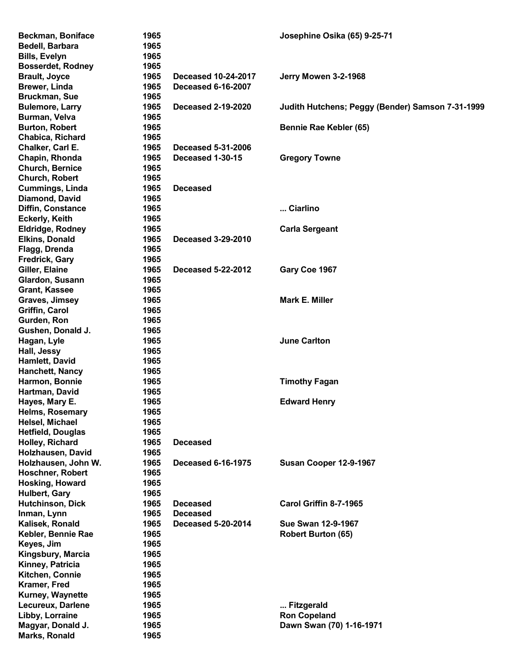| <b>Beckman, Boniface</b> | 1965 |                            | Josephine Osika (65) 9-25-71                     |
|--------------------------|------|----------------------------|--------------------------------------------------|
| Bedell, Barbara          | 1965 |                            |                                                  |
| <b>Bills, Evelyn</b>     | 1965 |                            |                                                  |
| <b>Bosserdet, Rodney</b> | 1965 |                            |                                                  |
| <b>Brault, Joyce</b>     | 1965 | <b>Deceased 10-24-2017</b> | Jerry Mowen 3-2-1968                             |
| <b>Brewer, Linda</b>     | 1965 | <b>Deceased 6-16-2007</b>  |                                                  |
| <b>Bruckman, Sue</b>     | 1965 |                            |                                                  |
| <b>Bulemore, Larry</b>   | 1965 | <b>Deceased 2-19-2020</b>  | Judith Hutchens; Peggy (Bender) Samson 7-31-1999 |
| Burman, Velva            | 1965 |                            |                                                  |
| <b>Burton, Robert</b>    | 1965 |                            | Bennie Rae Kebler (65)                           |
| Chabica, Richard         | 1965 |                            |                                                  |
| Chalker, Carl E.         | 1965 | <b>Deceased 5-31-2006</b>  |                                                  |
| Chapin, Rhonda           | 1965 | Deceased 1-30-15           | <b>Gregory Towne</b>                             |
| <b>Church, Bernice</b>   | 1965 |                            |                                                  |
| Church, Robert           | 1965 |                            |                                                  |
| <b>Cummings, Linda</b>   | 1965 | <b>Deceased</b>            |                                                  |
| Diamond, David           | 1965 |                            |                                                  |
| Diffin, Constance        | 1965 |                            | Ciarlino                                         |
| <b>Eckerly, Keith</b>    | 1965 |                            |                                                  |
| Eldridge, Rodney         | 1965 |                            | <b>Carla Sergeant</b>                            |
| <b>Elkins, Donald</b>    | 1965 | Deceased 3-29-2010         |                                                  |
| Flagg, Drenda            | 1965 |                            |                                                  |
| Fredrick, Gary           | 1965 |                            |                                                  |
| Giller, Elaine           | 1965 | Deceased 5-22-2012         | Gary Coe 1967                                    |
| Glardon, Susann          | 1965 |                            |                                                  |
| <b>Grant, Kassee</b>     | 1965 |                            |                                                  |
| Graves, Jimsey           | 1965 |                            | <b>Mark E. Miller</b>                            |
| Griffin, Carol           | 1965 |                            |                                                  |
| Gurden, Ron              | 1965 |                            |                                                  |
| Gushen, Donald J.        | 1965 |                            |                                                  |
| Hagan, Lyle              | 1965 |                            | <b>June Carlton</b>                              |
| Hall, Jessy              | 1965 |                            |                                                  |
| <b>Hamlett, David</b>    | 1965 |                            |                                                  |
| Hanchett, Nancy          | 1965 |                            |                                                  |
| Harmon, Bonnie           | 1965 |                            | <b>Timothy Fagan</b>                             |
| Hartman, David           | 1965 |                            |                                                  |
| Hayes, Mary E.           | 1965 |                            | <b>Edward Henry</b>                              |
| <b>Helms, Rosemary</b>   | 1965 |                            |                                                  |
| Helsel, Michael          | 1965 |                            |                                                  |
| <b>Hetfield, Douglas</b> | 1965 |                            |                                                  |
| Holley, Richard          | 1965 | <b>Deceased</b>            |                                                  |
| Holzhausen, David        | 1965 |                            |                                                  |
| Holzhausen, John W.      | 1965 | <b>Deceased 6-16-1975</b>  | Susan Cooper 12-9-1967                           |
| <b>Hoschner, Robert</b>  | 1965 |                            |                                                  |
| Hosking, Howard          | 1965 |                            |                                                  |
| <b>Hulbert, Gary</b>     | 1965 |                            |                                                  |
| Hutchinson, Dick         | 1965 | <b>Deceased</b>            | Carol Griffin 8-7-1965                           |
| Inman, Lynn              | 1965 | <b>Deceased</b>            |                                                  |
| Kalisek, Ronald          | 1965 | <b>Deceased 5-20-2014</b>  | Sue Swan 12-9-1967                               |
| Kebler, Bennie Rae       | 1965 |                            | <b>Robert Burton (65)</b>                        |
| Keyes, Jim               | 1965 |                            |                                                  |
| Kingsbury, Marcia        | 1965 |                            |                                                  |
| Kinney, Patricia         | 1965 |                            |                                                  |
| Kitchen, Connie          | 1965 |                            |                                                  |
| Kramer, Fred             | 1965 |                            |                                                  |
| Kurney, Waynette         | 1965 |                            |                                                  |
| Lecureux, Darlene        | 1965 |                            | Fitzgerald                                       |
| Libby, Lorraine          | 1965 |                            | <b>Ron Copeland</b>                              |
| Magyar, Donald J.        | 1965 |                            | Dawn Swan (70) 1-16-1971                         |
| Marks, Ronald            | 1965 |                            |                                                  |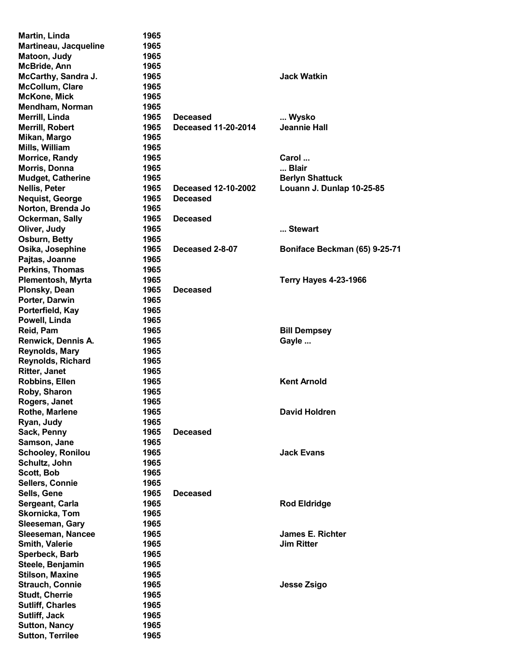| Martin, Linda            | 1965 |                            |                               |
|--------------------------|------|----------------------------|-------------------------------|
| Martineau, Jacqueline    | 1965 |                            |                               |
| Matoon, Judy             | 1965 |                            |                               |
| McBride, Ann             | 1965 |                            |                               |
| McCarthy, Sandra J.      | 1965 |                            | <b>Jack Watkin</b>            |
| McCollum, Clare          | 1965 |                            |                               |
| <b>McKone, Mick</b>      | 1965 |                            |                               |
| Mendham, Norman          | 1965 |                            |                               |
| Merrill, Linda           | 1965 | <b>Deceased</b>            | Wysko                         |
| <b>Merrill, Robert</b>   | 1965 | <b>Deceased 11-20-2014</b> | <b>Jeannie Hall</b>           |
| Mikan, Margo             | 1965 |                            |                               |
|                          |      |                            |                               |
| Mills, William           | 1965 |                            |                               |
| <b>Morrice, Randy</b>    | 1965 |                            | Carol                         |
| Morris, Donna            | 1965 |                            | Blair                         |
| <b>Mudget, Catherine</b> | 1965 |                            | <b>Berlyn Shattuck</b>        |
| <b>Nellis, Peter</b>     | 1965 | <b>Deceased 12-10-2002</b> | Louann J. Dunlap 10-25-85     |
| <b>Nequist, George</b>   | 1965 | <b>Deceased</b>            |                               |
| Norton, Brenda Jo        | 1965 |                            |                               |
| Ockerman, Sally          | 1965 | <b>Deceased</b>            |                               |
| Oliver, Judy             | 1965 |                            | Stewart                       |
| Osburn, Betty            | 1965 |                            |                               |
| Osika, Josephine         | 1965 | Deceased 2-8-07            | Boniface Beckman (65) 9-25-71 |
| Pajtas, Joanne           | 1965 |                            |                               |
| Perkins, Thomas          | 1965 |                            |                               |
| Plementosh, Myrta        | 1965 |                            | <b>Terry Hayes 4-23-1966</b>  |
| Plonsky, Dean            | 1965 | <b>Deceased</b>            |                               |
| Porter, Darwin           | 1965 |                            |                               |
| Porterfield, Kay         | 1965 |                            |                               |
|                          | 1965 |                            |                               |
| Powell, Linda            |      |                            |                               |
| Reid, Pam                | 1965 |                            | <b>Bill Dempsey</b>           |
| Renwick, Dennis A.       | 1965 |                            | Gayle                         |
| Reynolds, Mary           | 1965 |                            |                               |
| Reynolds, Richard        | 1965 |                            |                               |
| <b>Ritter, Janet</b>     | 1965 |                            |                               |
| Robbins, Ellen           | 1965 |                            | <b>Kent Arnold</b>            |
| Roby, Sharon             | 1965 |                            |                               |
| Rogers, Janet            | 1965 |                            |                               |
| Rothe, Marlene           | 1965 |                            | <b>David Holdren</b>          |
| Ryan, Judy               | 1965 |                            |                               |
| Sack, Penny              | 1965 | <b>Deceased</b>            |                               |
| Samson, Jane             | 1965 |                            |                               |
| <b>Schooley, Ronilou</b> | 1965 |                            | <b>Jack Evans</b>             |
| Schultz, John            | 1965 |                            |                               |
| Scott, Bob               | 1965 |                            |                               |
| Sellers, Connie          | 1965 |                            |                               |
|                          |      |                            |                               |
| Sells, Gene              | 1965 | <b>Deceased</b>            |                               |
| Sergeant, Carla          | 1965 |                            | <b>Rod Eldridge</b>           |
| Skornicka, Tom           | 1965 |                            |                               |
| Sleeseman, Gary          | 1965 |                            |                               |
| Sleeseman, Nancee        | 1965 |                            | <b>James E. Richter</b>       |
| Smith, Valerie           | 1965 |                            | <b>Jim Ritter</b>             |
| Sperbeck, Barb           | 1965 |                            |                               |
| Steele, Benjamin         | 1965 |                            |                               |
| <b>Stilson, Maxine</b>   | 1965 |                            |                               |
| <b>Strauch, Connie</b>   | 1965 |                            | Jesse Zsigo                   |
| <b>Studt, Cherrie</b>    | 1965 |                            |                               |
| <b>Sutliff, Charles</b>  | 1965 |                            |                               |
| Sutliff, Jack            | 1965 |                            |                               |
| <b>Sutton, Nancy</b>     | 1965 |                            |                               |
| <b>Sutton, Terrilee</b>  | 1965 |                            |                               |
|                          |      |                            |                               |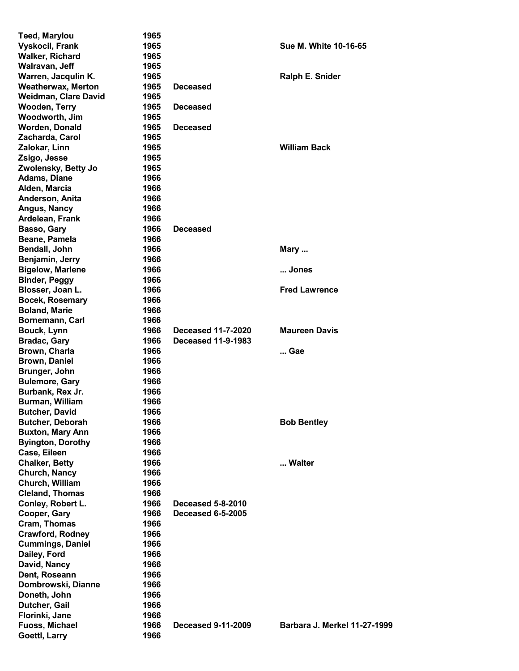| <b>Teed, Marylou</b>        | 1965 |                           |                              |
|-----------------------------|------|---------------------------|------------------------------|
| <b>Vyskocil, Frank</b>      | 1965 |                           | <b>Sue M. White 10-16-65</b> |
| <b>Walker, Richard</b>      | 1965 |                           |                              |
| Walravan, Jeff              | 1965 |                           |                              |
| Warren, Jacqulin K.         | 1965 |                           | Ralph E. Snider              |
| <b>Weatherwax, Merton</b>   | 1965 | <b>Deceased</b>           |                              |
| <b>Weidman, Clare David</b> | 1965 |                           |                              |
| <b>Wooden, Terry</b>        | 1965 | <b>Deceased</b>           |                              |
|                             | 1965 |                           |                              |
| Woodworth, Jim              |      |                           |                              |
| Worden, Donald              | 1965 | <b>Deceased</b>           |                              |
| Zacharda, Carol             | 1965 |                           |                              |
| Zalokar, Linn               | 1965 |                           | <b>William Back</b>          |
| Zsigo, Jesse                | 1965 |                           |                              |
| Zwolensky, Betty Jo         | 1965 |                           |                              |
| Adams, Diane                | 1966 |                           |                              |
| Alden, Marcia               | 1966 |                           |                              |
| Anderson, Anita             | 1966 |                           |                              |
| Angus, Nancy                | 1966 |                           |                              |
| Ardelean, Frank             | 1966 |                           |                              |
| Basso, Gary                 | 1966 | <b>Deceased</b>           |                              |
| Beane, Pamela               | 1966 |                           |                              |
| Bendall, John               | 1966 |                           | Mary                         |
| Benjamin, Jerry             | 1966 |                           |                              |
| <b>Bigelow, Marlene</b>     | 1966 |                           | Jones                        |
|                             | 1966 |                           |                              |
| <b>Binder, Peggy</b>        |      |                           |                              |
| Blosser, Joan L.            | 1966 |                           | <b>Fred Lawrence</b>         |
| <b>Bocek, Rosemary</b>      | 1966 |                           |                              |
| <b>Boland, Marie</b>        | 1966 |                           |                              |
| Bornemann, Carl             | 1966 |                           |                              |
| Bouck, Lynn                 | 1966 | <b>Deceased 11-7-2020</b> | <b>Maureen Davis</b>         |
| <b>Bradac, Gary</b>         | 1966 | <b>Deceased 11-9-1983</b> |                              |
| Brown, Charla               | 1966 |                           | Gae                          |
| <b>Brown, Daniel</b>        | 1966 |                           |                              |
| Brunger, John               | 1966 |                           |                              |
| <b>Bulemore, Gary</b>       | 1966 |                           |                              |
| Burbank, Rex Jr.            | 1966 |                           |                              |
| Burman, William             | 1966 |                           |                              |
| <b>Butcher, David</b>       | 1966 |                           |                              |
| <b>Butcher, Deborah</b>     | 1966 |                           | <b>Bob Bentley</b>           |
| <b>Buxton, Mary Ann</b>     | 1966 |                           |                              |
| <b>Byington, Dorothy</b>    | 1966 |                           |                              |
| Case, Eileen                | 1966 |                           |                              |
|                             | 1966 |                           | Walter                       |
| <b>Chalker, Betty</b>       |      |                           |                              |
| Church, Nancy               | 1966 |                           |                              |
| Church, William             | 1966 |                           |                              |
| <b>Cleland, Thomas</b>      | 1966 |                           |                              |
| Conley, Robert L.           | 1966 | <b>Deceased 5-8-2010</b>  |                              |
| Cooper, Gary                | 1966 | <b>Deceased 6-5-2005</b>  |                              |
| Cram, Thomas                | 1966 |                           |                              |
| <b>Crawford, Rodney</b>     | 1966 |                           |                              |
| <b>Cummings, Daniel</b>     | 1966 |                           |                              |
| Dailey, Ford                | 1966 |                           |                              |
| David, Nancy                | 1966 |                           |                              |
| Dent, Roseann               | 1966 |                           |                              |
| Dombrowski, Dianne          | 1966 |                           |                              |
| Doneth, John                | 1966 |                           |                              |
| Dutcher, Gail               | 1966 |                           |                              |
| Florinki, Jane              | 1966 |                           |                              |
| <b>Fuoss, Michael</b>       | 1966 | <b>Deceased 9-11-2009</b> | Barbara J. Merkel 11-27-1999 |
| Goettl, Larry               | 1966 |                           |                              |
|                             |      |                           |                              |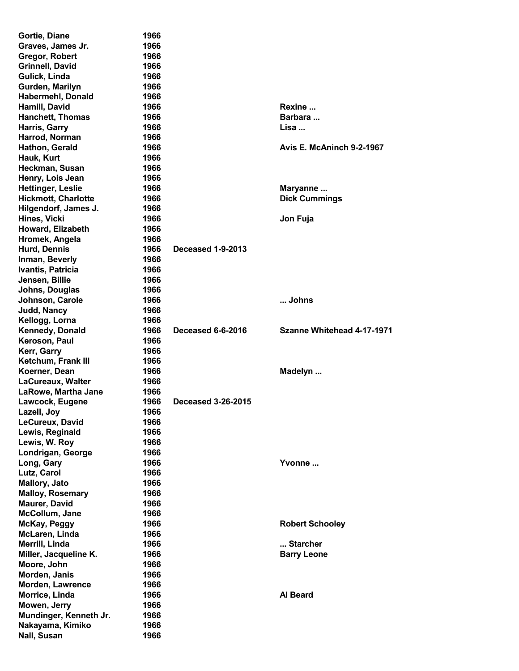| Gortie, Diane                   | 1966 |                           |                            |
|---------------------------------|------|---------------------------|----------------------------|
| Graves, James Jr.               | 1966 |                           |                            |
| Gregor, Robert                  | 1966 |                           |                            |
| <b>Grinnell, David</b>          | 1966 |                           |                            |
| Gulick, Linda                   | 1966 |                           |                            |
| Gurden, Marilyn                 | 1966 |                           |                            |
| <b>Habermehl, Donald</b>        | 1966 |                           |                            |
| Hamill, David                   | 1966 |                           | Rexine                     |
| <b>Hanchett, Thomas</b>         | 1966 |                           | Barbara                    |
|                                 | 1966 |                           | Lisa                       |
| Harris, Garry<br>Harrod, Norman | 1966 |                           |                            |
|                                 |      |                           | Avis E. McAninch 9-2-1967  |
| Hathon, Gerald                  | 1966 |                           |                            |
| Hauk, Kurt                      | 1966 |                           |                            |
| Heckman, Susan                  | 1966 |                           |                            |
| Henry, Lois Jean                | 1966 |                           |                            |
| <b>Hettinger, Leslie</b>        | 1966 |                           | Maryanne                   |
| <b>Hickmott, Charlotte</b>      | 1966 |                           | <b>Dick Cummings</b>       |
| Hilgendorf, James J.            | 1966 |                           |                            |
| Hines, Vicki                    | 1966 |                           | Jon Fuja                   |
| Howard, Elizabeth               | 1966 |                           |                            |
| Hromek, Angela                  | 1966 |                           |                            |
| <b>Hurd, Dennis</b>             | 1966 | <b>Deceased 1-9-2013</b>  |                            |
| Inman, Beverly                  | 1966 |                           |                            |
| Ivantis, Patricia               | 1966 |                           |                            |
| Jensen, Billie                  | 1966 |                           |                            |
| Johns, Douglas                  | 1966 |                           |                            |
| Johnson, Carole                 | 1966 |                           | Johns                      |
| <b>Judd, Nancy</b>              | 1966 |                           |                            |
| Kellogg, Lorna                  | 1966 |                           |                            |
| <b>Kennedy, Donald</b>          | 1966 | Deceased 6-6-2016         | Szanne Whitehead 4-17-1971 |
| Keroson, Paul                   | 1966 |                           |                            |
| Kerr, Garry                     | 1966 |                           |                            |
| Ketchum, Frank III              | 1966 |                           |                            |
| Koerner, Dean                   | 1966 |                           | Madelyn                    |
| LaCureaux, Walter               | 1966 |                           |                            |
| LaRowe, Martha Jane             | 1966 |                           |                            |
| Lawcock, Eugene                 | 1966 | <b>Deceased 3-26-2015</b> |                            |
| Lazell, Joy                     | 1966 |                           |                            |
| LeCureux, David                 | 1966 |                           |                            |
| Lewis, Reginald                 | 1966 |                           |                            |
| Lewis, W. Roy                   | 1966 |                           |                            |
|                                 | 1966 |                           |                            |
| Londrigan, George               |      |                           | Yvonne                     |
| Long, Gary                      | 1966 |                           |                            |
| Lutz, Carol                     | 1966 |                           |                            |
| <b>Mallory, Jato</b>            | 1966 |                           |                            |
| <b>Malloy, Rosemary</b>         | 1966 |                           |                            |
| <b>Maurer, David</b>            | 1966 |                           |                            |
| McCollum, Jane                  | 1966 |                           |                            |
| McKay, Peggy                    | 1966 |                           | <b>Robert Schooley</b>     |
| McLaren, Linda                  | 1966 |                           |                            |
| Merrill, Linda                  | 1966 |                           | Starcher                   |
| Miller, Jacqueline K.           | 1966 |                           | <b>Barry Leone</b>         |
| Moore, John                     | 1966 |                           |                            |
| Morden, Janis                   | 1966 |                           |                            |
| Morden, Lawrence                | 1966 |                           |                            |
| Morrice, Linda                  | 1966 |                           | Al Beard                   |
| Mowen, Jerry                    | 1966 |                           |                            |
| Mundinger, Kenneth Jr.          | 1966 |                           |                            |
| Nakayama, Kimiko                | 1966 |                           |                            |
| Nall, Susan                     | 1966 |                           |                            |
|                                 |      |                           |                            |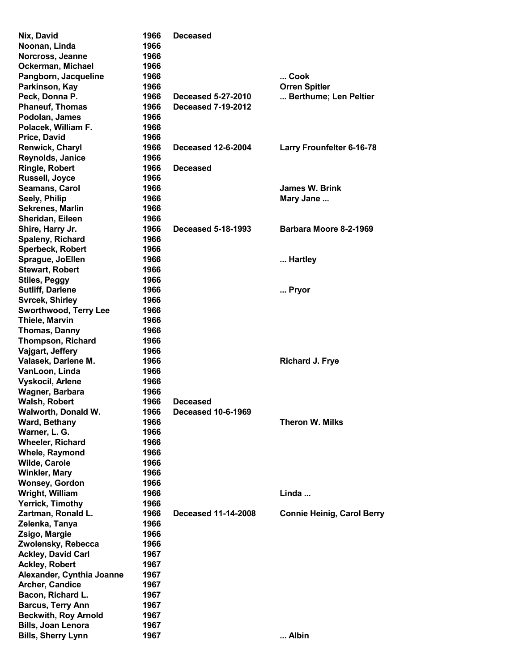| Nix, David                           | 1966         | <b>Deceased</b>                              |                                   |
|--------------------------------------|--------------|----------------------------------------------|-----------------------------------|
| Noonan, Linda                        | 1966         |                                              |                                   |
| Norcross, Jeanne                     | 1966         |                                              |                                   |
| Ockerman, Michael                    | 1966         |                                              |                                   |
| Pangborn, Jacqueline                 | 1966         |                                              | Cook                              |
| Parkinson, Kay                       | 1966         |                                              | <b>Orren Spitler</b>              |
| Peck, Donna P.                       | 1966         | <b>Deceased 5-27-2010</b>                    | Berthume; Len Peltier             |
| <b>Phaneuf, Thomas</b>               | 1966         | <b>Deceased 7-19-2012</b>                    |                                   |
| Podolan, James                       | 1966         |                                              |                                   |
| Polacek, William F.                  | 1966         |                                              |                                   |
| Price, David                         | 1966         |                                              |                                   |
| <b>Renwick, Charyl</b>               | 1966         | <b>Deceased 12-6-2004</b>                    | <b>Larry Frounfelter 6-16-78</b>  |
| Reynolds, Janice                     | 1966         |                                              |                                   |
| <b>Ringle, Robert</b>                | 1966         | <b>Deceased</b>                              |                                   |
| Russell, Joyce                       | 1966         |                                              |                                   |
| Seamans, Carol                       | 1966         |                                              | James W. Brink                    |
| Seely, Philip                        | 1966         |                                              | Mary Jane                         |
| <b>Sekrenes, Marlin</b>              | 1966         |                                              |                                   |
| Sheridan, Eileen                     | 1966         |                                              |                                   |
| Shire, Harry Jr.                     | 1966         | <b>Deceased 5-18-1993</b>                    | Barbara Moore 8-2-1969            |
| Spaleny, Richard                     | 1966         |                                              |                                   |
| Sperbeck, Robert                     | 1966         |                                              |                                   |
| Sprague, JoEllen                     | 1966         |                                              | Hartley                           |
| <b>Stewart, Robert</b>               | 1966         |                                              |                                   |
| <b>Stiles, Peggy</b>                 | 1966         |                                              |                                   |
| <b>Sutliff, Darlene</b>              | 1966         |                                              | Pryor                             |
| <b>Svrcek, Shirley</b>               | 1966         |                                              |                                   |
| <b>Sworthwood, Terry Lee</b>         | 1966         |                                              |                                   |
| Thiele, Marvin                       | 1966         |                                              |                                   |
| <b>Thomas, Danny</b>                 | 1966         |                                              |                                   |
| <b>Thompson, Richard</b>             | 1966         |                                              |                                   |
| Vajgart, Jeffery                     | 1966         |                                              |                                   |
| Valasek, Darlene M.                  | 1966         |                                              | <b>Richard J. Frye</b>            |
| VanLoon, Linda                       | 1966         |                                              |                                   |
| Vyskocil, Arlene                     | 1966         |                                              |                                   |
| Wagner, Barbara                      | 1966<br>1966 |                                              |                                   |
| <b>Walsh, Robert</b>                 |              | <b>Deceased</b><br><b>Deceased 10-6-1969</b> |                                   |
| Walworth, Donald W.<br>Ward, Bethany | 1966<br>1966 |                                              | <b>Theron W. Milks</b>            |
| Warner, L. G.                        | 1966         |                                              |                                   |
| <b>Wheeler, Richard</b>              | 1966         |                                              |                                   |
| <b>Whele, Raymond</b>                | 1966         |                                              |                                   |
| Wilde, Carole                        | 1966         |                                              |                                   |
| <b>Winkler, Mary</b>                 | 1966         |                                              |                                   |
| <b>Wonsey, Gordon</b>                | 1966         |                                              |                                   |
| Wright, William                      | 1966         |                                              | Linda                             |
| <b>Yerrick, Timothy</b>              | 1966         |                                              |                                   |
| Zartman, Ronald L.                   | 1966         | <b>Deceased 11-14-2008</b>                   | <b>Connie Heinig, Carol Berry</b> |
| Zelenka, Tanya                       | 1966         |                                              |                                   |
| Zsigo, Margie                        | 1966         |                                              |                                   |
| Zwolensky, Rebecca                   | 1966         |                                              |                                   |
| <b>Ackley, David Carl</b>            | 1967         |                                              |                                   |
| <b>Ackley, Robert</b>                | 1967         |                                              |                                   |
| Alexander, Cynthia Joanne            | 1967         |                                              |                                   |
| Archer, Candice                      | 1967         |                                              |                                   |
| Bacon, Richard L.                    | 1967         |                                              |                                   |
| <b>Barcus, Terry Ann</b>             | 1967         |                                              |                                   |
| <b>Beckwith, Roy Arnold</b>          | 1967         |                                              |                                   |
| <b>Bills, Joan Lenora</b>            | 1967         |                                              |                                   |
| <b>Bills, Sherry Lynn</b>            | 1967         |                                              | Albin                             |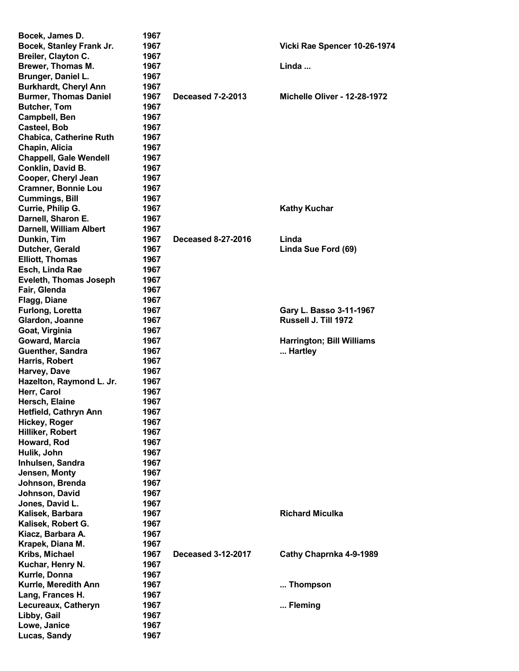| Bocek, James D.                    | 1967 |                           |                                  |
|------------------------------------|------|---------------------------|----------------------------------|
| Bocek, Stanley Frank Jr.           | 1967 |                           | Vicki Rae Spencer 10-26-1974     |
| Breiler, Clayton C.                | 1967 |                           |                                  |
| Brewer, Thomas M.                  | 1967 |                           | Linda                            |
| Brunger, Daniel L.                 | 1967 |                           |                                  |
| <b>Burkhardt, Cheryl Ann</b>       | 1967 |                           |                                  |
| <b>Burmer, Thomas Daniel</b>       | 1967 | <b>Deceased 7-2-2013</b>  | Michelle Oliver - 12-28-1972     |
| <b>Butcher, Tom</b>                | 1967 |                           |                                  |
| Campbell, Ben                      | 1967 |                           |                                  |
| <b>Casteel, Bob</b>                | 1967 |                           |                                  |
| <b>Chabica, Catherine Ruth</b>     | 1967 |                           |                                  |
| Chapin, Alicia                     | 1967 |                           |                                  |
| <b>Chappell, Gale Wendell</b>      | 1967 |                           |                                  |
| Conklin, David B.                  | 1967 |                           |                                  |
| Cooper, Cheryl Jean                | 1967 |                           |                                  |
| <b>Cramner, Bonnie Lou</b>         | 1967 |                           |                                  |
| <b>Cummings, Bill</b>              | 1967 |                           |                                  |
| Currie, Philip G.                  | 1967 |                           | <b>Kathy Kuchar</b>              |
| Darnell, Sharon E.                 | 1967 |                           |                                  |
| Darnell, William Albert            | 1967 |                           |                                  |
| Dunkin, Tim                        | 1967 | <b>Deceased 8-27-2016</b> | Linda                            |
| Dutcher, Gerald                    | 1967 |                           | Linda Sue Ford (69)              |
| <b>Elliott, Thomas</b>             | 1967 |                           |                                  |
| Esch, Linda Rae                    | 1967 |                           |                                  |
| <b>Eveleth, Thomas Joseph</b>      | 1967 |                           |                                  |
| Fair, Glenda                       | 1967 |                           |                                  |
| <b>Flagg, Diane</b>                | 1967 |                           |                                  |
| <b>Furlong, Loretta</b>            | 1967 |                           | Gary L. Basso 3-11-1967          |
| Glardon, Joanne                    | 1967 |                           | Russell J. Till 1972             |
| Goat, Virginia                     | 1967 |                           |                                  |
| Goward, Marcia                     | 1967 |                           | <b>Harrington; Bill Williams</b> |
| <b>Guenther, Sandra</b>            | 1967 |                           | Hartley                          |
| Harris, Robert                     | 1967 |                           |                                  |
| Harvey, Dave                       | 1967 |                           |                                  |
| Hazelton, Raymond L. Jr.           | 1967 |                           |                                  |
| Herr, Carol                        | 1967 |                           |                                  |
| Hersch, Elaine                     | 1967 |                           |                                  |
| Hetfield, Cathryn Ann              |      |                           |                                  |
|                                    | 1967 |                           |                                  |
| Hickey, Roger                      | 1967 |                           |                                  |
| Hilliker, Robert                   | 1967 |                           |                                  |
| Howard, Rod                        | 1967 |                           |                                  |
| Hulik, John                        | 1967 |                           |                                  |
| Inhulsen, Sandra                   | 1967 |                           |                                  |
| Jensen, Monty                      | 1967 |                           |                                  |
| Johnson, Brenda                    | 1967 |                           |                                  |
| Johnson, David                     | 1967 |                           |                                  |
| Jones, David L.                    | 1967 |                           |                                  |
| Kalisek, Barbara                   | 1967 |                           | <b>Richard Miculka</b>           |
| Kalisek, Robert G.                 | 1967 |                           |                                  |
| Kiacz, Barbara A.                  | 1967 |                           |                                  |
| Krapek, Diana M.                   | 1967 |                           |                                  |
| Kribs, Michael                     | 1967 | <b>Deceased 3-12-2017</b> | Cathy Chaprnka 4-9-1989          |
|                                    | 1967 |                           |                                  |
| Kuchar, Henry N.<br>Kurrle, Donna  | 1967 |                           |                                  |
| Kurrle, Meredith Ann               | 1967 |                           | Thompson                         |
| Lang, Frances H.                   | 1967 |                           |                                  |
|                                    | 1967 |                           |                                  |
| Lecureaux, Catheryn<br>Libby, Gail | 1967 |                           | Fleming                          |
| Lowe, Janice                       | 1967 |                           |                                  |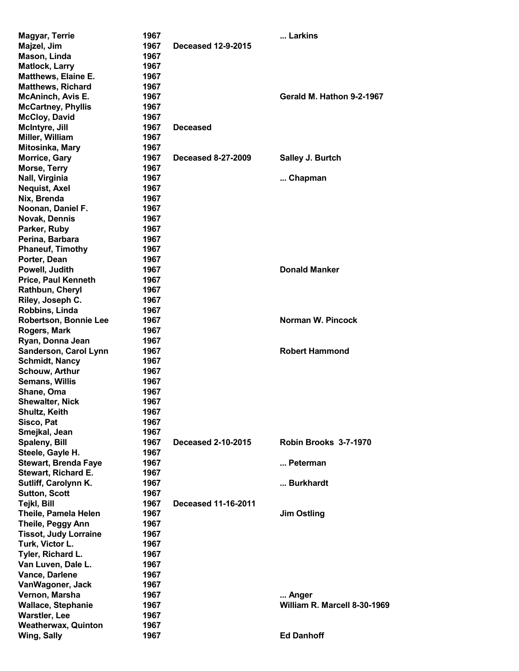| <b>Magyar, Terrie</b>                       | 1967         |                            | Larkins                      |
|---------------------------------------------|--------------|----------------------------|------------------------------|
| Majzel, Jim                                 | 1967         | <b>Deceased 12-9-2015</b>  |                              |
| Mason, Linda                                | 1967         |                            |                              |
| <b>Matlock, Larry</b>                       | 1967         |                            |                              |
| <b>Matthews, Elaine E.</b>                  | 1967         |                            |                              |
| <b>Matthews, Richard</b>                    | 1967         |                            |                              |
| <b>McAninch, Avis E.</b>                    | 1967         |                            | Gerald M. Hathon 9-2-1967    |
| <b>McCartney, Phyllis</b>                   | 1967         |                            |                              |
| <b>McCloy, David</b>                        | 1967         |                            |                              |
| McIntyre, Jill                              | 1967         | <b>Deceased</b>            |                              |
| Miller, William                             | 1967         |                            |                              |
| Mitosinka, Mary                             | 1967         |                            |                              |
| <b>Morrice, Gary</b>                        | 1967         | <b>Deceased 8-27-2009</b>  | Salley J. Burtch             |
| Morse, Terry                                | 1967         |                            |                              |
| Nall, Virginia                              | 1967         |                            | Chapman                      |
| <b>Nequist, Axel</b>                        | 1967         |                            |                              |
| Nix, Brenda                                 | 1967         |                            |                              |
| Noonan, Daniel F.                           | 1967         |                            |                              |
| Novak, Dennis                               | 1967         |                            |                              |
| Parker, Ruby                                | 1967         |                            |                              |
| Perina, Barbara                             | 1967         |                            |                              |
| <b>Phaneuf, Timothy</b>                     | 1967         |                            |                              |
| Porter, Dean                                | 1967         |                            |                              |
| Powell, Judith                              | 1967         |                            | <b>Donald Manker</b>         |
| <b>Price, Paul Kenneth</b>                  | 1967         |                            |                              |
| Rathbun, Cheryl                             | 1967         |                            |                              |
| Riley, Joseph C.                            | 1967         |                            |                              |
| Robbins, Linda                              | 1967         |                            |                              |
| <b>Robertson, Bonnie Lee</b>                | 1967         |                            | Norman W. Pincock            |
| Rogers, Mark                                | 1967         |                            |                              |
| Ryan, Donna Jean                            | 1967         |                            |                              |
| Sanderson, Carol Lynn                       | 1967         |                            | <b>Robert Hammond</b>        |
| <b>Schmidt, Nancy</b>                       | 1967         |                            |                              |
| <b>Schouw, Arthur</b>                       | 1967         |                            |                              |
| <b>Semans, Willis</b>                       | 1967         |                            |                              |
| Shane, Oma                                  | 1967         |                            |                              |
| <b>Shewalter, Nick</b>                      | 1967         |                            |                              |
| <b>Shultz, Keith</b>                        | 1967         |                            |                              |
| Sisco, Pat                                  | 1967         |                            |                              |
| Smejkal, Jean                               | 1967         |                            |                              |
| Spaleny, Bill                               | 1967         | <b>Deceased 2-10-2015</b>  | Robin Brooks 3-7-1970        |
| Steele, Gayle H.                            | 1967         |                            | Peterman                     |
| <b>Stewart, Brenda Faye</b>                 | 1967         |                            |                              |
| Stewart, Richard E.<br>Sutliff, Carolynn K. | 1967<br>1967 |                            | Burkhardt                    |
| <b>Sutton, Scott</b>                        | 1967         |                            |                              |
| <b>Tejkl, Bill</b>                          | 1967         | <b>Deceased 11-16-2011</b> |                              |
| Theile, Pamela Helen                        | 1967         |                            | <b>Jim Ostling</b>           |
| <b>Theile, Peggy Ann</b>                    | 1967         |                            |                              |
| <b>Tissot, Judy Lorraine</b>                | 1967         |                            |                              |
| Turk, Victor L.                             | 1967         |                            |                              |
| Tyler, Richard L.                           | 1967         |                            |                              |
| Van Luven, Dale L.                          | 1967         |                            |                              |
| Vance, Darlene                              | 1967         |                            |                              |
| VanWagoner, Jack                            | 1967         |                            |                              |
| Vernon, Marsha                              | 1967         |                            | Anger                        |
| <b>Wallace, Stephanie</b>                   | 1967         |                            | William R. Marcell 8-30-1969 |
| <b>Warstler, Lee</b>                        | 1967         |                            |                              |
| <b>Weatherwax, Quinton</b>                  | 1967         |                            |                              |
| Wing, Sally                                 | 1967         |                            | <b>Ed Danhoff</b>            |
|                                             |              |                            |                              |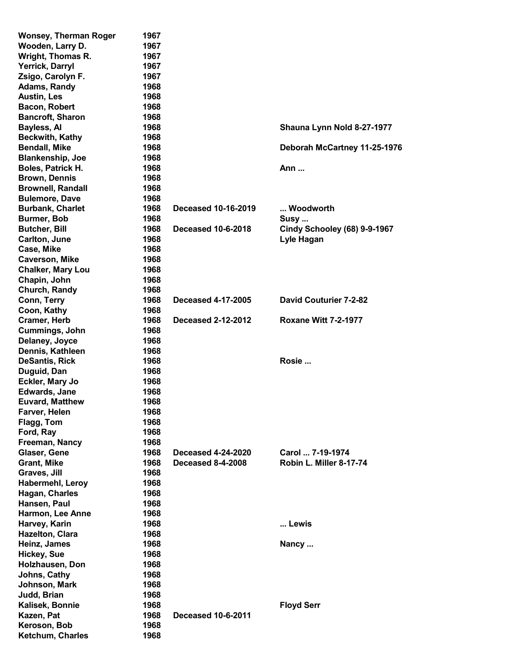| <b>Wonsey, Therman Roger</b> | 1967 |                           |                               |
|------------------------------|------|---------------------------|-------------------------------|
| Wooden, Larry D.             | 1967 |                           |                               |
| Wright, Thomas R.            | 1967 |                           |                               |
| Yerrick, Darryl              | 1967 |                           |                               |
| Zsigo, Carolyn F.            | 1967 |                           |                               |
| <b>Adams, Randy</b>          | 1968 |                           |                               |
| <b>Austin, Les</b>           | 1968 |                           |                               |
| Bacon, Robert                | 1968 |                           |                               |
| <b>Bancroft, Sharon</b>      | 1968 |                           |                               |
| Bayless, Al                  | 1968 |                           | Shauna Lynn Nold 8-27-1977    |
| <b>Beckwith, Kathy</b>       | 1968 |                           |                               |
| <b>Bendall, Mike</b>         | 1968 |                           | Deborah McCartney 11-25-1976  |
| <b>Blankenship, Joe</b>      | 1968 |                           |                               |
| Boles, Patrick H.            | 1968 |                           | Ann                           |
| <b>Brown, Dennis</b>         | 1968 |                           |                               |
| <b>Brownell, Randall</b>     | 1968 |                           |                               |
|                              |      |                           |                               |
| <b>Bulemore, Dave</b>        | 1968 |                           |                               |
| <b>Burbank, Charlet</b>      | 1968 | Deceased 10-16-2019       | Woodworth                     |
| Burmer, Bob                  | 1968 |                           | Susy                          |
| <b>Butcher, Bill</b>         | 1968 | <b>Deceased 10-6-2018</b> | Cindy Schooley (68) 9-9-1967  |
| Carlton, June                | 1968 |                           | Lyle Hagan                    |
| Case, Mike                   | 1968 |                           |                               |
| <b>Caverson, Mike</b>        | 1968 |                           |                               |
| <b>Chalker, Mary Lou</b>     | 1968 |                           |                               |
| Chapin, John                 | 1968 |                           |                               |
| Church, Randy                | 1968 |                           |                               |
| Conn, Terry                  | 1968 | <b>Deceased 4-17-2005</b> | <b>David Couturier 7-2-82</b> |
| Coon, Kathy                  | 1968 |                           |                               |
| <b>Cramer, Herb</b>          | 1968 | <b>Deceased 2-12-2012</b> | <b>Roxane Witt 7-2-1977</b>   |
| Cummings, John               | 1968 |                           |                               |
| Delaney, Joyce               | 1968 |                           |                               |
| Dennis, Kathleen             | 1968 |                           |                               |
| <b>DeSantis, Rick</b>        | 1968 |                           | Rosie                         |
| Duguid, Dan                  | 1968 |                           |                               |
| Eckler, Mary Jo              | 1968 |                           |                               |
| <b>Edwards, Jane</b>         | 1968 |                           |                               |
| <b>Euvard, Matthew</b>       | 1968 |                           |                               |
| Farver, Helen                | 1968 |                           |                               |
| Flagg, Tom                   | 1968 |                           |                               |
| Ford, Ray                    | 1968 |                           |                               |
| Freeman, Nancy               | 1968 |                           |                               |
| Glaser, Gene                 | 1968 | <b>Deceased 4-24-2020</b> | Carol  7-19-1974              |
| <b>Grant, Mike</b>           | 1968 | <b>Deceased 8-4-2008</b>  | Robin L. Miller 8-17-74       |
| Graves, Jill                 | 1968 |                           |                               |
| <b>Habermehl, Leroy</b>      | 1968 |                           |                               |
| Hagan, Charles               | 1968 |                           |                               |
| Hansen, Paul                 | 1968 |                           |                               |
| Harmon, Lee Anne             | 1968 |                           |                               |
| Harvey, Karin                | 1968 |                           | Lewis                         |
| <b>Hazelton, Clara</b>       | 1968 |                           |                               |
| Heinz, James                 | 1968 |                           | Nancy                         |
| <b>Hickey, Sue</b>           | 1968 |                           |                               |
| Holzhausen, Don              | 1968 |                           |                               |
|                              | 1968 |                           |                               |
| Johns, Cathy                 |      |                           |                               |
| Johnson, Mark                | 1968 |                           |                               |
| Judd, Brian                  | 1968 |                           |                               |
| Kalisek, Bonnie              | 1968 |                           | <b>Floyd Serr</b>             |
| Kazen, Pat                   | 1968 | <b>Deceased 10-6-2011</b> |                               |
| Keroson, Bob                 | 1968 |                           |                               |
| Ketchum, Charles             | 1968 |                           |                               |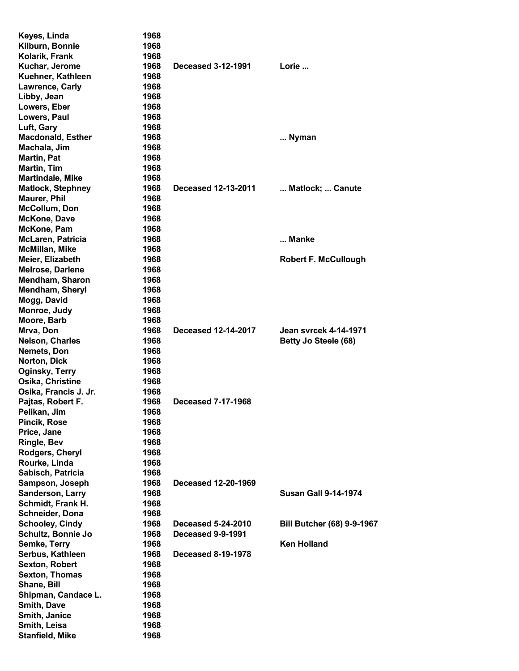| Keyes, Linda             | 1968 |                            |                                   |
|--------------------------|------|----------------------------|-----------------------------------|
| Kilburn, Bonnie          | 1968 |                            |                                   |
| Kolarik, Frank           | 1968 |                            |                                   |
| Kuchar, Jerome           | 1968 | <b>Deceased 3-12-1991</b>  | Lorie                             |
| Kuehner, Kathleen        | 1968 |                            |                                   |
| <b>Lawrence, Carly</b>   | 1968 |                            |                                   |
| Libby, Jean              | 1968 |                            |                                   |
| Lowers, Eber             | 1968 |                            |                                   |
| Lowers, Paul             | 1968 |                            |                                   |
| Luft, Gary               | 1968 |                            |                                   |
| <b>Macdonald, Esther</b> | 1968 |                            | Nyman                             |
| Machala, Jim             | 1968 |                            |                                   |
| <b>Martin, Pat</b>       | 1968 |                            |                                   |
| Martin, Tim              | 1968 |                            |                                   |
| <b>Martindale, Mike</b>  | 1968 |                            |                                   |
| <b>Matlock, Stephney</b> | 1968 | <b>Deceased 12-13-2011</b> | Matlock;  Canute                  |
| <b>Maurer, Phil</b>      | 1968 |                            |                                   |
| <b>McCollum, Don</b>     | 1968 |                            |                                   |
| <b>McKone, Dave</b>      | 1968 |                            |                                   |
| McKone, Pam              | 1968 |                            |                                   |
| McLaren, Patricia        | 1968 |                            | Manke                             |
| <b>McMillan, Mike</b>    | 1968 |                            |                                   |
| Meier, Elizabeth         | 1968 |                            | <b>Robert F. McCullough</b>       |
| Melrose, Darlene         | 1968 |                            |                                   |
| Mendham, Sharon          |      |                            |                                   |
|                          | 1968 |                            |                                   |
| Mendham, Sheryl          | 1968 |                            |                                   |
| Mogg, David              | 1968 |                            |                                   |
| Monroe, Judy             | 1968 |                            |                                   |
| Moore, Barb              | 1968 |                            |                                   |
| Mrva, Don                | 1968 | <b>Deceased 12-14-2017</b> | <b>Jean syrcek 4-14-1971</b>      |
| <b>Nelson, Charles</b>   | 1968 |                            | Betty Jo Steele (68)              |
| Nemets, Don              | 1968 |                            |                                   |
| Norton, Dick             | 1968 |                            |                                   |
| Oginsky, Terry           | 1968 |                            |                                   |
| Osika, Christine         | 1968 |                            |                                   |
| Osika, Francis J. Jr.    | 1968 |                            |                                   |
| Pajtas, Robert F.        | 1968 | <b>Deceased 7-17-1968</b>  |                                   |
| Pelikan, Jim             | 1968 |                            |                                   |
| <b>Pincik, Rose</b>      | 1968 |                            |                                   |
| Price, Jane              | 1968 |                            |                                   |
| <b>Ringle, Bev</b>       | 1968 |                            |                                   |
| Rodgers, Cheryl          | 1968 |                            |                                   |
| Rourke, Linda            | 1968 |                            |                                   |
| Sabisch, Patricia        | 1968 |                            |                                   |
| Sampson, Joseph          | 1968 | Deceased 12-20-1969        |                                   |
| Sanderson, Larry         | 1968 |                            | <b>Susan Gall 9-14-1974</b>       |
| Schmidt, Frank H.        | 1968 |                            |                                   |
| Schneider, Dona          | 1968 |                            |                                   |
| <b>Schooley, Cindy</b>   | 1968 | <b>Deceased 5-24-2010</b>  | <b>Bill Butcher (68) 9-9-1967</b> |
| Schultz, Bonnie Jo       | 1968 | Deceased 9-9-1991          |                                   |
| Semke, Terry             | 1968 |                            | <b>Ken Holland</b>                |
| Serbus, Kathleen         | 1968 | <b>Deceased 8-19-1978</b>  |                                   |
| <b>Sexton, Robert</b>    | 1968 |                            |                                   |
| <b>Sexton, Thomas</b>    | 1968 |                            |                                   |
| Shane, Bill              | 1968 |                            |                                   |
| Shipman, Candace L.      | 1968 |                            |                                   |
| Smith, Dave              | 1968 |                            |                                   |
| Smith, Janice            | 1968 |                            |                                   |
| Smith, Leisa             | 1968 |                            |                                   |
| <b>Stanfield, Mike</b>   | 1968 |                            |                                   |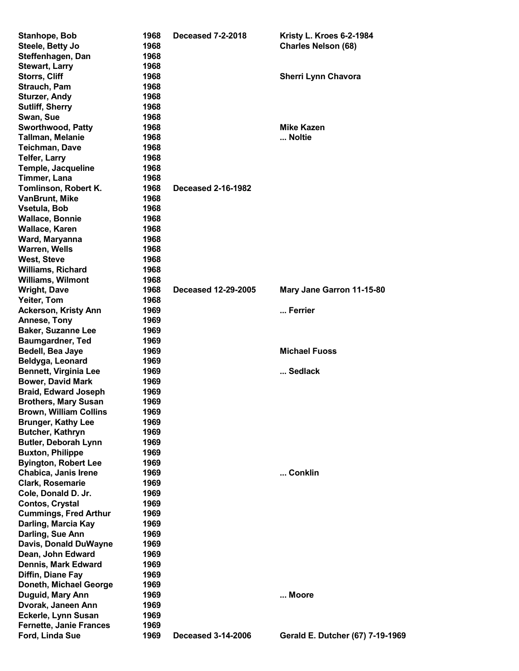| Stanhope, Bob                  | 1968 | <b>Deceased 7-2-2018</b>   | Kristy L. Kroes 6-2-1984         |
|--------------------------------|------|----------------------------|----------------------------------|
| Steele, Betty Jo               | 1968 |                            | <b>Charles Nelson (68)</b>       |
| Steffenhagen, Dan              | 1968 |                            |                                  |
| <b>Stewart, Larry</b>          | 1968 |                            |                                  |
| <b>Storrs, Cliff</b>           | 1968 |                            | <b>Sherri Lynn Chavora</b>       |
| Strauch, Pam                   | 1968 |                            |                                  |
| <b>Sturzer, Andy</b>           | 1968 |                            |                                  |
| <b>Sutliff, Sherry</b>         | 1968 |                            |                                  |
| Swan, Sue                      | 1968 |                            |                                  |
| <b>Sworthwood, Patty</b>       | 1968 |                            | <b>Mike Kazen</b>                |
| <b>Tallman, Melanie</b>        | 1968 |                            | Noltie                           |
| <b>Teichman, Dave</b>          | 1968 |                            |                                  |
| <b>Telfer, Larry</b>           | 1968 |                            |                                  |
| Temple, Jacqueline             | 1968 |                            |                                  |
| Timmer, Lana                   | 1968 |                            |                                  |
| Tomlinson, Robert K.           | 1968 | <b>Deceased 2-16-1982</b>  |                                  |
| <b>VanBrunt, Mike</b>          | 1968 |                            |                                  |
|                                |      |                            |                                  |
| Vsetula, Bob                   | 1968 |                            |                                  |
| <b>Wallace, Bonnie</b>         | 1968 |                            |                                  |
| Wallace, Karen                 | 1968 |                            |                                  |
| Ward, Maryanna                 | 1968 |                            |                                  |
| <b>Warren, Wells</b>           | 1968 |                            |                                  |
| <b>West, Steve</b>             | 1968 |                            |                                  |
| <b>Williams, Richard</b>       | 1968 |                            |                                  |
| <b>Williams, Wilmont</b>       | 1968 |                            |                                  |
| <b>Wright, Dave</b>            | 1968 | <b>Deceased 12-29-2005</b> | Mary Jane Garron 11-15-80        |
| Yeiter, Tom                    | 1968 |                            |                                  |
| <b>Ackerson, Kristy Ann</b>    | 1969 |                            | Ferrier                          |
| Annese, Tony                   | 1969 |                            |                                  |
| <b>Baker, Suzanne Lee</b>      | 1969 |                            |                                  |
| <b>Baumgardner, Ted</b>        | 1969 |                            |                                  |
| Bedell, Bea Jaye               | 1969 |                            | <b>Michael Fuoss</b>             |
| Beldyga, Leonard               | 1969 |                            |                                  |
| <b>Bennett, Virginia Lee</b>   | 1969 |                            | Sedlack                          |
| <b>Bower, David Mark</b>       | 1969 |                            |                                  |
| <b>Braid, Edward Joseph</b>    | 1969 |                            |                                  |
| <b>Brothers, Mary Susan</b>    | 1969 |                            |                                  |
| <b>Brown, William Collins</b>  | 1969 |                            |                                  |
| <b>Brunger, Kathy Lee</b>      | 1969 |                            |                                  |
| <b>Butcher, Kathryn</b>        | 1969 |                            |                                  |
| <b>Butler, Deborah Lynn</b>    | 1969 |                            |                                  |
|                                |      |                            |                                  |
| <b>Buxton, Philippe</b>        | 1969 |                            |                                  |
| <b>Byington, Robert Lee</b>    | 1969 |                            |                                  |
| Chabica, Janis Irene           | 1969 |                            | Conklin                          |
| Clark, Rosemarie               | 1969 |                            |                                  |
| Cole, Donald D. Jr.            | 1969 |                            |                                  |
| <b>Contos, Crystal</b>         | 1969 |                            |                                  |
| <b>Cummings, Fred Arthur</b>   | 1969 |                            |                                  |
| Darling, Marcia Kay            | 1969 |                            |                                  |
| Darling, Sue Ann               | 1969 |                            |                                  |
| Davis, Donald DuWayne          | 1969 |                            |                                  |
| Dean, John Edward              | 1969 |                            |                                  |
| Dennis, Mark Edward            | 1969 |                            |                                  |
| Diffin, Diane Fay              | 1969 |                            |                                  |
| Doneth, Michael George         | 1969 |                            |                                  |
| Duguid, Mary Ann               | 1969 |                            | Moore                            |
| Dvorak, Janeen Ann             | 1969 |                            |                                  |
| Eckerle, Lynn Susan            | 1969 |                            |                                  |
| <b>Fernette, Janie Frances</b> | 1969 |                            |                                  |
| Ford, Linda Sue                | 1969 | <b>Deceased 3-14-2006</b>  | Gerald E. Dutcher (67) 7-19-1969 |
|                                |      |                            |                                  |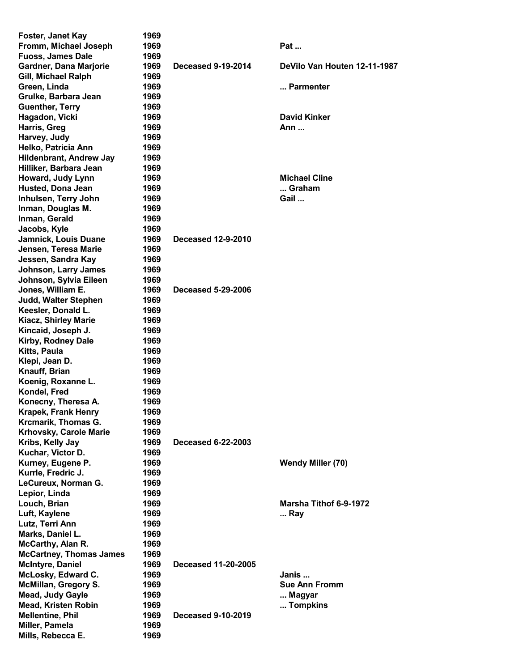| Foster, Janet Kay              | 1969 |                            |                              |
|--------------------------------|------|----------------------------|------------------------------|
| Fromm, Michael Joseph          | 1969 |                            | Pat                          |
| <b>Fuoss, James Dale</b>       | 1969 |                            |                              |
| Gardner, Dana Marjorie         | 1969 | <b>Deceased 9-19-2014</b>  | DeVilo Van Houten 12-11-1987 |
| Gill, Michael Ralph            | 1969 |                            |                              |
| Green, Linda                   | 1969 |                            | Parmenter                    |
| Grulke, Barbara Jean           | 1969 |                            |                              |
| <b>Guenther, Terry</b>         | 1969 |                            |                              |
| Hagadon, Vicki                 | 1969 |                            | <b>David Kinker</b>          |
| Harris, Greg                   | 1969 |                            | Ann                          |
| Harvey, Judy                   | 1969 |                            |                              |
| Helko, Patricia Ann            | 1969 |                            |                              |
| <b>Hildenbrant, Andrew Jay</b> | 1969 |                            |                              |
| Hilliker, Barbara Jean         | 1969 |                            |                              |
| Howard, Judy Lynn              | 1969 |                            | <b>Michael Cline</b>         |
| Husted, Dona Jean              | 1969 |                            | Graham                       |
| Inhulsen, Terry John           | 1969 |                            | Gail                         |
| Inman, Douglas M.              | 1969 |                            |                              |
| Inman, Gerald                  | 1969 |                            |                              |
| Jacobs, Kyle                   | 1969 |                            |                              |
| Jamnick, Louis Duane           | 1969 | <b>Deceased 12-9-2010</b>  |                              |
| Jensen, Teresa Marie           | 1969 |                            |                              |
| Jessen, Sandra Kay             | 1969 |                            |                              |
| <b>Johnson, Larry James</b>    | 1969 |                            |                              |
| Johnson, Sylvia Eileen         | 1969 |                            |                              |
| Jones, William E.              | 1969 | <b>Deceased 5-29-2006</b>  |                              |
| <b>Judd, Walter Stephen</b>    | 1969 |                            |                              |
| Keesler, Donald L.             | 1969 |                            |                              |
| Kiacz, Shirley Marie           | 1969 |                            |                              |
| Kincaid, Joseph J.             | 1969 |                            |                              |
|                                |      |                            |                              |
| Kirby, Rodney Dale             | 1969 |                            |                              |
| Kitts, Paula                   | 1969 |                            |                              |
| Klepi, Jean D.                 | 1969 |                            |                              |
| Knauff, Brian                  | 1969 |                            |                              |
| Koenig, Roxanne L.             | 1969 |                            |                              |
| Kondel, Fred                   | 1969 |                            |                              |
| Konecny, Theresa A.            | 1969 |                            |                              |
| <b>Krapek, Frank Henry</b>     | 1969 |                            |                              |
| Krcmarik, Thomas G.            | 1969 |                            |                              |
| Krhovsky, Carole Marie         | 1969 |                            |                              |
| Kribs, Kelly Jay               | 1969 | <b>Deceased 6-22-2003</b>  |                              |
| Kuchar, Victor D.              | 1969 |                            |                              |
| Kurney, Eugene P.              | 1969 |                            | Wendy Miller (70)            |
| Kurrle, Fredric J.             | 1969 |                            |                              |
| LeCureux, Norman G.            | 1969 |                            |                              |
| Lepior, Linda                  | 1969 |                            |                              |
| Louch, Brian                   | 1969 |                            | Marsha Tithof 6-9-1972       |
| Luft, Kaylene                  | 1969 |                            | Ray                          |
| Lutz, Terri Ann                | 1969 |                            |                              |
| Marks, Daniel L.               | 1969 |                            |                              |
| <b>McCarthy, Alan R.</b>       | 1969 |                            |                              |
| <b>McCartney, Thomas James</b> | 1969 |                            |                              |
| <b>McIntyre, Daniel</b>        | 1969 | <b>Deceased 11-20-2005</b> |                              |
| McLosky, Edward C.             | 1969 |                            | Janis                        |
| <b>McMillan, Gregory S.</b>    | 1969 |                            | <b>Sue Ann Fromm</b>         |
| <b>Mead, Judy Gayle</b>        | 1969 |                            | Magyar                       |
| <b>Mead, Kristen Robin</b>     | 1969 |                            | Tompkins                     |
| <b>Mellentine, Phil</b>        | 1969 | <b>Deceased 9-10-2019</b>  |                              |
| Miller, Pamela                 | 1969 |                            |                              |
| Mills, Rebecca E.              | 1969 |                            |                              |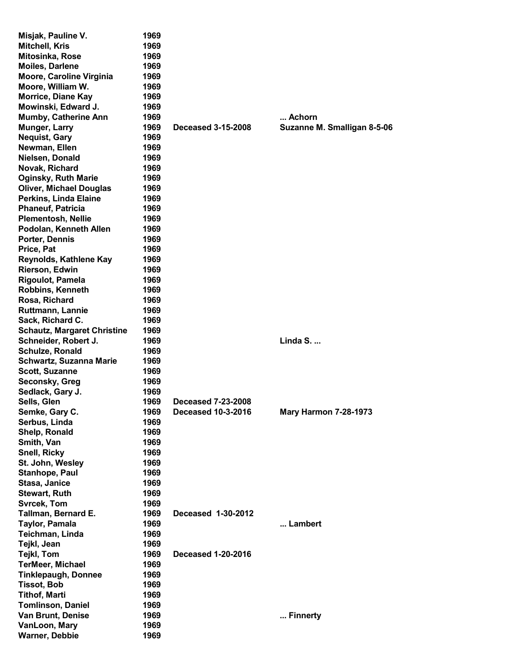| Misjak, Pauline V.                 | 1969 |                           |                              |
|------------------------------------|------|---------------------------|------------------------------|
| Mitchell, Kris                     | 1969 |                           |                              |
| Mitosinka, Rose                    | 1969 |                           |                              |
| <b>Moiles, Darlene</b>             | 1969 |                           |                              |
| Moore, Caroline Virginia           | 1969 |                           |                              |
| Moore, William W.                  | 1969 |                           |                              |
| <b>Morrice, Diane Kay</b>          | 1969 |                           |                              |
| Mowinski, Edward J.                | 1969 |                           |                              |
|                                    |      |                           |                              |
| <b>Mumby, Catherine Ann</b>        | 1969 |                           | Achorn                       |
| Munger, Larry                      | 1969 | <b>Deceased 3-15-2008</b> | Suzanne M. Smalligan 8-5-06  |
| <b>Nequist, Gary</b>               | 1969 |                           |                              |
| Newman, Ellen                      | 1969 |                           |                              |
| Nielsen, Donald                    | 1969 |                           |                              |
| Novak, Richard                     | 1969 |                           |                              |
| <b>Oginsky, Ruth Marie</b>         | 1969 |                           |                              |
| <b>Oliver, Michael Douglas</b>     | 1969 |                           |                              |
| Perkins, Linda Elaine              | 1969 |                           |                              |
| <b>Phaneuf, Patricia</b>           | 1969 |                           |                              |
| <b>Plementosh, Nellie</b>          | 1969 |                           |                              |
| Podolan, Kenneth Allen             | 1969 |                           |                              |
| Porter, Dennis                     | 1969 |                           |                              |
| Price, Pat                         | 1969 |                           |                              |
| Reynolds, Kathlene Kay             | 1969 |                           |                              |
| Rierson, Edwin                     | 1969 |                           |                              |
| <b>Rigoulot, Pamela</b>            | 1969 |                           |                              |
| <b>Robbins, Kenneth</b>            | 1969 |                           |                              |
| Rosa, Richard                      | 1969 |                           |                              |
| Ruttmann, Lannie                   | 1969 |                           |                              |
| Sack, Richard C.                   | 1969 |                           |                              |
| <b>Schautz, Margaret Christine</b> | 1969 |                           |                              |
| Schneider, Robert J.               | 1969 |                           | Linda S.                     |
| Schulze, Ronald                    | 1969 |                           |                              |
|                                    | 1969 |                           |                              |
| <b>Schwartz, Suzanna Marie</b>     |      |                           |                              |
| <b>Scott, Suzanne</b>              | 1969 |                           |                              |
| Seconsky, Greg                     | 1969 |                           |                              |
| Sedlack, Gary J.                   | 1969 |                           |                              |
| Sells, Glen                        | 1969 | Deceased 7-23-2008        |                              |
| Semke, Gary C.                     | 1969 | Deceased 10-3-2016        | <b>Mary Harmon 7-28-1973</b> |
| Serbus, Linda                      | 1969 |                           |                              |
| Shelp, Ronald                      | 1969 |                           |                              |
| Smith, Van                         | 1969 |                           |                              |
| <b>Snell, Ricky</b>                | 1969 |                           |                              |
| St. John, Wesley                   | 1969 |                           |                              |
| Stanhope, Paul                     | 1969 |                           |                              |
| Stasa, Janice                      | 1969 |                           |                              |
| <b>Stewart, Ruth</b>               | 1969 |                           |                              |
| <b>Svrcek, Tom</b>                 | 1969 |                           |                              |
| Tallman, Bernard E.                | 1969 | Deceased 1-30-2012        |                              |
| Taylor, Pamala                     | 1969 |                           | Lambert                      |
| Teichman, Linda                    | 1969 |                           |                              |
| Tejkl, Jean                        | 1969 |                           |                              |
| Tejkl, Tom                         | 1969 | <b>Deceased 1-20-2016</b> |                              |
| <b>TerMeer, Michael</b>            | 1969 |                           |                              |
| <b>Tinklepaugh, Donnee</b>         | 1969 |                           |                              |
| <b>Tissot, Bob</b>                 | 1969 |                           |                              |
| <b>Tithof, Marti</b>               | 1969 |                           |                              |
| <b>Tomlinson, Daniel</b>           | 1969 |                           |                              |
| Van Brunt, Denise                  | 1969 |                           | Finnerty                     |
| VanLoon, Mary                      | 1969 |                           |                              |
| <b>Warner, Debbie</b>              | 1969 |                           |                              |
|                                    |      |                           |                              |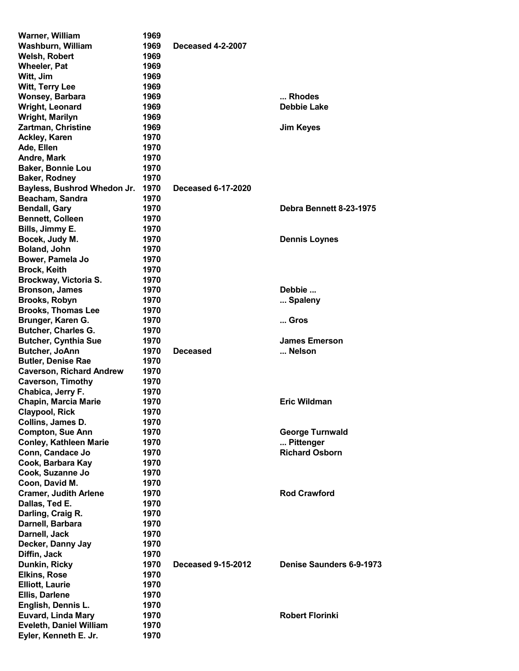| Warner, William                                         | 1969 |                           |                          |
|---------------------------------------------------------|------|---------------------------|--------------------------|
| <b>Washburn, William</b>                                | 1969 | <b>Deceased 4-2-2007</b>  |                          |
| <b>Welsh, Robert</b>                                    | 1969 |                           |                          |
| <b>Wheeler, Pat</b>                                     | 1969 |                           |                          |
| Witt, Jim                                               | 1969 |                           |                          |
| <b>Witt, Terry Lee</b>                                  | 1969 |                           |                          |
| Wonsey, Barbara                                         | 1969 |                           | Rhodes                   |
| <b>Wright, Leonard</b>                                  | 1969 |                           | <b>Debbie Lake</b>       |
| Wright, Marilyn                                         | 1969 |                           |                          |
| Zartman, Christine                                      | 1969 |                           | <b>Jim Keyes</b>         |
| <b>Ackley, Karen</b>                                    | 1970 |                           |                          |
| Ade, Ellen                                              | 1970 |                           |                          |
| Andre, Mark                                             | 1970 |                           |                          |
|                                                         |      |                           |                          |
| <b>Baker, Bonnie Lou</b>                                | 1970 |                           |                          |
| <b>Baker, Rodney</b>                                    | 1970 |                           |                          |
| Bayless, Bushrod Whedon Jr.                             | 1970 | <b>Deceased 6-17-2020</b> |                          |
| Beacham, Sandra                                         | 1970 |                           |                          |
| <b>Bendall, Gary</b>                                    | 1970 |                           | Debra Bennett 8-23-1975  |
| <b>Bennett, Colleen</b>                                 | 1970 |                           |                          |
| Bills, Jimmy E.                                         | 1970 |                           |                          |
| Bocek, Judy M.                                          | 1970 |                           | <b>Dennis Loynes</b>     |
| Boland, John                                            | 1970 |                           |                          |
| Bower, Pamela Jo                                        | 1970 |                           |                          |
| <b>Brock, Keith</b>                                     | 1970 |                           |                          |
| Brockway, Victoria S.                                   | 1970 |                           |                          |
| <b>Bronson, James</b>                                   | 1970 |                           | Debbie                   |
| <b>Brooks, Robyn</b>                                    | 1970 |                           | Spaleny                  |
| <b>Brooks, Thomas Lee</b>                               | 1970 |                           |                          |
| Brunger, Karen G.                                       | 1970 |                           | Gros                     |
| <b>Butcher, Charles G.</b>                              | 1970 |                           |                          |
| <b>Butcher, Cynthia Sue</b>                             | 1970 |                           | <b>James Emerson</b>     |
| Butcher, JoAnn                                          | 1970 | <b>Deceased</b>           | Nelson                   |
| <b>Butler, Denise Rae</b>                               | 1970 |                           |                          |
| <b>Caverson, Richard Andrew</b>                         | 1970 |                           |                          |
| <b>Caverson, Timothy</b>                                | 1970 |                           |                          |
| Chabica, Jerry F.                                       | 1970 |                           |                          |
| <b>Chapin, Marcia Marie</b>                             | 1970 |                           | <b>Eric Wildman</b>      |
| <b>Claypool, Rick</b>                                   | 1970 |                           |                          |
| Collins, James D.                                       | 1970 |                           |                          |
| <b>Compton, Sue Ann</b>                                 | 1970 |                           | <b>George Turnwald</b>   |
| <b>Conley, Kathleen Marie</b>                           | 1970 |                           | Pittenger                |
| Conn, Candace Jo                                        | 1970 |                           | <b>Richard Osborn</b>    |
|                                                         | 1970 |                           |                          |
| Cook, Barbara Kay                                       |      |                           |                          |
| Cook, Suzanne Jo                                        | 1970 |                           |                          |
| Coon, David M.                                          | 1970 |                           | <b>Rod Crawford</b>      |
| <b>Cramer, Judith Arlene</b>                            | 1970 |                           |                          |
| Dallas, Ted E.                                          | 1970 |                           |                          |
| Darling, Craig R.                                       | 1970 |                           |                          |
| Darnell, Barbara                                        | 1970 |                           |                          |
| Darnell, Jack                                           | 1970 |                           |                          |
| Decker, Danny Jay                                       | 1970 |                           |                          |
| Diffin, Jack                                            | 1970 |                           |                          |
| Dunkin, Ricky                                           | 1970 | <b>Deceased 9-15-2012</b> | Denise Saunders 6-9-1973 |
| <b>Elkins, Rose</b>                                     | 1970 |                           |                          |
| <b>Elliott, Laurie</b>                                  | 1970 |                           |                          |
| Ellis, Darlene                                          | 1970 |                           |                          |
| English, Dennis L.                                      |      |                           |                          |
|                                                         | 1970 |                           |                          |
| <b>Euvard, Linda Mary</b>                               | 1970 |                           | <b>Robert Florinki</b>   |
| <b>Eveleth, Daniel William</b><br>Eyler, Kenneth E. Jr. | 1970 |                           |                          |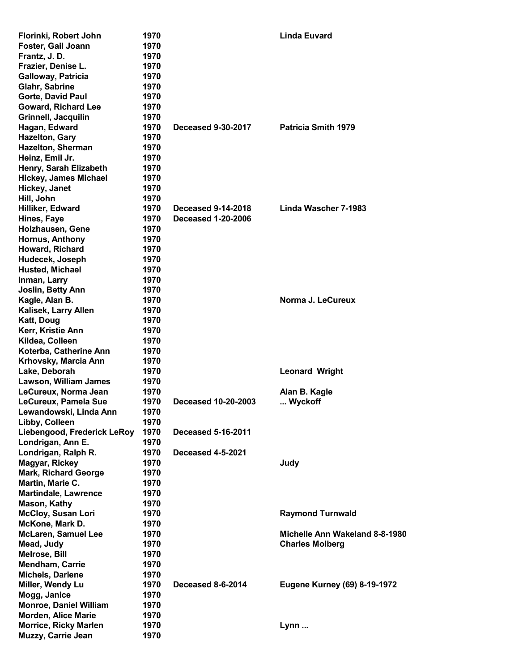| Florinki, Robert John         | 1970 |                            | <b>Linda Euvard</b>                 |
|-------------------------------|------|----------------------------|-------------------------------------|
| Foster, Gail Joann            | 1970 |                            |                                     |
| Frantz, J.D.                  | 1970 |                            |                                     |
| Frazier, Denise L.            | 1970 |                            |                                     |
| Galloway, Patricia            | 1970 |                            |                                     |
| Glahr, Sabrine                | 1970 |                            |                                     |
| Gorte, David Paul             | 1970 |                            |                                     |
| <b>Goward, Richard Lee</b>    | 1970 |                            |                                     |
| Grinnell, Jacquilin           | 1970 |                            |                                     |
| Hagan, Edward                 | 1970 | <b>Deceased 9-30-2017</b>  | <b>Patricia Smith 1979</b>          |
| <b>Hazelton, Gary</b>         | 1970 |                            |                                     |
| Hazelton, Sherman             | 1970 |                            |                                     |
| Heinz, Emil Jr.               | 1970 |                            |                                     |
| Henry, Sarah Elizabeth        | 1970 |                            |                                     |
| <b>Hickey, James Michael</b>  | 1970 |                            |                                     |
| Hickey, Janet                 | 1970 |                            |                                     |
| Hill, John                    | 1970 |                            |                                     |
| Hilliker, Edward              | 1970 | <b>Deceased 9-14-2018</b>  | Linda Wascher 7-1983                |
| Hines, Faye                   | 1970 | <b>Deceased 1-20-2006</b>  |                                     |
| Holzhausen, Gene              | 1970 |                            |                                     |
| <b>Hornus, Anthony</b>        | 1970 |                            |                                     |
|                               |      |                            |                                     |
| Howard, Richard               | 1970 |                            |                                     |
| Hudecek, Joseph               | 1970 |                            |                                     |
| <b>Husted, Michael</b>        | 1970 |                            |                                     |
| Inman, Larry                  | 1970 |                            |                                     |
| Joslin, Betty Ann             | 1970 |                            |                                     |
| Kagle, Alan B.                | 1970 |                            | Norma J. LeCureux                   |
| Kalisek, Larry Allen          | 1970 |                            |                                     |
| Katt, Doug                    | 1970 |                            |                                     |
| Kerr, Kristie Ann             | 1970 |                            |                                     |
| Kildea, Colleen               | 1970 |                            |                                     |
| Koterba, Catherine Ann        | 1970 |                            |                                     |
| Krhovsky, Marcia Ann          | 1970 |                            |                                     |
| Lake, Deborah                 | 1970 |                            | <b>Leonard Wright</b>               |
| Lawson, William James         | 1970 |                            |                                     |
| LeCureux, Norma Jean          | 1970 |                            | Alan B. Kagle                       |
| LeCureux, Pamela Sue          | 1970 | <b>Deceased 10-20-2003</b> | Wyckoff                             |
| Lewandowski, Linda Ann        | 1970 |                            |                                     |
| Libby, Colleen                | 1970 |                            |                                     |
| Liebengood, Frederick LeRoy   | 1970 | <b>Deceased 5-16-2011</b>  |                                     |
| Londrigan, Ann E.             | 1970 |                            |                                     |
| Londrigan, Ralph R.           | 1970 | <b>Deceased 4-5-2021</b>   |                                     |
| <b>Magyar, Rickey</b>         | 1970 |                            | Judy                                |
| <b>Mark, Richard George</b>   | 1970 |                            |                                     |
| Martin, Marie C.              | 1970 |                            |                                     |
| <b>Martindale, Lawrence</b>   | 1970 |                            |                                     |
| <b>Mason, Kathy</b>           | 1970 |                            |                                     |
| <b>McCloy, Susan Lori</b>     | 1970 |                            | <b>Raymond Turnwald</b>             |
| McKone, Mark D.               | 1970 |                            |                                     |
| <b>McLaren, Samuel Lee</b>    | 1970 |                            | Michelle Ann Wakeland 8-8-1980      |
| Mead, Judy                    | 1970 |                            | <b>Charles Molberg</b>              |
| <b>Melrose, Bill</b>          | 1970 |                            |                                     |
| <b>Mendham, Carrie</b>        | 1970 |                            |                                     |
| <b>Michels, Darlene</b>       | 1970 |                            |                                     |
| Miller, Wendy Lu              | 1970 | Deceased 8-6-2014          | <b>Eugene Kurney (69) 8-19-1972</b> |
| Mogg, Janice                  | 1970 |                            |                                     |
| <b>Monroe, Daniel William</b> | 1970 |                            |                                     |
| <b>Morden, Alice Marie</b>    | 1970 |                            |                                     |
| <b>Morrice, Ricky Marlen</b>  | 1970 |                            | Lynn                                |
| Muzzy, Carrie Jean            | 1970 |                            |                                     |
|                               |      |                            |                                     |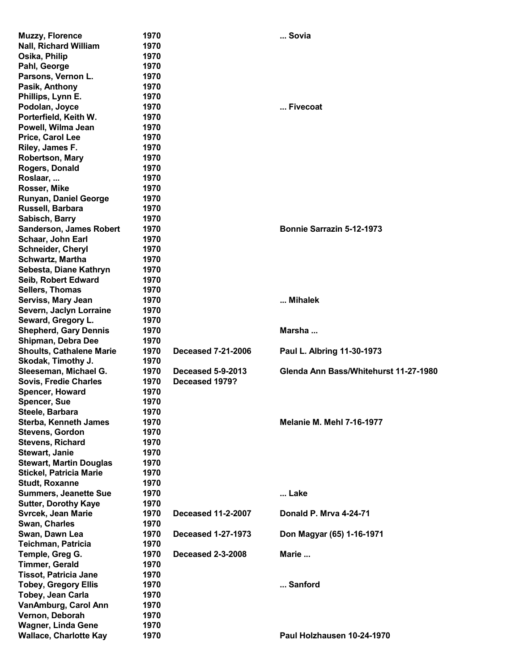| <b>Muzzy, Florence</b>          | 1970 |                           | Sovia                                 |
|---------------------------------|------|---------------------------|---------------------------------------|
| <b>Nall, Richard William</b>    | 1970 |                           |                                       |
|                                 |      |                           |                                       |
| Osika, Philip                   | 1970 |                           |                                       |
| Pahl, George                    | 1970 |                           |                                       |
| Parsons, Vernon L.              | 1970 |                           |                                       |
| Pasik, Anthony                  | 1970 |                           |                                       |
| Phillips, Lynn E.               | 1970 |                           |                                       |
| Podolan, Joyce                  | 1970 |                           | Fivecoat                              |
| Porterfield, Keith W.           | 1970 |                           |                                       |
| Powell, Wilma Jean              | 1970 |                           |                                       |
| Price, Carol Lee                | 1970 |                           |                                       |
| Riley, James F.                 | 1970 |                           |                                       |
| Robertson, Mary                 | 1970 |                           |                                       |
| Rogers, Donald                  | 1970 |                           |                                       |
|                                 | 1970 |                           |                                       |
| Roslaar,                        |      |                           |                                       |
| Rosser, Mike                    | 1970 |                           |                                       |
| <b>Runyan, Daniel George</b>    | 1970 |                           |                                       |
| Russell, Barbara                | 1970 |                           |                                       |
| Sabisch, Barry                  | 1970 |                           |                                       |
| <b>Sanderson, James Robert</b>  | 1970 |                           | Bonnie Sarrazin 5-12-1973             |
| Schaar, John Earl               | 1970 |                           |                                       |
| <b>Schneider, Cheryl</b>        | 1970 |                           |                                       |
| <b>Schwartz, Martha</b>         | 1970 |                           |                                       |
| Sebesta, Diane Kathryn          | 1970 |                           |                                       |
| Seib, Robert Edward             | 1970 |                           |                                       |
|                                 | 1970 |                           |                                       |
| <b>Sellers, Thomas</b>          |      |                           |                                       |
| Serviss, Mary Jean              | 1970 |                           | Mihalek                               |
| Severn, Jaclyn Lorraine         | 1970 |                           |                                       |
| Seward, Gregory L.              | 1970 |                           |                                       |
| <b>Shepherd, Gary Dennis</b>    | 1970 |                           | Marsha                                |
| Shipman, Debra Dee              | 1970 |                           |                                       |
| <b>Shoults, Cathalene Marie</b> | 1970 | <b>Deceased 7-21-2006</b> | Paul L. Albring 11-30-1973            |
| Skodak, Timothy J.              | 1970 |                           |                                       |
| Sleeseman, Michael G.           | 1970 | <b>Deceased 5-9-2013</b>  | Glenda Ann Bass/Whitehurst 11-27-1980 |
| <b>Sovis, Fredie Charles</b>    | 1970 | Deceased 1979?            |                                       |
| <b>Spencer, Howard</b>          | 1970 |                           |                                       |
| <b>Spencer, Sue</b>             | 1970 |                           |                                       |
| Steele, Barbara                 | 1970 |                           |                                       |
|                                 | 1970 |                           | <b>Melanie M. Mehl 7-16-1977</b>      |
| <b>Sterba, Kenneth James</b>    |      |                           |                                       |
| <b>Stevens, Gordon</b>          | 1970 |                           |                                       |
| <b>Stevens, Richard</b>         | 1970 |                           |                                       |
| Stewart, Janie                  | 1970 |                           |                                       |
| <b>Stewart, Martin Douglas</b>  | 1970 |                           |                                       |
| <b>Stickel, Patricia Marie</b>  | 1970 |                           |                                       |
| <b>Studt, Roxanne</b>           | 1970 |                           |                                       |
| <b>Summers, Jeanette Sue</b>    | 1970 |                           | Lake                                  |
| <b>Sutter, Dorothy Kaye</b>     | 1970 |                           |                                       |
| <b>Svrcek, Jean Marie</b>       | 1970 | <b>Deceased 11-2-2007</b> | Donald P. Mrva 4-24-71                |
| Swan, Charles                   | 1970 |                           |                                       |
| Swan, Dawn Lea                  | 1970 | <b>Deceased 1-27-1973</b> | Don Magyar (65) 1-16-1971             |
| Teichman, Patricia              | 1970 |                           |                                       |
| Temple, Greg G.                 | 1970 | <b>Deceased 2-3-2008</b>  | Marie                                 |
|                                 |      |                           |                                       |
|                                 |      |                           |                                       |
| <b>Timmer, Gerald</b>           | 1970 |                           |                                       |
| <b>Tissot, Patricia Jane</b>    | 1970 |                           |                                       |
| <b>Tobey, Gregory Ellis</b>     | 1970 |                           | Sanford                               |
| Tobey, Jean Carla               | 1970 |                           |                                       |
| VanAmburg, Carol Ann            | 1970 |                           |                                       |
| Vernon, Deborah                 | 1970 |                           |                                       |
| <b>Wagner, Linda Gene</b>       | 1970 |                           |                                       |